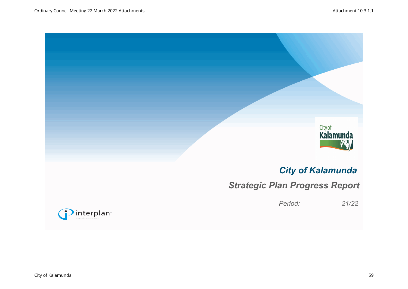



# *City of Kalamunda*

# *Strategic Plan Progress Report*

*Period: 21/22*

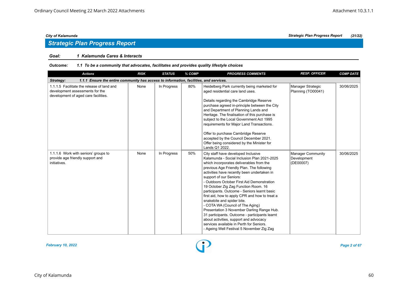## *Strategic Plan Progress Report*

#### *Goal: 1 Kalamunda Cares & Interacts*

#### *Outcome: 1.1 To be a community that advocates, facilitates and provides quality lifestyle choices*

| <b>Actions</b>                                                                                                        | <b>RISK</b> | <b>STATUS</b> | % COMP | <b>PROGRESS COMMENTS</b>                                                                                                                                                                                                                                                                                                                                                                                                                                                                                                                                                                                                                                                                                                                           | <b>RESP. OFFICER</b>                                 | <b>COMP DATE</b> |  |  |  |  |
|-----------------------------------------------------------------------------------------------------------------------|-------------|---------------|--------|----------------------------------------------------------------------------------------------------------------------------------------------------------------------------------------------------------------------------------------------------------------------------------------------------------------------------------------------------------------------------------------------------------------------------------------------------------------------------------------------------------------------------------------------------------------------------------------------------------------------------------------------------------------------------------------------------------------------------------------------------|------------------------------------------------------|------------------|--|--|--|--|
| 1.1.1 Ensure the entire community has access to information, facilities, and services.<br>Strategy:                   |             |               |        |                                                                                                                                                                                                                                                                                                                                                                                                                                                                                                                                                                                                                                                                                                                                                    |                                                      |                  |  |  |  |  |
| 1.1.1.5 Facilitate the release of land and<br>development assessments for the<br>development of aged care facilities. | None        | In Progress   | 80%    | Heidelberg Park currently being marketed for<br>aged residential care land uses.<br>Details regarding the Cambridge Reserve<br>purchase agreed in-principle between the City<br>and Department of Planning Lands and<br>Heritage. The finalisation of this purchase is<br>subject to the Local Government Act 1995<br>requirements for Major Land Transactions.<br>Offer to purchase Cambridge Reserve<br>accepted by the Council December 2021.<br>Offer being considered by the Minister for<br>Lands Q1 2022.                                                                                                                                                                                                                                   | Manager Strategic<br>Planning (TO00041)              | 30/06/2025       |  |  |  |  |
| 1.1.1.6 Work with seniors' groups to<br>provide age friendly support and<br>initiatives.                              | None        | In Progress   | 50%    | City staff have developed Inclusive<br>Kalamunda - Social Inclusion Plan 2021-2025<br>which incorporates deliverables from the<br>previous Age Friendly Plan. The following<br>activities have recently been undertaken in<br>support of our Seniors:<br>- Outdoors October First Aid Demonstration<br>19 October Zig Zag Function Room. 16<br>participants. Outcome - Seniors learnt basic<br>first aid, how to apply CPR and how to treat a<br>snakebite and spider bite.<br>- COTA WA (Council of The Aging)<br>Presentation 3 November Darling Range Hub.<br>31 participants. Outcome - participants learnt<br>about activities, support and advocacy<br>services available in Perth for Seniors.<br>- Ageing Well Festival 5 November Zig Zag | <b>Manager Community</b><br>Development<br>(DE00007) | 30/06/2025       |  |  |  |  |



### City of Kalamunda 60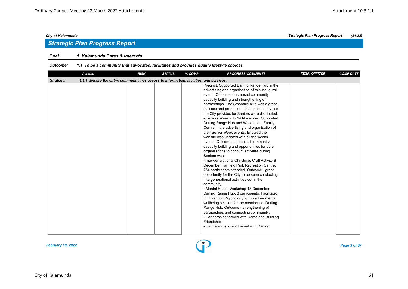### *Goal: 1 Kalamunda Cares & Interacts*

#### *Outcome: 1.1 To be a community that advocates, facilitates and provides quality lifestyle choices*

| <b>Actions</b>                                                                                      | <b>RISK</b> | <b>STATUS</b> | % COMP | <b>PROGRESS COMMENTS</b>                                                                                                                                                                                                                                                                                                                                                                                                                                                                                                                                                                                                                                                                                                                                                                                                                                                                                                                                                                                                                                                                                                                                                                                                                                                                                                                                                    | <b>RESP. OFFICER</b> | <b>COMP DATE</b> |  |  |  |
|-----------------------------------------------------------------------------------------------------|-------------|---------------|--------|-----------------------------------------------------------------------------------------------------------------------------------------------------------------------------------------------------------------------------------------------------------------------------------------------------------------------------------------------------------------------------------------------------------------------------------------------------------------------------------------------------------------------------------------------------------------------------------------------------------------------------------------------------------------------------------------------------------------------------------------------------------------------------------------------------------------------------------------------------------------------------------------------------------------------------------------------------------------------------------------------------------------------------------------------------------------------------------------------------------------------------------------------------------------------------------------------------------------------------------------------------------------------------------------------------------------------------------------------------------------------------|----------------------|------------------|--|--|--|
| 1.1.1 Ensure the entire community has access to information, facilities, and services.<br>Strategy: |             |               |        |                                                                                                                                                                                                                                                                                                                                                                                                                                                                                                                                                                                                                                                                                                                                                                                                                                                                                                                                                                                                                                                                                                                                                                                                                                                                                                                                                                             |                      |                  |  |  |  |
|                                                                                                     |             |               |        | Precinct. Supported Darling Range Hub in the<br>advertising and organisation of this inaugural<br>event. Outcome - increased community<br>capacity building and strengthening of<br>partnerships. The Smoothie bike was a great<br>success and promotional material on services<br>the City provides for Seniors were distributed.<br>- Seniors Week 7 to 14 November. Supported<br>Darling Range Hub and Woodlupine Family<br>Centre in the advertising and organisation of<br>their Senior Week events. Ensured the<br>website was updated with all the weeks<br>events. Outcome - increased community<br>capacity building and opportunities for other<br>organisations to conduct activities during<br>Seniors week.<br>- Intergenerational Christmas Craft Activity 8<br>December Hartfield Park Recreation Centre.<br>254 participants attended. Outcome - great<br>opportunity for the City to be seen conducting<br>intergenerational activities out in the<br>community.<br>- Mental Health Workshop 13 December<br>Darling Range Hub. 8 participants. Facilitated<br>for Direction Psychology to run a free mental<br>wellbeing session for the members at Darling<br>Range Hub. Outcome - strengthening of<br>partnerships and connecting community.<br>- Partnerships formed with Dome and Building<br>Friendships.<br>- Partnerships strengthened with Darling |                      |                  |  |  |  |



#### *City of Kalamunda Strategic Plan Progress Report (21/22)*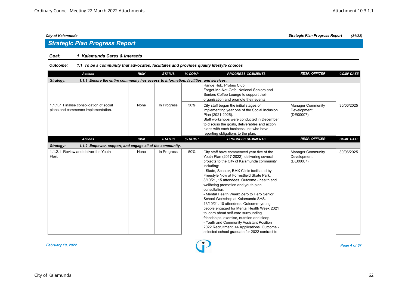## *Strategic Plan Progress Report*

### *Goal: 1 Kalamunda Cares & Interacts*

| <b>Actions</b>                                                                                      | <b>RISK</b> | <b>STATUS</b> | % COMP | <b>PROGRESS COMMENTS</b>                                                                                                                                                                                                                                                                                                                                                                                                                                                                                                                                                                                                                                                                                                                                              | <b>RESP. OFFICER</b>                                 | <b>COMP DATE</b> |  |  |  |
|-----------------------------------------------------------------------------------------------------|-------------|---------------|--------|-----------------------------------------------------------------------------------------------------------------------------------------------------------------------------------------------------------------------------------------------------------------------------------------------------------------------------------------------------------------------------------------------------------------------------------------------------------------------------------------------------------------------------------------------------------------------------------------------------------------------------------------------------------------------------------------------------------------------------------------------------------------------|------------------------------------------------------|------------------|--|--|--|
| 1.1.1 Ensure the entire community has access to information, facilities, and services.<br>Strategy: |             |               |        |                                                                                                                                                                                                                                                                                                                                                                                                                                                                                                                                                                                                                                                                                                                                                                       |                                                      |                  |  |  |  |
|                                                                                                     |             |               |        | Range Hub, Probus Club,<br>Forget-Me-Not-Cafe, National Seniors and<br>Seniors Coffee Lounge to support their<br>organisation and promote their events.                                                                                                                                                                                                                                                                                                                                                                                                                                                                                                                                                                                                               |                                                      |                  |  |  |  |
| 1.1.1.7 Finalise consolidation of social<br>plans and commence implementation.                      | None        | In Progress   | 50%    | City staff began the initial stages of<br>implementing year one of the Social Inclusion<br>Plan (2021-2025).<br>Staff workshops were conducted in December<br>to discuss the goals, deliverables and action<br>plans with each business unit who have<br>reporting obligations to the plan.                                                                                                                                                                                                                                                                                                                                                                                                                                                                           | <b>Manager Community</b><br>Development<br>(DE00007) | 30/06/2025       |  |  |  |
| <b>Actions</b>                                                                                      | <b>RISK</b> | <b>STATUS</b> | % COMP | <b>PROGRESS COMMENTS</b>                                                                                                                                                                                                                                                                                                                                                                                                                                                                                                                                                                                                                                                                                                                                              | <b>RESP. OFFICER</b>                                 | <b>COMP DATE</b> |  |  |  |
| Strategy:<br>1.1.2 Empower, support, and engage all of the community.                               |             |               |        |                                                                                                                                                                                                                                                                                                                                                                                                                                                                                                                                                                                                                                                                                                                                                                       |                                                      |                  |  |  |  |
| 1.1.2.1 Review and deliver the Youth<br>Plan.                                                       | None        | In Progress   | 50%    | City staff have commenced year five of the<br>Youth Plan (2017-2022), delivering several<br>projects to the City of Kalamunda community<br>including:<br>- Skate, Scooter, BMX Clinic facilitated by<br>Freestyle Now at Forrestfield Skate Park.<br>8/10/21, 15 attendees. Outcome - health and<br>wellbeing promotion and youth plan<br>consultation.<br>- Mental Health Week: Zero to Hero Senior<br>School Workshop at Kalamunda SHS.<br>13/10/21. 10 attendees. Outcome- young<br>people engaged for Mental Health Week 2021<br>to learn about self-care surrounding<br>friendships, exercise, nutrition and sleep.<br>- Youth and Community Assistant Position<br>2022 Recruitment. 44 Applications. Outcome -<br>selected school graduate for 2022 contract to | <b>Manager Community</b><br>Development<br>(DE00007) | 30/06/2025       |  |  |  |

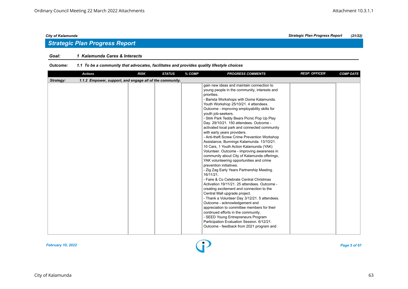## *Strategic Plan Progress Report*

#### *Goal: 1 Kalamunda Cares & Interacts*

| 1.1.2 Empower, support, and engage all of the community.<br>Strategy:<br>gain new ideas and maintain connection to<br>young people in the community, interests and<br>priorities.<br>- Barista Workshops with Dome Kalamunda.<br>Youth Workshop 25/10/21. 4 attendees.<br>Outcome - improving employability skills for<br>youth job-seekers.<br>- Stirk Park Teddy Bears Picnic Pop Up Play<br>Day. 29/10/21. 150 attendees. Outcome -<br>activated local park and connected community<br>with early years providers.<br>- Anti-theft Screw Crime Prevention Workshop<br>Assistance, Bunnings Kalamunda. 13/10/21.<br>10 Cars, 1 Youth Action Kalamunda (YAK)<br>Volunteer. Outcome - improving awareness in<br>community about City of Kalamunda offerings,<br>YAK volunteering opportunities and crime<br>prevention initiatives.<br>- Zig Zag Early Years Partnership Meeting.<br>16/11/21. | <b>Actions</b> | <b>RISK</b> | <b>STATUS</b> | % COMP | <b>PROGRESS COMMENTS</b> | <b>RESP. OFFICER</b> | <b>COMP DATE</b> |  |  |  |  |
|------------------------------------------------------------------------------------------------------------------------------------------------------------------------------------------------------------------------------------------------------------------------------------------------------------------------------------------------------------------------------------------------------------------------------------------------------------------------------------------------------------------------------------------------------------------------------------------------------------------------------------------------------------------------------------------------------------------------------------------------------------------------------------------------------------------------------------------------------------------------------------------------|----------------|-------------|---------------|--------|--------------------------|----------------------|------------------|--|--|--|--|
|                                                                                                                                                                                                                                                                                                                                                                                                                                                                                                                                                                                                                                                                                                                                                                                                                                                                                                |                |             |               |        |                          |                      |                  |  |  |  |  |
| - Faire & Co Celebrate Central Christmas<br>Activation 19/11/21, 25 attendees, Outcome -<br>creating excitement and connection to the<br>Central Mall upgrade project.<br>- Thank a Volunteer Day 3/12/21. 5 attendees.<br>Outcome - acknowledgement and<br>appreciation to committee members for their<br>continued efforts in the community.<br>- SEED Young Entrepreneurs Program<br>Participation Evaluation Session. 6/12/21.<br>Outcome - feedback from 2021 program and                                                                                                                                                                                                                                                                                                                                                                                                                 |                |             |               |        |                          |                      |                  |  |  |  |  |

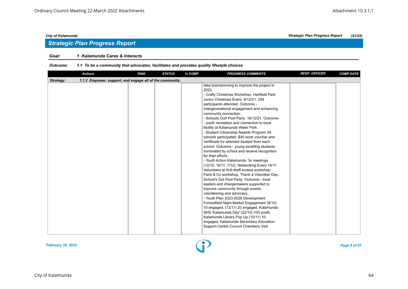## *Strategic Plan Progress Report*

#### *Goal: 1 Kalamunda Cares & Interacts*

| <b>Actions</b>                                                        | <b>RISK</b> | <b>STATUS</b> | % COMP | <b>PROGRESS COMMENTS</b>                                                                                                                                                                                                                                                                                                                                                                                                                                                                                                                                                                                                                                                                                                                                                                                                                                                                                                                                                                                                                                                                                                                                                                                                                                                                                          | <b>RESP. OFFICER</b> | <b>COMP DATE</b> |
|-----------------------------------------------------------------------|-------------|---------------|--------|-------------------------------------------------------------------------------------------------------------------------------------------------------------------------------------------------------------------------------------------------------------------------------------------------------------------------------------------------------------------------------------------------------------------------------------------------------------------------------------------------------------------------------------------------------------------------------------------------------------------------------------------------------------------------------------------------------------------------------------------------------------------------------------------------------------------------------------------------------------------------------------------------------------------------------------------------------------------------------------------------------------------------------------------------------------------------------------------------------------------------------------------------------------------------------------------------------------------------------------------------------------------------------------------------------------------|----------------------|------------------|
| 1.1.2 Empower, support, and engage all of the community.<br>Strategy: |             |               |        |                                                                                                                                                                                                                                                                                                                                                                                                                                                                                                                                                                                                                                                                                                                                                                                                                                                                                                                                                                                                                                                                                                                                                                                                                                                                                                                   |                      |                  |
|                                                                       |             |               |        | idea brainstorming to improve the project in<br>2022.<br>- Crafty Christmas Workshop, Hartfield Park<br>Junior Christmas Event, 8/12/21, 254<br>participants attended. Outcome -<br>intergenerational engagement and enhancing<br>community connection.<br>- Schools Out! Pool Party. 16/12/21. Outcome<br>- youth recreation and connection to local<br>facility at Kalamunda Water Park.<br>- Student Citizenship Awards Program 29<br>schools participated. \$40 book voucher and<br>certificate for selected student from each<br>school. Outcome - young excelling students<br>nominated by school and receive recognition<br>for their efforts.<br>- Youth Action Kalamunda: 3x meetings<br>(12/10, 16/11, 7/12). Networking Event 14/11.<br>Volunteers at Anti-theft screws workshop,<br>Faire & Co workshop, Thank a Volunteer Day,<br>School's Out Pool Party. Outcome - local<br>leaders and changemakers supported to<br>improve community through events,<br>volunteering and advocacy.<br>- Youth Plan 2023-2028 Development:<br>Forrestfield Night Market Engagement (8/10)<br>10 engaged, (12/11) 20 engaged, Kalamunda<br>SHS 'Kalamunda Day' (22/10) 100 youth,<br>Kalamunda Library Pop Up (10/11) 10<br>engaged, Kalamunda Secondary Education<br><b>Support Centre Council Chambers Visit</b> |                      |                  |

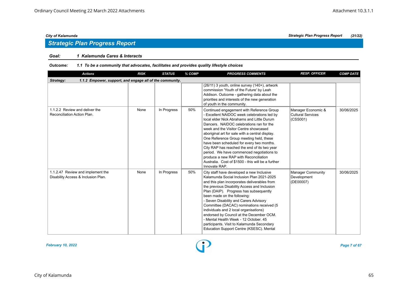## *Strategic Plan Progress Report*

#### *Goal: 1 Kalamunda Cares & Interacts*

| <b>Actions</b>                                                           | <b>RISK</b> | <b>STATUS</b> | % COMP | <b>PROGRESS COMMENTS</b>                                                                                                                                                                                                                                                                                                                                                                                                                                                                                                                                                            | <b>RESP. OFFICER</b>                                | <b>COMP DATE</b> |  |  |  |  |
|--------------------------------------------------------------------------|-------------|---------------|--------|-------------------------------------------------------------------------------------------------------------------------------------------------------------------------------------------------------------------------------------------------------------------------------------------------------------------------------------------------------------------------------------------------------------------------------------------------------------------------------------------------------------------------------------------------------------------------------------|-----------------------------------------------------|------------------|--|--|--|--|
| 1.1.2 Empower, support, and engage all of the community.<br>Strategy:    |             |               |        |                                                                                                                                                                                                                                                                                                                                                                                                                                                                                                                                                                                     |                                                     |                  |  |  |  |  |
|                                                                          |             |               |        | (26/11) 3 youth, online survey (140+), artwork<br>commission 'Youth of the Future' by Leah<br>Addison. Outcome - gathering data about the<br>priorities and interests of the new generation<br>of youth in the community.                                                                                                                                                                                                                                                                                                                                                           |                                                     |                  |  |  |  |  |
| 1.1.2.2 Review and deliver the<br>Reconciliation Action Plan.            | None        | In Progress   | 50%    | Continued engagement with Reference Group<br>- Excellent NAIDOC week celebrations led by<br>local elder Nick Abrahams and Little Durum<br>Dancers. NAIDOC celebrations ran for the<br>week and the Visitor Centre showcased<br>aboriginal art for sale with a central display.<br>One Reference Group meeting held, these<br>have been scheduled for every two months.<br>City RAP has reached the end of its two year<br>period. We have commenced negotiations to<br>produce a new RAP with Reconciliation<br>Australia. Cost of \$1500 - this will be a further<br>Innovate RAP. | Manager Economic &<br>Cultural Services<br>(CSS001) | 30/06/2025       |  |  |  |  |
| 1.1.2.47 Review and implement the<br>Disability Access & Inclusion Plan. | None        | In Progress   | 50%    | City staff have developed a new Inclusive<br>Kalamunda Social Inclusion Plan 2021-2025<br>and this plan incorporates deliverables from<br>the previous Disability Access and Inclusion<br>Plan (DAIP). Progress has subsequently<br>been made on the following:<br>- Seven Disability and Carers Advisory<br>Committee (DACAC) nominations received (5<br>individuals and 2 local organisations)<br>endorsed by Council at the December OCM.<br>- Mental Health Week - 12 October, 45<br>participants. Visit to Kalamunda Secondary<br>Education Support Centre (KSESC). Mental     | Manager Community<br>Development<br>(DE00007)       | 30/06/2025       |  |  |  |  |

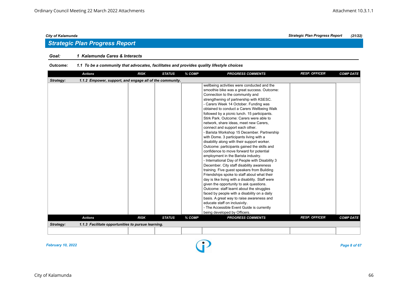#### *Goal: 1 Kalamunda Cares & Interacts*

#### *Outcome: 1.1 To be a community that advocates, facilitates and provides quality lifestyle choices*

| <b>Actions</b>                                                        | <b>RISK</b> | <b>STATUS</b> | % COMP | <b>PROGRESS COMMENTS</b>                                                                                                                                                                                                                                                                                                                                                                                                                                                                                                                                                                                                                                                                                                                                                                                                                                                                                                                                                                                                                                                                                                                                                                                                                                                   | <b>RESP. OFFICER</b> | <b>COMP DATE</b> |  |  |  |
|-----------------------------------------------------------------------|-------------|---------------|--------|----------------------------------------------------------------------------------------------------------------------------------------------------------------------------------------------------------------------------------------------------------------------------------------------------------------------------------------------------------------------------------------------------------------------------------------------------------------------------------------------------------------------------------------------------------------------------------------------------------------------------------------------------------------------------------------------------------------------------------------------------------------------------------------------------------------------------------------------------------------------------------------------------------------------------------------------------------------------------------------------------------------------------------------------------------------------------------------------------------------------------------------------------------------------------------------------------------------------------------------------------------------------------|----------------------|------------------|--|--|--|
| 1.1.2 Empower, support, and engage all of the community.<br>Strategy: |             |               |        |                                                                                                                                                                                                                                                                                                                                                                                                                                                                                                                                                                                                                                                                                                                                                                                                                                                                                                                                                                                                                                                                                                                                                                                                                                                                            |                      |                  |  |  |  |
|                                                                       |             |               |        | wellbeing activities were conducted and the<br>smoothie bike was a great success. Outcome:<br>Connection to the community and<br>strengthening of partnership with KSESC.<br>- Carers Week 14 October. Funding was<br>obtained to conduct a Carers Wellbeing Walk<br>followed by a picnic lunch. 15 participants.<br>Stirk Park. Outcome: Carers were able to<br>network, share ideas, meet new Carers,<br>connect and support each other.<br>- Barista Workshop 15 December. Partnership<br>with Dome. 3 participants living with a<br>disability along with their support worker.<br>Outcome: participants gained the skills and<br>confidence to move forward for potential<br>employment in the Barista industry.<br>- International Day of People with Disability 3<br>December. City staff disability awareness<br>training. Five guest speakers from Building<br>Friendships spoke to staff about what their<br>day is like living with a disability. Staff were<br>given the opportunity to ask questions.<br>Outcome: staff learnt about the struggles<br>faced by people with a disability on a daily<br>basis. A great way to raise awareness and<br>educate staff on inclusivity.<br>- The Accessible Event Guide is currently<br>being developed by Officers. |                      |                  |  |  |  |
| <b>Actions</b>                                                        | <b>RISK</b> | <b>STATUS</b> | % COMP | <b>PROGRESS COMMENTS</b>                                                                                                                                                                                                                                                                                                                                                                                                                                                                                                                                                                                                                                                                                                                                                                                                                                                                                                                                                                                                                                                                                                                                                                                                                                                   | <b>RESP. OFFICER</b> | <b>COMP DATE</b> |  |  |  |
| 1.1.3 Facilitate opportunities to pursue learning.<br>Strategy:       |             |               |        |                                                                                                                                                                                                                                                                                                                                                                                                                                                                                                                                                                                                                                                                                                                                                                                                                                                                                                                                                                                                                                                                                                                                                                                                                                                                            |                      |                  |  |  |  |
|                                                                       |             |               |        |                                                                                                                                                                                                                                                                                                                                                                                                                                                                                                                                                                                                                                                                                                                                                                                                                                                                                                                                                                                                                                                                                                                                                                                                                                                                            |                      |                  |  |  |  |
|                                                                       |             |               |        |                                                                                                                                                                                                                                                                                                                                                                                                                                                                                                                                                                                                                                                                                                                                                                                                                                                                                                                                                                                                                                                                                                                                                                                                                                                                            |                      |                  |  |  |  |

*February 10, 2022 Page 8 of 67*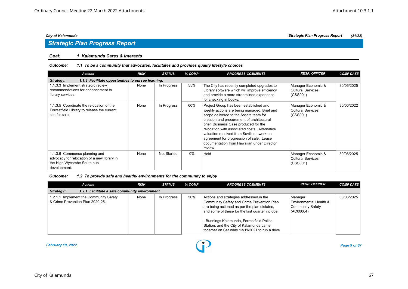### *Goal: 1 Kalamunda Cares & Interacts*

#### *Outcome: 1.1 To be a community that advocates, facilitates and provides quality lifestyle choices*

| <b>Actions</b>                                                                                                             | <b>RISK</b> | <b>STATUS</b>      | % COMP | <b>PROGRESS COMMENTS</b>                                                                                                                                                                                                                                                                                                                                                                                                  | <b>RESP. OFFICER</b>                                | <b>COMP DATE</b> |  |  |  |  |
|----------------------------------------------------------------------------------------------------------------------------|-------------|--------------------|--------|---------------------------------------------------------------------------------------------------------------------------------------------------------------------------------------------------------------------------------------------------------------------------------------------------------------------------------------------------------------------------------------------------------------------------|-----------------------------------------------------|------------------|--|--|--|--|
| 1.1.3 Facilitate opportunities to pursue learning.<br>Strategy:                                                            |             |                    |        |                                                                                                                                                                                                                                                                                                                                                                                                                           |                                                     |                  |  |  |  |  |
| 1.1.3.3 Implement strategic review<br>recommendations for enhancement to<br>library services.                              | None        | In Progress        | 55%    | The City has recently completed upgrades to<br>Library software which will improve efficiency<br>and provide a more streamlined experience<br>for checking in books.                                                                                                                                                                                                                                                      | Manager Economic &<br>Cultural Services<br>(CSS001) | 30/06/2025       |  |  |  |  |
| 1.1.3.5 Coordinate the relocation of the<br>Forrestfield Library to release the current<br>site for sale.                  | None        | In Progress        | 60%    | Project Group has been established and<br>weekly actions are being managed. Brief and<br>scope delivered to the Assets team for<br>creation and procurement of architectural<br>brief. Business Case produced for the<br>relocation with associated costs, Alternative<br>valuation received from Savilles - work on<br>agreement for progression of sale. Lease<br>documentation from Hawaiian under Director<br>review. | Manager Economic &<br>Cultural Services<br>(CSS001) | 30/06/2022       |  |  |  |  |
| 1.1.3.6 Commence planning and<br>advocacy for relocation of a new library in<br>the High Wycombe South hub<br>development. | None        | <b>Not Started</b> | $0\%$  | Hold                                                                                                                                                                                                                                                                                                                                                                                                                      | Manager Economic &<br>Cultural Services<br>(CSS001) | 30/06/2025       |  |  |  |  |

| <b>Actions</b>                                                             | <b>RISK</b> | <b>STATUS</b> | % COMP | <b>PROGRESS COMMENTS</b>                                                                                                                                                                                                                                                                                                           | <b>RESP. OFFICER</b>                                               | <b>COMP DATE</b> |  |  |
|----------------------------------------------------------------------------|-------------|---------------|--------|------------------------------------------------------------------------------------------------------------------------------------------------------------------------------------------------------------------------------------------------------------------------------------------------------------------------------------|--------------------------------------------------------------------|------------------|--|--|
| 1.2.1 Facilitate a safe community environment.<br>Strategy:                |             |               |        |                                                                                                                                                                                                                                                                                                                                    |                                                                    |                  |  |  |
| 1.2.1.1 Implement the Community Safety<br>& Crime Prevention Plan 2020-25. | None        | In Progress   | 50%    | Actions and strategies addressed in the<br>Community Safety and Crime Prevention Plan<br>are being actioned as per the plan dictates,<br>and some of these for the last quarter include:<br>- Bunnings Kalamunda, Forrestfield Police<br>Station, and the City of Kalamunda came<br>together on Saturday 13/11/2021 to run a drive | Manager<br>Environmental Health &<br>Community Safety<br>(AC00064) | 30/06/2025       |  |  |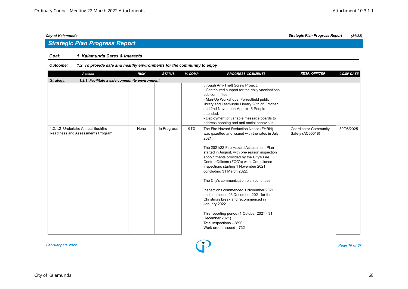## *Strategic Plan Progress Report*

### *Goal: 1 Kalamunda Cares & Interacts*

| <b>Actions</b>                                                          | <b>RISK</b> | <b>STATUS</b> | % COMP | <b>PROGRESS COMMENTS</b>                                                                                                                                                                                                                                                                                                                                                                                                                                                                                                                                                                                                                                                  | <b>RESP. OFFICER</b>                      | <b>COMP DATE</b> |  |  |  |  |
|-------------------------------------------------------------------------|-------------|---------------|--------|---------------------------------------------------------------------------------------------------------------------------------------------------------------------------------------------------------------------------------------------------------------------------------------------------------------------------------------------------------------------------------------------------------------------------------------------------------------------------------------------------------------------------------------------------------------------------------------------------------------------------------------------------------------------------|-------------------------------------------|------------------|--|--|--|--|
| Strategy:<br>1.2.1 Facilitate a safe community environment.             |             |               |        |                                                                                                                                                                                                                                                                                                                                                                                                                                                                                                                                                                                                                                                                           |                                           |                  |  |  |  |  |
|                                                                         |             |               |        | through Anti-Theft Screw Project.<br>- Contributed support for the daily vaccinations<br>sub committee.<br>- Man-Up Workshops: Forrestfield public<br>library and Lesmurdie Library 28th of October<br>and 2nd November: Approx. 5 People<br>attended.<br>- Deployment of variable message boards to<br>address hooning and anti-social behaviour.                                                                                                                                                                                                                                                                                                                        |                                           |                  |  |  |  |  |
| 1.2.1.2 Undertake Annual Bushfire<br>Readiness and Assessments Program. | None        | In Progress   | 61%    | The Fire Hazard Reduction Notice (FHRN)<br>was gazetted and issued with the rates in July<br>2021.<br>The 2021/22 Fire Hazard Assessment Plan<br>started in August, with pre-season inspection<br>appointments provided by the City's Fire<br>Control Officers (FCO's) with Compliance<br>inspections starting 1 November 2021,<br>concluding 31 March 2022.<br>The City's communication plan continues.<br>Inspections commenced 1 November 2021<br>and concluded 23 December 2021 for the<br>Christmas break and recommenced in<br>January 2022.<br>This reporting period (1 October 2021 - 31<br>December 2021)<br>Total inspections - 2890<br>Work orders issued -732 | Coordinator Community<br>Safety (AC00018) | 30/06/2025       |  |  |  |  |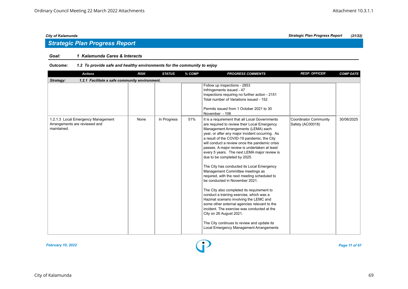## *Strategic Plan Progress Report*

### *Goal: 1 Kalamunda Cares & Interacts*

| <b>Actions</b>                                                                     | <b>RISK</b> | <b>STATUS</b> | % COMP | <b>PROGRESS COMMENTS</b>                                                                                                                                                                                                                                                                                                                                                                                                                                                                                                                                                                                                                                                                                                                                                                                                                                                                                                                               | <b>RESP. OFFICER</b>                             | <b>COMP DATE</b> |  |  |  |  |  |
|------------------------------------------------------------------------------------|-------------|---------------|--------|--------------------------------------------------------------------------------------------------------------------------------------------------------------------------------------------------------------------------------------------------------------------------------------------------------------------------------------------------------------------------------------------------------------------------------------------------------------------------------------------------------------------------------------------------------------------------------------------------------------------------------------------------------------------------------------------------------------------------------------------------------------------------------------------------------------------------------------------------------------------------------------------------------------------------------------------------------|--------------------------------------------------|------------------|--|--|--|--|--|
| 1.2.1 Facilitate a safe community environment.<br>Strategy:                        |             |               |        |                                                                                                                                                                                                                                                                                                                                                                                                                                                                                                                                                                                                                                                                                                                                                                                                                                                                                                                                                        |                                                  |                  |  |  |  |  |  |
|                                                                                    |             |               |        | Follow up inspections - 2853<br>Infringements issued - 47<br>Inspections requiring no further action - 2151<br>Total number of Variations issued - 152<br>Permits issued from 1 October 2021 to 30<br>November - 106                                                                                                                                                                                                                                                                                                                                                                                                                                                                                                                                                                                                                                                                                                                                   |                                                  |                  |  |  |  |  |  |
| 1.2.1.3 Local Emergency Management<br>Arrangements are reviewed and<br>maintained. | None        | In Progress   | 51%    | It is a requirement that all Local Governments<br>are required to review their Local Emergency<br>Management Arrangements (LEMA) each<br>year, or after any major incident occurring. As<br>a result of the COVID-19 pandemic, the City<br>will conduct a review once the pandemic crisis<br>passes. A major review is undertaken at least<br>every 5 years. The next LEMA major review is<br>due to be completed by 2025.<br>The City has conducted its Local Emergency<br>Management Committee meetings as<br>required, with the next meeting scheduled to<br>be conducted in November 2021.<br>The City also completed its requirement to<br>conduct a training exercise, which was a<br>Hazmat scenario involving the LEMC and<br>some other external agencies relevant to the<br>incident. The exercise was conducted at the<br>City on 26 August 2021.<br>The City continues to review and update its<br>Local Emergency Management Arrangements | <b>Coordinator Community</b><br>Safety (AC00018) | 30/06/2025       |  |  |  |  |  |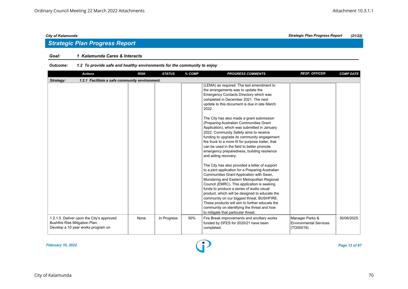#### *Goal: 1 Kalamunda Cares & Interacts*

| <b>Actions</b>                                                                                                   | <b>RISK</b> | <b>STATUS</b> | % COMP | <b>PROGRESS COMMENTS</b>                                                                                                                                                                                                                                                                                                                                                                                                                                                                                                                                                                                                                                                                                                                                                                                                                                                                                                                                                                                                                                                                                                                                                     | <b>RESP. OFFICER</b>                                          | <b>COMP DATE</b> |  |  |  |  |
|------------------------------------------------------------------------------------------------------------------|-------------|---------------|--------|------------------------------------------------------------------------------------------------------------------------------------------------------------------------------------------------------------------------------------------------------------------------------------------------------------------------------------------------------------------------------------------------------------------------------------------------------------------------------------------------------------------------------------------------------------------------------------------------------------------------------------------------------------------------------------------------------------------------------------------------------------------------------------------------------------------------------------------------------------------------------------------------------------------------------------------------------------------------------------------------------------------------------------------------------------------------------------------------------------------------------------------------------------------------------|---------------------------------------------------------------|------------------|--|--|--|--|
| Strategy:<br>1.2.1 Facilitate a safe community environment.                                                      |             |               |        |                                                                                                                                                                                                                                                                                                                                                                                                                                                                                                                                                                                                                                                                                                                                                                                                                                                                                                                                                                                                                                                                                                                                                                              |                                                               |                  |  |  |  |  |
|                                                                                                                  |             |               |        | (LEMA) as required. The last amendment to<br>the arrangements was to update the<br>Emergency Contacts Directory which was<br>completed in December 2021. The next<br>update to this document is due in late March<br>2022.<br>The City has also made a grant submission<br>(Preparing Australian Communities Grant<br>Application), which was submitted in January<br>2022. Community Safety aims to receive<br>funding to upgrade its community engagement<br>fire truck to a more fit for purpose trailer, that<br>can be used in the field to better promote<br>emergency preparedness, building resilience<br>and aiding recovery.<br>The City has also provided a letter of support<br>to a joint application for a Preparing Australian<br>Communities Grant Application with Swan,<br>Mundaring and Eastern Metropolitan Regional<br>Council (EMRC). This application is seeking<br>funds to produce a series of audio visual<br>product, which will be designed to educate the<br>community on our biggest threat, BUSHFIRE.<br>These products will aim to further educate the<br>community on identifying the threat and how<br>to mitigate that particular threat. |                                                               |                  |  |  |  |  |
| 1.2.1.5 Deliver upon the City's approved<br>Bushfire Risk Mitigation Plan.<br>Develop a 10 year works program on | None        | In Progress   | 50%    | Fire Break improvements and ancillary works<br>funded by DFES for 2020/21 have been<br>completed.                                                                                                                                                                                                                                                                                                                                                                                                                                                                                                                                                                                                                                                                                                                                                                                                                                                                                                                                                                                                                                                                            | Manager Parks &<br><b>Environmental Services</b><br>(TO00019) | 30/06/2025       |  |  |  |  |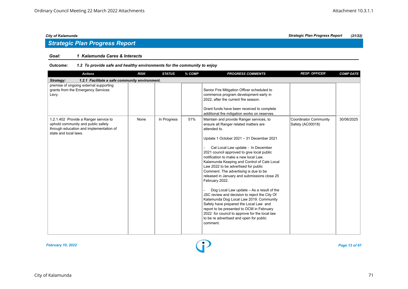## *Strategic Plan Progress Report*

#### *Goal: 1 Kalamunda Cares & Interacts*

| <b>Actions</b>                                                                                                                                  | <b>RISK</b> | <b>STATUS</b> | % COMP | <b>PROGRESS COMMENTS</b>                                                                                                                                                                                                                                                                                                                                                                                                                                                                                                                                                                                                                                                                                                                                                                                             | <b>RESP. OFFICER</b>                             | <b>COMP DATE</b> |  |  |  |
|-------------------------------------------------------------------------------------------------------------------------------------------------|-------------|---------------|--------|----------------------------------------------------------------------------------------------------------------------------------------------------------------------------------------------------------------------------------------------------------------------------------------------------------------------------------------------------------------------------------------------------------------------------------------------------------------------------------------------------------------------------------------------------------------------------------------------------------------------------------------------------------------------------------------------------------------------------------------------------------------------------------------------------------------------|--------------------------------------------------|------------------|--|--|--|
| Strategy:<br>1.2.1 Facilitate a safe community environment.                                                                                     |             |               |        |                                                                                                                                                                                                                                                                                                                                                                                                                                                                                                                                                                                                                                                                                                                                                                                                                      |                                                  |                  |  |  |  |
| premise of ongoing external supporting<br>grants from the Emergency Services<br>Levy.                                                           |             |               |        | Senior Fire Mitigation Officer scheduled to<br>commence program development early in<br>2022, after the current fire season.<br>Grant funds have been received to complete<br>additional fire mitigation works on reserves.                                                                                                                                                                                                                                                                                                                                                                                                                                                                                                                                                                                          |                                                  |                  |  |  |  |
| 1.2.1.402 Provide a Ranger service to<br>uphold community and public safety<br>through education and implementation of<br>state and local laws. | None        | In Progress   | 51%    | Maintain and provide Ranger services, to<br>ensure all Ranger related matters are<br>attended to.<br>Update 1 October 2021 - 31 December 2021<br>Cat Local Law update - In December<br>2021 council approved to give local public<br>notification to make a new local Law.<br>Kalamunda Keeping and Control of Cats Local<br>Law 2022 to be advertised for public<br>Comment. The advertising is due to be<br>released in January and submissions close 25<br>February 2022.<br>Dog Local Law update - As a result of the<br>JSC review and decision to reject the City Of<br>Kalamunda Dog Local Law 2019. Community<br>Safety have prepared the Local Law and<br>report to be presented to OCM in February<br>2022 for council to approve for the local law<br>to be re advertised and open for public<br>comment. | <b>Coordinator Community</b><br>Safety (AC00018) | 30/06/2025       |  |  |  |

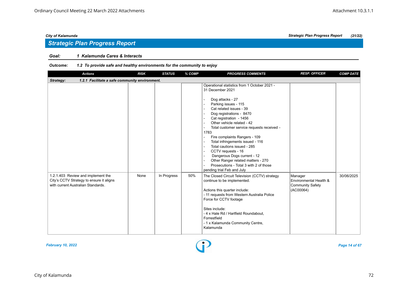## *Strategic Plan Progress Report*

#### *Goal: 1 Kalamunda Cares & Interacts*

| <b>Actions</b>                                                                                                       | <b>RISK</b> | <b>STATUS</b> | % COMP | <b>PROGRESS COMMENTS</b>                                                                                                                                                                                                                                                                                                                                                                                                                                                                                                                                                                                                                                | <b>RESP. OFFICER</b>                                                      | <b>COMP DATE</b> |  |  |  |
|----------------------------------------------------------------------------------------------------------------------|-------------|---------------|--------|---------------------------------------------------------------------------------------------------------------------------------------------------------------------------------------------------------------------------------------------------------------------------------------------------------------------------------------------------------------------------------------------------------------------------------------------------------------------------------------------------------------------------------------------------------------------------------------------------------------------------------------------------------|---------------------------------------------------------------------------|------------------|--|--|--|
| 1.2.1 Facilitate a safe community environment.<br>Strategy:                                                          |             |               |        |                                                                                                                                                                                                                                                                                                                                                                                                                                                                                                                                                                                                                                                         |                                                                           |                  |  |  |  |
|                                                                                                                      |             |               |        | Operational statistics from 1 October 2021 -<br>31 December 2021<br>Dog attacks - 27<br>$\sim$<br>Parking issues - 115<br>Cat related issues - 39<br>Dog registrations - 8470<br>Cat registration - 1456<br>Other vehicle related - 42<br>Total customer service requests received -<br>$\blacksquare$<br>1783<br>Fire complaints Rangers - 109<br>$\overline{\phantom{a}}$<br>Total infringements issued - 116<br>Total cautions issued - 285<br>$\sim$<br>CCTV requests - 16<br>$\blacksquare$<br>Dangerous Dogs current - 12<br>Other Ranger related matters - 270<br>$\sim$<br>Prosecutions - Total 3 with 2 of those<br>pending trial Feb and July |                                                                           |                  |  |  |  |
| 1.2.1.403 Review and implement the<br>City's CCTV Strategy to ensure it aligns<br>with current Australian Standards. | None        | In Progress   | 50%    | The Closed Circuit Television (CCTV) strategy<br>continue to be implemented.<br>Actions this quarter include:<br>- 11 requests from Western Australia Police<br>Force for CCTV footage<br>Sites include:<br>- 4 x Hale Rd / Hartfield Roundabout,<br>Forrestfield<br>- 1 x Kalamunda Community Centre,<br>Kalamunda                                                                                                                                                                                                                                                                                                                                     | Manager<br>Environmental Health &<br><b>Community Safety</b><br>(AC00064) | 30/06/2025       |  |  |  |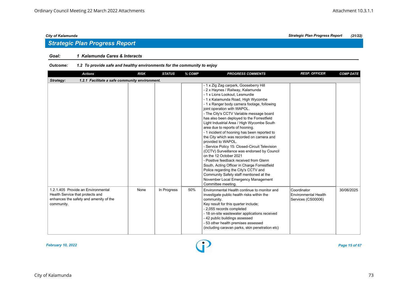## *Strategic Plan Progress Report*

#### *Goal: 1 Kalamunda Cares & Interacts*

| <b>Actions</b>                                                                                                                 | <b>RISK</b> | <b>STATUS</b> | % COMP | <b>PROGRESS COMMENTS</b>                                                                                                                                                                                                                                                                                                                                                                                                                                                                                                                                                                                                                                                                                                                                                                                                                                                                              | <b>RESP. OFFICER</b>                                             | <b>COMP DATE</b> |  |  |  |
|--------------------------------------------------------------------------------------------------------------------------------|-------------|---------------|--------|-------------------------------------------------------------------------------------------------------------------------------------------------------------------------------------------------------------------------------------------------------------------------------------------------------------------------------------------------------------------------------------------------------------------------------------------------------------------------------------------------------------------------------------------------------------------------------------------------------------------------------------------------------------------------------------------------------------------------------------------------------------------------------------------------------------------------------------------------------------------------------------------------------|------------------------------------------------------------------|------------------|--|--|--|
| 1.2.1 Facilitate a safe community environment.<br>Strategy:                                                                    |             |               |        |                                                                                                                                                                                                                                                                                                                                                                                                                                                                                                                                                                                                                                                                                                                                                                                                                                                                                                       |                                                                  |                  |  |  |  |
|                                                                                                                                |             |               |        | - 1 x Zig Zag carpark, Gooseberry Hill<br>- 2 x Haynes / Railway, Kalamunda<br>- 1 x Lions Lookout. Lesmurdie<br>- 1 x Kalamunda Road, High Wycombe<br>- 1 x Ranger body camera footage, following<br>joint operation with WAPOL.<br>- The City's CCTV Variable message board<br>has also been deployed to the Forrestfield<br>Light Industrial Area / High Wycombe South<br>area due to reports of hooning.<br>- 1 incident of hooning has been reported to<br>the City which was recorded on camera and<br>provided to WAPOL.<br>- Service Policy 15: Closed-Circuit Television<br>(CCTV) Surveillance was endorsed by Council<br>on the 12 October 2021<br>- Positive feedback received from Glenn<br>South, Acting Officer in Charge Forrestfield<br>Police regarding the City's CCTV and<br>Community Safety staff mentioned at the<br>November Local Emergency Management<br>Committee meeting. |                                                                  |                  |  |  |  |
| 1.2.1.405 Provide an Environmental<br>Health Service that protects and<br>enhances the safety and amenity of the<br>community. | None        | In Progress   | 50%    | Environmental Health continue to monitor and<br>investigate public health risks within the<br>community.<br>Key result for this quarter include;<br>- 2,055 records completed<br>- 18 on-site wastewater applications received<br>- 42 public buildings assessed<br>- 53 other health premises assessed<br>(including caravan parks, skin penetration etc)                                                                                                                                                                                                                                                                                                                                                                                                                                                                                                                                            | Coordinator<br><b>Environmental Health</b><br>Services (CS00006) | 30/06/2025       |  |  |  |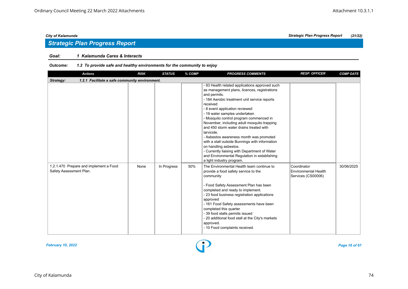## *Strategic Plan Progress Report*

#### *Goal: 1 Kalamunda Cares & Interacts*

| <b>Actions</b>                                                    | <b>RISK</b> | <b>STATUS</b> | % COMP | <b>PROGRESS COMMENTS</b>                                                                                                                                                                                                                                                                                                                                                                                                                                                                                                                                                                                                                             | <b>RESP. OFFICER</b>                                             | <b>COMP DATE</b> |  |  |  |
|-------------------------------------------------------------------|-------------|---------------|--------|------------------------------------------------------------------------------------------------------------------------------------------------------------------------------------------------------------------------------------------------------------------------------------------------------------------------------------------------------------------------------------------------------------------------------------------------------------------------------------------------------------------------------------------------------------------------------------------------------------------------------------------------------|------------------------------------------------------------------|------------------|--|--|--|
| Strategy:<br>1.2.1 Facilitate a safe community environment.       |             |               |        |                                                                                                                                                                                                                                                                                                                                                                                                                                                                                                                                                                                                                                                      |                                                                  |                  |  |  |  |
|                                                                   |             |               |        | - 93 Health related applications approved such<br>as management plans, licences, registrations<br>and permits.<br>- 184 Aerobic treatment unit service reports<br>received<br>- 8 event application reviewed<br>- 19 water samples undertaken<br>- Mosquito control program commenced in<br>November, including adult mosquito trapping<br>and 450 storm water drains treated with<br>larvicide.<br>- Asbestos awareness month was promoted<br>with a stall outside Bunnings with information<br>on handling asbestos.<br>- Currently liaising with Department of Water<br>and Environmental Regulation in establishing<br>a light industry program. |                                                                  |                  |  |  |  |
| 1.2.1.470 Prepare and implement a Food<br>Safety Assessment Plan. | None        | In Progress   | 50%    | The Environmental Health team continue to<br>provide a food safety service to the<br>community<br>- Food Safety Assessment Plan has been<br>completed and ready to implement.<br>- 23 food business registration applications<br>approved<br>- 161 Food Safety assessments have been<br>completed this quarter<br>- 39 food stalls permits issued<br>- 20 additional food stall at the City's markets<br>approved.<br>- 10 Food complaints received.                                                                                                                                                                                                 | Coordinator<br><b>Environmental Health</b><br>Services (CS00006) | 30/06/2025       |  |  |  |

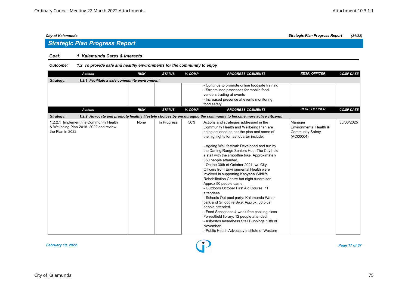## *Strategic Plan Progress Report*

#### *Goal: 1 Kalamunda Cares & Interacts*

| <b>Actions</b>                                                                                       | <b>RISK</b> | <b>STATUS</b> | % COMP | <b>PROGRESS COMMENTS</b>                                                                                                                                                                                                                                                                                                                                                                                                                                                                                                                                                                                                                                                                                                                                                                                                                                                                                                                     | <b>RESP. OFFICER</b>                                                      | <b>COMP DATE</b> |
|------------------------------------------------------------------------------------------------------|-------------|---------------|--------|----------------------------------------------------------------------------------------------------------------------------------------------------------------------------------------------------------------------------------------------------------------------------------------------------------------------------------------------------------------------------------------------------------------------------------------------------------------------------------------------------------------------------------------------------------------------------------------------------------------------------------------------------------------------------------------------------------------------------------------------------------------------------------------------------------------------------------------------------------------------------------------------------------------------------------------------|---------------------------------------------------------------------------|------------------|
| 1.2.1 Facilitate a safe community environment.<br>Strategy:                                          |             |               |        |                                                                                                                                                                                                                                                                                                                                                                                                                                                                                                                                                                                                                                                                                                                                                                                                                                                                                                                                              |                                                                           |                  |
|                                                                                                      |             |               |        | - Continue to promote online foodsafe training<br>- Streamlined processes for mobile food<br>vendors trading at events<br>- Increased presence at events monitoring<br>food safety                                                                                                                                                                                                                                                                                                                                                                                                                                                                                                                                                                                                                                                                                                                                                           |                                                                           |                  |
| <b>Actions</b>                                                                                       | <b>RISK</b> | <b>STATUS</b> | % COMP | <b>PROGRESS COMMENTS</b>                                                                                                                                                                                                                                                                                                                                                                                                                                                                                                                                                                                                                                                                                                                                                                                                                                                                                                                     | <b>RESP. OFFICER</b>                                                      | <b>COMP DATE</b> |
| Strategy:                                                                                            |             |               |        | 1.2.2 Advocate and promote healthy lifestyle choices by encouraging the community to become more active citizens.                                                                                                                                                                                                                                                                                                                                                                                                                                                                                                                                                                                                                                                                                                                                                                                                                            |                                                                           |                  |
| 1.2.2.1 Implement the Community Health<br>& Wellbeing Plan 2018-2022 and review<br>the Plan in 2022. | None        | In Progress   | 50%    | Actions and strategies addressed in the<br>Community Health and Wellbeing Plan are<br>being actioned as per the plan and some of<br>the highlights for last quarter include:<br>- Ageing Well festival: Developed and run by<br>the Darling Range Seniors Hub. The City held<br>a stall with the smoothie bike. Approximately<br>350 people attended.<br>- On the 30th of October 2021 two City<br>Officers from Environmental Health were<br>involved in supporting Kanyana Wildlife<br>Rehabilitation Centre bat night fundraiser.<br>Approx 50 people came.<br>- Outdoors October First Aid Course: 11<br>attendees.<br>- Schools Out pool party: Kalamunda Water<br>park and Smoothie Bike: Approx. 50 plus<br>people attended.<br>- Food Sensations 4-week free cooking class<br>Forrestfield library: 12 people attended.<br>- Asbestos Awareness Stall Bunnings 13th of<br>November.<br>- Public Health Advocacy Institute of Western | Manager<br>Environmental Health &<br><b>Community Safety</b><br>(AC00064) | 30/06/2025       |

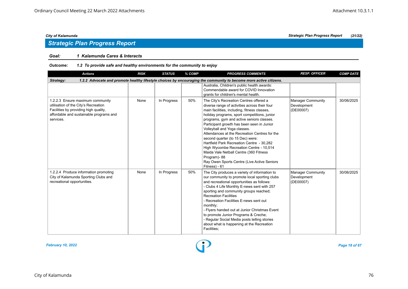## *Strategic Plan Progress Report*

### *Goal: 1 Kalamunda Cares & Interacts*

| <b>Actions</b>                                                                                                                                                            | <b>RISK</b> | <b>STATUS</b> | % COMP | <b>PROGRESS COMMENTS</b>                                                                                                                                                                                                                                                                                                                                                                                                                                                                                                                                                                                                  | <b>RESP. OFFICER</b>                                 | <b>COMP DATE</b> |  |  |  |
|---------------------------------------------------------------------------------------------------------------------------------------------------------------------------|-------------|---------------|--------|---------------------------------------------------------------------------------------------------------------------------------------------------------------------------------------------------------------------------------------------------------------------------------------------------------------------------------------------------------------------------------------------------------------------------------------------------------------------------------------------------------------------------------------------------------------------------------------------------------------------------|------------------------------------------------------|------------------|--|--|--|
| 1.2.2 Advocate and promote healthy lifestyle choices by encouraging the community to become more active citizens.<br>Strategy:                                            |             |               |        |                                                                                                                                                                                                                                                                                                                                                                                                                                                                                                                                                                                                                           |                                                      |                  |  |  |  |
|                                                                                                                                                                           |             |               |        | Australia, Children's public health awards:<br>Commendable award for COVID Innovation<br>grants for children's mental health.                                                                                                                                                                                                                                                                                                                                                                                                                                                                                             |                                                      |                  |  |  |  |
| 1.2.2.3 Ensure maximum community<br>utilisation of the City's Recreation<br>Facilities by providing high quality,<br>affordable and sustainable programs and<br>services. | None        | In Progress   | 50%    | The City's Recreation Centres offered a<br>diverse range of activities across their four<br>main facilities, including, fitness classes,<br>holiday programs, sport competitions, junior<br>programs, gym and active seniors classes.<br>Participant growth has been seen in Junior<br>Volleyball and Yoga classes.<br>Attendances at the Recreation Centres for the<br>second quarter (to 15 Dec) were:<br>Hartfield Park Recreation Centre - 30.282<br>High Wycombe Recreation Centre - 10,514<br>Maida Vale Netball Centre (360 Fitness<br>Program)-88<br>Ray Owen Sports Centre (Live Active Seniors<br>Fitness) - 61 | <b>Manager Community</b><br>Development<br>(DE00007) | 30/06/2025       |  |  |  |
| 1.2.2.4 Produce information promoting<br>City of Kalamunda Sporting Clubs and<br>recreational opportunities.                                                              | None        | In Progress   | 50%    | The City produces a variety of information to<br>our community to promote local sporting clubs<br>and recreational opportunities as follows:<br>- Clubs 4 Life Monthly E-news sent with 257<br>sporting and community groups reached;<br><b>Recreation Facilities</b><br>- Recreation Facilities E-news sent out<br>monthly;<br>- Flyers handed out at Junior Christmas Event<br>to promote Junior Programs & Creche;<br>- Regular Social Media posts telling stories<br>about what is happening at the Recreation<br>Facilities;                                                                                         | <b>Manager Community</b><br>Development<br>(DE00007) | 30/06/2025       |  |  |  |

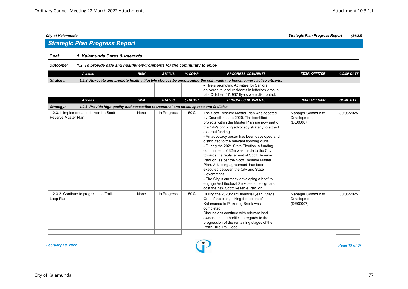### *Goal: 1 Kalamunda Cares & Interacts*

| <b>Actions</b>                                                                                        | <b>RISK</b> | <b>STATUS</b> | % COMP | <b>PROGRESS COMMENTS</b>                                                                                                                                                                                                                                                                                                                                                                                                                                                                                                                                                                                                                                                                                                             | <b>RESP. OFFICER</b>                                 | <b>COMP DATE</b> |
|-------------------------------------------------------------------------------------------------------|-------------|---------------|--------|--------------------------------------------------------------------------------------------------------------------------------------------------------------------------------------------------------------------------------------------------------------------------------------------------------------------------------------------------------------------------------------------------------------------------------------------------------------------------------------------------------------------------------------------------------------------------------------------------------------------------------------------------------------------------------------------------------------------------------------|------------------------------------------------------|------------------|
| Strategy:                                                                                             |             |               |        | 1.2.2 Advocate and promote healthy lifestyle choices by encouraging the community to become more active citizens.                                                                                                                                                                                                                                                                                                                                                                                                                                                                                                                                                                                                                    |                                                      |                  |
|                                                                                                       |             |               |        | - Flyers promoting Activities for Seniors<br>delivered to local residents in letterbox drop in<br>late October. 17, 937 flyers were distributed.                                                                                                                                                                                                                                                                                                                                                                                                                                                                                                                                                                                     |                                                      |                  |
| <b>Actions</b>                                                                                        | <b>RISK</b> | <b>STATUS</b> | % COMP | <b>PROGRESS COMMENTS</b>                                                                                                                                                                                                                                                                                                                                                                                                                                                                                                                                                                                                                                                                                                             | <b>RESP. OFFICER</b>                                 | <b>COMP DATE</b> |
| 1.2.3 Provide high quality and accessible recreational and social spaces and facilities.<br>Strategy: |             |               |        |                                                                                                                                                                                                                                                                                                                                                                                                                                                                                                                                                                                                                                                                                                                                      |                                                      |                  |
| 1.2.3.1 Implement and deliver the Scott<br>Reserve Master Plan.                                       | None        | In Progress   | 50%    | The Scott Reserve Master Plan was adopted<br>by Council in June 2020. The identified<br>projects within the Master Plan are now part of<br>the City's ongoing advocacy strategy to attract<br>external funding.<br>- An advocacy poster has been developed and<br>distributed to the relevant sporting clubs.<br>- During the 2021 State Election, a funding<br>commitment of \$2m was made to the City<br>towards the replacement of Scott Reserve<br>Pavilion, as per the Scott Reserve Master<br>Plan. A funding agreement has been<br>executed between the City and State<br>Government.<br>- The City is currently developing a brief to<br>engage Architectural Services to design and<br>cost the new Scott Reserve Pavilion. | <b>Manager Community</b><br>Development<br>(DE00007) | 30/06/2025       |
| 1.2.3.2 Continue to progress the Trails<br>Loop Plan.                                                 | None        | In Progress   | 50%    | During the 2020/2021 financial year, Stage<br>One of the plan, linking the centre of<br>Kalamunda to Pickering Brook was<br>completed.<br>Discussions continue with relevant land<br>owners and authorities in regards to the<br>progression of the remaining stages of the<br>Perth Hills Trail Loop.                                                                                                                                                                                                                                                                                                                                                                                                                               | <b>Manager Community</b><br>Development<br>(DE00007) | 30/06/2025       |

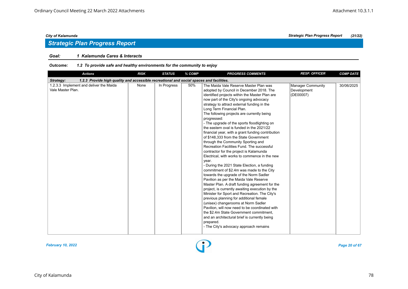## *Strategic Plan Progress Report*

#### *Goal: 1 Kalamunda Cares & Interacts*

| <b>Actions</b>                                                                                        | <b>RISK</b> | <b>STATUS</b> | $%$ COMP | <b>PROGRESS COMMENTS</b>                                                                                                                                                                                                                                                                                                                                                                                                                                                                                                                                                                                                                                                                                                                                                                                                                                                                                                                                                                                                                                                                                                                                                                                                                                                                                                                   | <b>RESP. OFFICER</b>                          | <b>COMP DATE</b> |  |  |  |
|-------------------------------------------------------------------------------------------------------|-------------|---------------|----------|--------------------------------------------------------------------------------------------------------------------------------------------------------------------------------------------------------------------------------------------------------------------------------------------------------------------------------------------------------------------------------------------------------------------------------------------------------------------------------------------------------------------------------------------------------------------------------------------------------------------------------------------------------------------------------------------------------------------------------------------------------------------------------------------------------------------------------------------------------------------------------------------------------------------------------------------------------------------------------------------------------------------------------------------------------------------------------------------------------------------------------------------------------------------------------------------------------------------------------------------------------------------------------------------------------------------------------------------|-----------------------------------------------|------------------|--|--|--|
| 1.2.3 Provide high quality and accessible recreational and social spaces and facilities.<br>Strategy: |             |               |          |                                                                                                                                                                                                                                                                                                                                                                                                                                                                                                                                                                                                                                                                                                                                                                                                                                                                                                                                                                                                                                                                                                                                                                                                                                                                                                                                            |                                               |                  |  |  |  |
| 1.2.3.3 Implement and deliver the Maida<br>Vale Master Plan.                                          | None        | In Progress   | 50%      | The Maida Vale Reserve Master Plan was<br>adopted by Council in December 2018. The<br>identified projects within the Master Plan are<br>now part of the City's ongoing advocacy<br>strategy to attract external funding in the<br>Long Term Financial Plan.<br>The following projects are currently being<br>progressed:<br>- The upgrade of the sports floodlighting on<br>the eastern oval is funded in the 2021/22<br>financial year, with a grant funding contribution<br>of \$148,333 from the State Government<br>through the Community Sporting and<br>Recreation Facilities Fund. The successful<br>contractor for the project is Kalamunda<br>Electrical, with works to commence in the new<br>year.<br>- During the 2021 State Election, a funding<br>commitment of \$2.4m was made to the City<br>towards the upgrade of the Norm Sadler<br>Pavilion as per the Maida Vale Reserve<br>Master Plan. A draft funding agreement for the<br>project, is currently awaiting execution by the<br>Minister for Sport and Recreation. The City's<br>previous planning for additional female<br>(unisex) changerooms at Norm Sadler<br>Pavilion, will now need to be coordinated with<br>the \$2.4m State Government commitment,<br>and an architectural brief is currently being<br>prepared.<br>- The City's advocacy approach remains | Manager Community<br>Development<br>(DE00007) | 30/06/2025       |  |  |  |

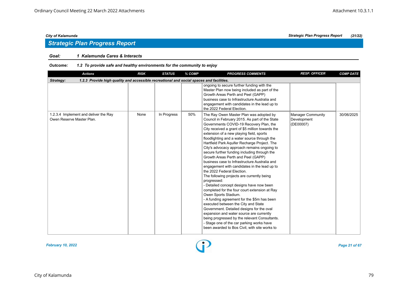#### *Goal: 1 Kalamunda Cares & Interacts*

| <b>Actions</b>                                                                                        | <b>RISK</b> | <b>STATUS</b> | % COMP | <b>PROGRESS COMMENTS</b>                                                                                                                                                                                                                                                                                                                                                                                                                                                                                                                                                                                                                                                                                                                                                                                                                                                                                                                                                                                                                                                                                                 | <b>RESP. OFFICER</b>                                 | <b>COMP DATE</b> |  |  |  |  |
|-------------------------------------------------------------------------------------------------------|-------------|---------------|--------|--------------------------------------------------------------------------------------------------------------------------------------------------------------------------------------------------------------------------------------------------------------------------------------------------------------------------------------------------------------------------------------------------------------------------------------------------------------------------------------------------------------------------------------------------------------------------------------------------------------------------------------------------------------------------------------------------------------------------------------------------------------------------------------------------------------------------------------------------------------------------------------------------------------------------------------------------------------------------------------------------------------------------------------------------------------------------------------------------------------------------|------------------------------------------------------|------------------|--|--|--|--|
| 1.2.3 Provide high quality and accessible recreational and social spaces and facilities.<br>Strategy: |             |               |        |                                                                                                                                                                                                                                                                                                                                                                                                                                                                                                                                                                                                                                                                                                                                                                                                                                                                                                                                                                                                                                                                                                                          |                                                      |                  |  |  |  |  |
|                                                                                                       |             |               |        | ongoing to secure further funding with the<br>Master Plan now being included as part of the<br>Growth Areas Perth and Peel (GAPP)<br>business case to Infrastructure Australia and<br>engagement with candidates in the lead up to<br>the 2022 Federal Election.                                                                                                                                                                                                                                                                                                                                                                                                                                                                                                                                                                                                                                                                                                                                                                                                                                                         |                                                      |                  |  |  |  |  |
| 1.2.3.4 Implement and deliver the Ray<br>Owen Reserve Master Plan.                                    | None        | In Progress   | 50%    | The Ray Owen Master Plan was adopted by<br>Council in February 2015. As part of the State<br>Governments COVID-19 Recovery Plan, the<br>City received a grant of \$5 million towards the<br>extension of a new playing field, sports<br>floodlighting and a water source through the<br>Hartfield Park Aquifer Recharge Project. The<br>City's advocacy approach remains ongoing to<br>secure further funding including through the<br>Growth Areas Perth and Peel (GAPP)<br>business case to Infrastructure Australia and<br>engagement with candidates in the lead up to<br>the 2022 Federal Election.<br>The following projects are currently being<br>progressed:<br>- Detailed concept designs have now been<br>completed for the four court extension at Ray<br>Owen Sports Stadium.<br>- A funding agreement for the \$5m has been<br>executed between the City and State<br>Government. Detailed designs for the oval<br>expansion and water source are currently<br>being progressed by the relevant Consultants.<br>- Stage one of the car parking works have<br>been awarded to Bos Civil, with site works to | <b>Manager Community</b><br>Development<br>(DE00007) | 30/06/2025       |  |  |  |  |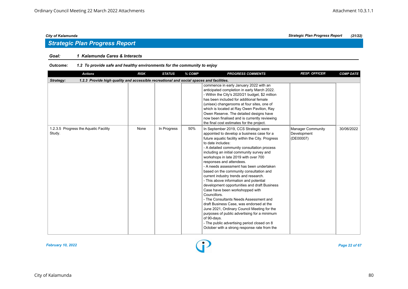### *Goal: 1 Kalamunda Cares & Interacts*

| <b>Actions</b>                                                                                        | <b>RISK</b> | <b>STATUS</b> | % COMP | <b>PROGRESS COMMENTS</b>                                                                                                                                                                                                                                                                                                                                                                                                                                                                                                                                                                                                                                                                                                                                                                                                                                                                                      | <b>RESP. OFFICER</b>                                 | <b>COMP DATE</b> |  |  |  |  |
|-------------------------------------------------------------------------------------------------------|-------------|---------------|--------|---------------------------------------------------------------------------------------------------------------------------------------------------------------------------------------------------------------------------------------------------------------------------------------------------------------------------------------------------------------------------------------------------------------------------------------------------------------------------------------------------------------------------------------------------------------------------------------------------------------------------------------------------------------------------------------------------------------------------------------------------------------------------------------------------------------------------------------------------------------------------------------------------------------|------------------------------------------------------|------------------|--|--|--|--|
| 1.2.3 Provide high quality and accessible recreational and social spaces and facilities.<br>Strategy: |             |               |        |                                                                                                                                                                                                                                                                                                                                                                                                                                                                                                                                                                                                                                                                                                                                                                                                                                                                                                               |                                                      |                  |  |  |  |  |
|                                                                                                       |             |               |        | commence in early January 2022 with an<br>anticipated completion in early March 2022.<br>- Within the City's 2020/21 budget, \$2 million<br>has been included for additional female<br>(unisex) changerooms at four sites, one of<br>which is located at Ray Owen Pavilion, Ray<br>Owen Reserve. The detailed designs have<br>now been finalised and is currently reviewing<br>the final cost estimates for the project.                                                                                                                                                                                                                                                                                                                                                                                                                                                                                      |                                                      |                  |  |  |  |  |
| 1.2.3.5 Progress the Aquatic Facility<br>Study.                                                       | None        | In Progress   | 50%    | In September 2019, CCS Strategic were<br>appointed to develop a business case for a<br>future aquatic facility within the City. Progress<br>to date includes:<br>- A detailed community consultation process<br>including an initial community survey and<br>workshops in late 2019 with over 700<br>responses and attendees.<br>- A needs assessment has been undertaken<br>based on the community consultation and<br>current industry trends and research.<br>- This above information and potential<br>development opportunities and draft Business<br>Case have been workshopped with<br>Councillors.<br>- The Consultants Needs Assessment and<br>draft Business Case, was endorsed at the<br>June 2021, Ordinary Council Meeting for the<br>purposes of public advertising for a minimum<br>of 90-days.<br>- The public advertising period closed on 8<br>October with a strong response rate from the | <b>Manager Community</b><br>Development<br>(DE00007) | 30/06/2022       |  |  |  |  |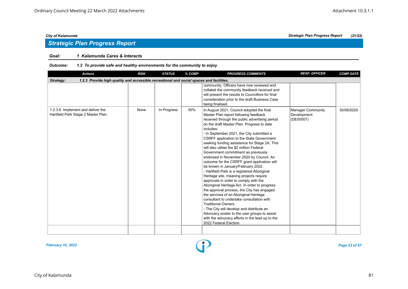## *Strategic Plan Progress Report*

#### *Goal: 1 Kalamunda Cares & Interacts*

| <b>Actions</b>                                                                                        | <b>RISK</b> | <b>STATUS</b> | % COMP | <b>PROGRESS COMMENTS</b>                                                                                                                                                                                                                                                                                                                                                                                                                                                                                                                                                                                                                                                                                                                                                                                                                                                                                                                                                                                                                                                                          | <b>RESP. OFFICER</b>                          | <b>COMP DATE</b> |  |  |  |  |
|-------------------------------------------------------------------------------------------------------|-------------|---------------|--------|---------------------------------------------------------------------------------------------------------------------------------------------------------------------------------------------------------------------------------------------------------------------------------------------------------------------------------------------------------------------------------------------------------------------------------------------------------------------------------------------------------------------------------------------------------------------------------------------------------------------------------------------------------------------------------------------------------------------------------------------------------------------------------------------------------------------------------------------------------------------------------------------------------------------------------------------------------------------------------------------------------------------------------------------------------------------------------------------------|-----------------------------------------------|------------------|--|--|--|--|
| 1.2.3 Provide high quality and accessible recreational and social spaces and facilities.<br>Strategy: |             |               |        |                                                                                                                                                                                                                                                                                                                                                                                                                                                                                                                                                                                                                                                                                                                                                                                                                                                                                                                                                                                                                                                                                                   |                                               |                  |  |  |  |  |
|                                                                                                       |             |               |        | community. Officers have now reviewed and<br>collated the community feedback received and<br>will present the results to Councillors for final<br>consideration prior to the draft Business Case<br>being finalised.                                                                                                                                                                                                                                                                                                                                                                                                                                                                                                                                                                                                                                                                                                                                                                                                                                                                              |                                               |                  |  |  |  |  |
| 1.2.3.6 Implement and deliver the<br>Hartfield Park Stage 2 Master Plan.                              | None        | In Progress   | 50%    | In August 2021, Council adopted the final<br>Master Plan report following feedback<br>received through the public advertising period<br>on the draft Master Plan. Progress to date<br>includes:<br>- In September 2021, the City submitted a<br>CSRFF application to the State Government<br>seeking funding assistance for Stage 2A. This<br>will also utilise the \$2 million Federal<br>Government commitment as previously<br>endorsed in November 2020 by Council. An<br>outcome for the CSRFF grant application will<br>be known in January/February 2022.<br>- Hartfield Park is a registered Aboriginal<br>Heritage site, meaning projects require<br>approvals in order to comply with the<br>Aboriginal Heritage Act. In order to progress<br>the approval process, the City has engaged<br>the services of an Aboriginal Heritage<br>consultant to undertake consultation with<br><b>Traditional Owners.</b><br>- The City will develop and distribute an<br>Advocacy poster to the user groups to assist<br>with the advocacy efforts in the lead up to the<br>2022 Federal Election. | Manager Community<br>Development<br>(DE00007) | 30/06/2025       |  |  |  |  |
|                                                                                                       |             |               |        |                                                                                                                                                                                                                                                                                                                                                                                                                                                                                                                                                                                                                                                                                                                                                                                                                                                                                                                                                                                                                                                                                                   |                                               |                  |  |  |  |  |

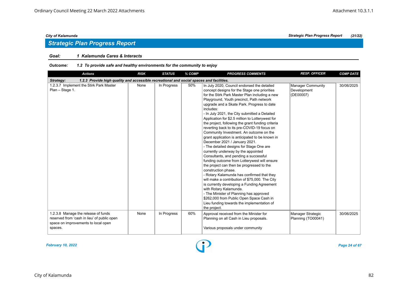## *Strategic Plan Progress Report*

### *Goal: 1 Kalamunda Cares & Interacts*

| <b>Actions</b>                                                                                                                       | <b>RISK</b> | <b>STATUS</b> | % COMP | <b>PROGRESS COMMENTS</b>                                                                                                                                                                                                                                                                                                                                                                                                                                                                                                                                                                                                                                                                                                                                                                                                                                                                                                                                                                                                                                                                                                                                                   | <b>RESP. OFFICER</b>                          | <b>COMP DATE</b> |  |  |  |  |
|--------------------------------------------------------------------------------------------------------------------------------------|-------------|---------------|--------|----------------------------------------------------------------------------------------------------------------------------------------------------------------------------------------------------------------------------------------------------------------------------------------------------------------------------------------------------------------------------------------------------------------------------------------------------------------------------------------------------------------------------------------------------------------------------------------------------------------------------------------------------------------------------------------------------------------------------------------------------------------------------------------------------------------------------------------------------------------------------------------------------------------------------------------------------------------------------------------------------------------------------------------------------------------------------------------------------------------------------------------------------------------------------|-----------------------------------------------|------------------|--|--|--|--|
| 1.2.3 Provide high quality and accessible recreational and social spaces and facilities.<br>Strategy:                                |             |               |        |                                                                                                                                                                                                                                                                                                                                                                                                                                                                                                                                                                                                                                                                                                                                                                                                                                                                                                                                                                                                                                                                                                                                                                            |                                               |                  |  |  |  |  |
| 1.2.3.7 Implement the Stirk Park Master<br>Plan - Stage 1.                                                                           | None        | In Progress   | 50%    | In July 2020, Council endorsed the detailed<br>concept designs for the Stage one priorities<br>for the Stirk Park Master Plan including a new<br>Playground, Youth precinct, Path network<br>upgrade and a Skate Park. Progress to date<br>includes:<br>- In July 2021, the City submitted a Detailed<br>Application for \$2.5 million to Lotterywest for<br>the project, following the grant funding criteria<br>reverting back to its pre-COVID-19 focus on<br>Community Investment. An outcome on the<br>grant application is anticipated to be known in<br>December 2021 / January 2021.<br>- The detailed designs for Stage One are<br>currently underway by the appointed<br>Consultants, and pending a successful<br>funding outcome from Lotterywest will ensure<br>the project can then be progressed to the<br>construction phase.<br>- Rotary Kalamunda has confirmed that they<br>will make a contribution of \$75,000. The City<br>is currently developing a Funding Agreement<br>with Rotary Kalamunda.<br>- The Minister of Planning has approved<br>\$262,000 from Public Open Space Cash in<br>Lieu funding towards the implementation of<br>the project. | Manager Community<br>Development<br>(DE00007) | 30/06/2025       |  |  |  |  |
| 1.2.3.8 Manage the release of funds<br>reserved from 'cash in lieu' of public open<br>space on improvements to local open<br>spaces. | None        | In Progress   | 60%    | Approval received from the Minister for<br>Planning on all Cash in Lieu proposals.<br>Various proposals under community                                                                                                                                                                                                                                                                                                                                                                                                                                                                                                                                                                                                                                                                                                                                                                                                                                                                                                                                                                                                                                                    | Manager Strategic<br>Planning (TO00041)       | 30/06/2025       |  |  |  |  |

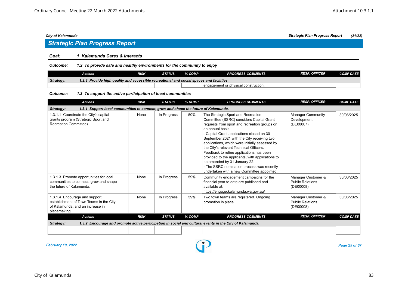## *Strategic Plan Progress Report*

#### *Goal: 1 Kalamunda Cares & Interacts*

*Outcome: 1.2 To provide safe and healthy environments for the community to enjoy*

|           | Actions                                                                                  | RISK | STATUS | % COMP | <b>PROGRESS COMMENTS</b>               | <b>RESP. OFFICER</b> | <b>COMP DATE</b> |
|-----------|------------------------------------------------------------------------------------------|------|--------|--------|----------------------------------------|----------------------|------------------|
| Strategy: | 1.2.3 Provide high quality and accessible recreational and social spaces and facilities. |      |        |        |                                        |                      |                  |
|           |                                                                                          |      |        |        | I engagement or physical construction. |                      |                  |

#### *Outcome: 1.3 To support the active participation of local communities*

| <b>Actions</b>                                                                                                               | <b>RISK</b> | <b>STATUS</b> | % COMP | <b>PROGRESS COMMENTS</b>                                                                                                                                                                                                                                                                                                                                                                                                                                                                                                                                               | <b>RESP. OFFICER</b>                                | <b>COMP DATE</b> |  |  |
|------------------------------------------------------------------------------------------------------------------------------|-------------|---------------|--------|------------------------------------------------------------------------------------------------------------------------------------------------------------------------------------------------------------------------------------------------------------------------------------------------------------------------------------------------------------------------------------------------------------------------------------------------------------------------------------------------------------------------------------------------------------------------|-----------------------------------------------------|------------------|--|--|
| 1.3.1 Support local communities to connect, grow and shape the future of Kalamunda.<br>Strategy:                             |             |               |        |                                                                                                                                                                                                                                                                                                                                                                                                                                                                                                                                                                        |                                                     |                  |  |  |
| 1.3.1.1 Coordinate the City's capital<br>grants program (Strategic Sport and<br>Recreation Committee).                       | None        | In Progress   | 50%    | The Strategic Sport and Recreation<br>Committee (SSRC) considers Capital Grant<br>requests from sport and recreation groups on<br>an annual basis.<br>- Capital Grant applications closed on 30<br>September 2021 with the City receiving two<br>applications, which were initially assessed by<br>the City's relevant Technical Officers.<br>Feedback to refine applications has been<br>provided to the applicants, with applications to<br>be amended by 31 January 22.<br>- The SSRC nomination process was recently<br>undertaken with a new Committee appointed. | Manager Community<br>Development<br>(DE00007)       | 30/06/2025       |  |  |
| 1.3.1.3 Promote opportunities for local<br>communities to connect, grow and shape<br>the future of Kalamunda.                | None        | In Progress   | 59%    | Community engagement campaigns for the<br>financial year to date are published and<br>available at:<br>https://engage.kalamunda.wa.gov.au/                                                                                                                                                                                                                                                                                                                                                                                                                             | Manager Customer &<br>Public Relations<br>(DE00008) | 30/06/2025       |  |  |
| 1.3.1.4 Encourage and support<br>establishment of Town Teams in the City<br>of Kalamunda, and an increase in<br>placemaking. | None        | In Progress   | 59%    | Two town teams are registered. Ongoing<br>promotion in place.                                                                                                                                                                                                                                                                                                                                                                                                                                                                                                          | Manager Customer &<br>Public Relations<br>(DE00008) | 30/06/2025       |  |  |
| <b>Actions</b>                                                                                                               | <b>RISK</b> | <b>STATUS</b> | % COMP | <b>PROGRESS COMMENTS</b>                                                                                                                                                                                                                                                                                                                                                                                                                                                                                                                                               | <b>RESP. OFFICER</b>                                | <b>COMP DATE</b> |  |  |
| Strategy:                                                                                                                    |             |               |        | 1.3.2 Encourage and promote active participation in social and cultural events in the City of Kalamunda.                                                                                                                                                                                                                                                                                                                                                                                                                                                               |                                                     |                  |  |  |
|                                                                                                                              |             |               |        |                                                                                                                                                                                                                                                                                                                                                                                                                                                                                                                                                                        |                                                     |                  |  |  |

*February 10, 2022 Page 25 of 67*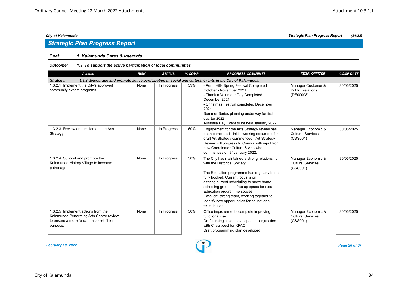## *Strategic Plan Progress Report*

### *Goal: 1 Kalamunda Cares & Interacts*

#### *Outcome: 1.3 To support the active participation of local communities*

| <b>Actions</b>                                                                                                                         | <b>RISK</b> | <b>STATUS</b> | % COMP | <b>PROGRESS COMMENTS</b>                                                                                                                                                                                                                                                                                                                                                                               | <b>RESP. OFFICER</b>                                       | <b>COMP DATE</b> |  |  |  |
|----------------------------------------------------------------------------------------------------------------------------------------|-------------|---------------|--------|--------------------------------------------------------------------------------------------------------------------------------------------------------------------------------------------------------------------------------------------------------------------------------------------------------------------------------------------------------------------------------------------------------|------------------------------------------------------------|------------------|--|--|--|
| 1.3.2 Encourage and promote active participation in social and cultural events in the City of Kalamunda.<br>Strategy:                  |             |               |        |                                                                                                                                                                                                                                                                                                                                                                                                        |                                                            |                  |  |  |  |
| 1.3.2.1 Implement the City's approved<br>community events programs.                                                                    | None        | In Progress   | 59%    | - Perth Hills Spring Festival Completed<br>October - November 2021<br>- Thank a Volunteer Day Completed<br>December 2021<br>- Christmas Festival completed December<br>2021<br>Summer Series planning underway for first<br>quarter 2022.<br>Australia Day Event to be held January 2022.                                                                                                              | Manager Customer &<br><b>Public Relations</b><br>(DE00008) | 30/06/2025       |  |  |  |
| 1.3.2.3 Review and implement the Arts<br>Strategy.                                                                                     | None        | In Progress   | 60%    | Engagement for the Arts Strategy review has<br>been completed - initial working document for<br>draft Art Strategy commenced. Art Strategy<br>Review will progress to Council with input from<br>new Coordinator Culture & Arts who<br>commences on 31 January 2022.                                                                                                                                   | Manager Economic &<br><b>Cultural Services</b><br>(CSS001) | 30/06/2025       |  |  |  |
| 1.3.2.4 Support and promote the<br>Kalamunda History Village to increase<br>patronage.                                                 | None        | In Progress   | 50%    | The City has maintained a strong relationship<br>with the Historical Society.<br>The Education programme has regularly been<br>fully booked. Current focus is on<br>altering current scheduling to move home<br>schooling groups to free up space for extra<br>Education programme spaces.<br>Excellent strong team, working together to<br>identify new opportunities for educational<br>experiences. | Manager Economic &<br><b>Cultural Services</b><br>(CSS001) | 30/06/2025       |  |  |  |
| 1.3.2.5 Implement actions from the<br>Kalamunda Performing Arts Centre review<br>to ensure a more functional asset fit for<br>purpose. | None        | In Progress   | 50%    | Office improvements complete improving<br>functional use.<br>Draft strategic plan developed in conjunction<br>with Circuitwest for KPAC.<br>Draft programming plan developed.                                                                                                                                                                                                                          | Manager Economic &<br><b>Cultural Services</b><br>(CSS001) | 30/06/2025       |  |  |  |

*February 10, 2022 Page 26 of 67*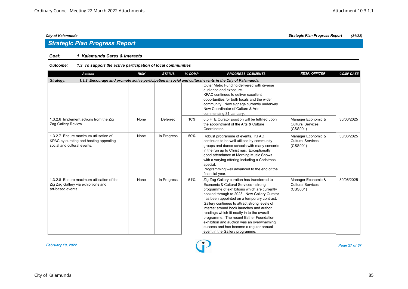## *Strategic Plan Progress Report*

### *Goal: 1 Kalamunda Cares & Interacts*

#### *Outcome: 1.3 To support the active participation of local communities*

| <b>Actions</b>                                                                                                 | <b>RISK</b> | <b>STATUS</b> | % COMP | <b>PROGRESS COMMENTS</b>                                                                                                                                                                                                                                                                                                                                                                                                                                                                                                                              | <b>RESP. OFFICER</b>                                       | <b>COMP DATE</b> |
|----------------------------------------------------------------------------------------------------------------|-------------|---------------|--------|-------------------------------------------------------------------------------------------------------------------------------------------------------------------------------------------------------------------------------------------------------------------------------------------------------------------------------------------------------------------------------------------------------------------------------------------------------------------------------------------------------------------------------------------------------|------------------------------------------------------------|------------------|
| Strategy:                                                                                                      |             |               |        | 1.3.2 Encourage and promote active participation in social and cultural events in the City of Kalamunda.                                                                                                                                                                                                                                                                                                                                                                                                                                              |                                                            |                  |
|                                                                                                                |             |               |        | Outer Metro Funding delivered with diverse<br>audience and exposure.<br>KPAC continues to deliver excellent<br>opportunities for both locals and the wider<br>community. New signage currently underway.<br>New Coordinator of Culture & Arts<br>commencing 31 January.                                                                                                                                                                                                                                                                               |                                                            |                  |
| 1.3.2.6 Implement actions from the Zig<br>Zag Gallery Review.                                                  | None        | Deferred      | 10%    | 0.5 FTE Curator position will be fulfilled upon<br>the appointment of the Arts & Culture<br>Coordinator.                                                                                                                                                                                                                                                                                                                                                                                                                                              | Manager Economic &<br>Cultural Services<br>(CSS001)        | 30/06/2025       |
| 1.3.2.7 Ensure maximum utilisation of<br>KPAC by curating and hosting appealing<br>social and cultural events. | None        | In Progress   | 50%    | Robust programme of events. KPAC<br>continues to be well utilised by community<br>groups and dance schools with many concerts<br>in the run up to Christmas. Exceptionally<br>good attendance at Morning Music Shows<br>with a varying offering including a Christmas<br>special.<br>Programming well advanced to the end of the<br>financial year.                                                                                                                                                                                                   | Manager Economic &<br><b>Cultural Services</b><br>(CSS001) | 30/06/2025       |
| 1.3.2.8 Ensure maximum utilisation of the<br>Zig Zag Gallery via exhibitions and<br>art-based events.          | None        | In Progress   | 51%    | Zig Zag Gallery curation has transferred to<br>Economic & Cultural Services - strong<br>programme of exhibitions which are currently<br>booked through to 2023. New Gallery Curator<br>has been appointed on a temporary contract.<br>Gallery continues to attract strong levels of<br>interest around book launches and author<br>readings which fit neatly in to the overall<br>programme. The recent Esther Foundation<br>exhibition and auction was an overwhelming<br>success and has become a regular annual<br>event in the Gallery programme. | Manager Economic &<br><b>Cultural Services</b><br>(CSS001) | 30/06/2025       |

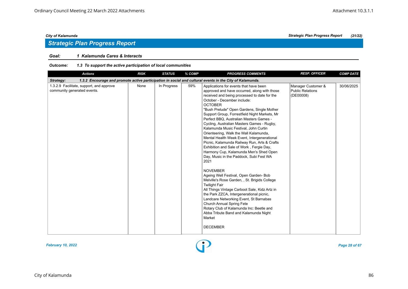## *Strategic Plan Progress Report*

### *Goal: 1 Kalamunda Cares & Interacts*

#### *Outcome: 1.3 To support the active participation of local communities*

| <b>Actions</b>                                                          | <b>RISK</b> | <b>STATUS</b> | % COMP | <b>PROGRESS COMMENTS</b>                                                                                                                                                                                                                                                                                                                                                                                                                                                                                                                                                                                                                                                                                                                                                                                                                                                                                                                                                                                                                                                                                                               | <b>RESP. OFFICER</b>                                       | <b>COMP DATE</b> |
|-------------------------------------------------------------------------|-------------|---------------|--------|----------------------------------------------------------------------------------------------------------------------------------------------------------------------------------------------------------------------------------------------------------------------------------------------------------------------------------------------------------------------------------------------------------------------------------------------------------------------------------------------------------------------------------------------------------------------------------------------------------------------------------------------------------------------------------------------------------------------------------------------------------------------------------------------------------------------------------------------------------------------------------------------------------------------------------------------------------------------------------------------------------------------------------------------------------------------------------------------------------------------------------------|------------------------------------------------------------|------------------|
| Strategy:                                                               |             |               |        | 1.3.2 Encourage and promote active participation in social and cultural events in the City of Kalamunda.                                                                                                                                                                                                                                                                                                                                                                                                                                                                                                                                                                                                                                                                                                                                                                                                                                                                                                                                                                                                                               |                                                            |                  |
| 1.3.2.9 Facilitate, support, and approve<br>community generated events. | None        | In Progress   | 59%    | Applications for events that have been<br>approved and have occurred, along with those<br>received and being processed to date for the<br>October - December include:<br><b>OCTOBER</b><br>"Bush Prelude" Open Gardens, Single Mother<br>Support Group, Forrestfield Night Markets, Mr<br>Perfect BBQ, Australian Masters Games -<br>Cycling, Australian Masters Games - Rugby,<br>Kalamunda Music Festival, John Curtin<br>Orienteering, Walk the Wall Kalamunda,<br>Mental Health Week Event, Intergenerational<br>Picnic, Kalamunda Railway Run, Arts & Crafts<br>Exhibition and Sale of Work, Fergie Day,<br>Harmony Cup, Kalamunda Men's Shed Open<br>Day, Music in the Paddock, Subi Fest WA<br>2021<br><b>NOVEMBER</b><br>Ageing Well Festival, Open Garden- Bob<br>Melville's Rose Garden, , St. Brigids College<br><b>Twilight Fair</b><br>All Things Vintage Carboot Sale, Kidz Artz in<br>the Park ZZCA, Intergenerational picnic,<br>Landcare Networking Event, St Barnabas<br>Church Annual Spring Fete<br>Rotary Club of Kalamunda Inc: Beetle and<br>Abba Tribute Band and Kalamunda Night<br>Market<br><b>DECEMBER</b> | Manager Customer &<br><b>Public Relations</b><br>(DE00008) | 30/06/2025       |

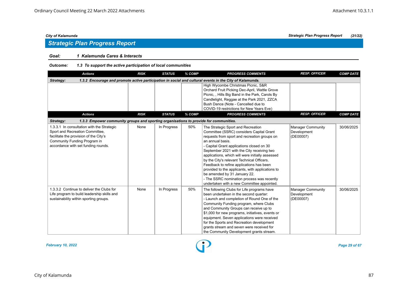## *Strategic Plan Progress Report*

### *Goal: 1 Kalamunda Cares & Interacts*

#### *Outcome: 1.3 To support the active participation of local communities*

| <b>Actions</b>                                                                                                                                                                                 | <b>RISK</b> | <b>STATUS</b> | % COMP | <b>PROGRESS COMMENTS</b>                                                                                                                                                                                                                                                                                                                                                                                                                                                                                                                                                    | <b>RESP. OFFICER</b>                                 | <b>COMP DATE</b> |
|------------------------------------------------------------------------------------------------------------------------------------------------------------------------------------------------|-------------|---------------|--------|-----------------------------------------------------------------------------------------------------------------------------------------------------------------------------------------------------------------------------------------------------------------------------------------------------------------------------------------------------------------------------------------------------------------------------------------------------------------------------------------------------------------------------------------------------------------------------|------------------------------------------------------|------------------|
| Strategy:                                                                                                                                                                                      |             |               |        | 1.3.2 Encourage and promote active participation in social and cultural events in the City of Kalamunda.                                                                                                                                                                                                                                                                                                                                                                                                                                                                    |                                                      |                  |
|                                                                                                                                                                                                |             |               |        | High Wycombe Christmas Picnic, S&R<br>Orchard Fruit Picking Dec-April, Wattle Grove<br>Picnic,, Hills Big Band in the Park, Carols By<br>Candlelight, Reggae at the Park 2021, ZZCA<br>Bush Dance (Note - Cancelled due to<br>COVID-19 restrictions for New Years Eve)                                                                                                                                                                                                                                                                                                      |                                                      |                  |
| <b>Actions</b>                                                                                                                                                                                 | <b>RISK</b> | <b>STATUS</b> | % COMP | <b>PROGRESS COMMENTS</b>                                                                                                                                                                                                                                                                                                                                                                                                                                                                                                                                                    | <b>RESP. OFFICER</b>                                 | <b>COMP DATE</b> |
| Strategy:<br>1.3.3 Empower community groups and sporting organisations to provide for communities.                                                                                             |             |               |        |                                                                                                                                                                                                                                                                                                                                                                                                                                                                                                                                                                             |                                                      |                  |
| 1.3.3.1 In consultation with the Strategic<br>Sport and Recreation Committee,<br>facilitate the provision of the City's<br>Community Funding Program in<br>accordance with set funding rounds. | None        | In Progress   | 50%    | The Strategic Sport and Recreation<br>Committee (SSRC) considers Capital Grant<br>requests from sport and recreation groups on<br>an annual basis.<br>- Capital Grant applications closed on 30<br>September 2021 with the City receiving two<br>applications, which will were initially assessed<br>by the City's relevant Technical Officers.<br>Feedback to refine applications has been<br>provided to the applicants, with applications to<br>be amended by 31 January 22.<br>- The SSRC nomination process was recently<br>undertaken with a new Committee appointed. | <b>Manager Community</b><br>Development<br>(DE00007) | 30/06/2025       |
| 1.3.3.2 Continue to deliver the Clubs for<br>Life program to build leadership skills and<br>sustainability within sporting groups.                                                             | None        | In Progress   | 50%    | The following Clubs for Life programs have<br>been undertaken in the second quarter:<br>- Launch and completion of Round One of the<br>Community Funding program, where Clubs<br>and Community Groups can receive up to<br>\$1,000 for new programs, initiatives, events or<br>equipment. Seven applications were received<br>for the Sports and Recreation development<br>grants stream and seven were received for<br>the Community Development grants stream.                                                                                                            | <b>Manager Community</b><br>Development<br>(DE00007) | 30/06/2025       |

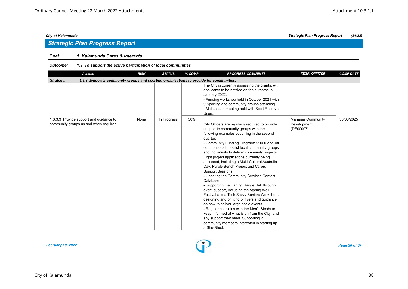### *Goal: 1 Kalamunda Cares & Interacts*

#### *Outcome: 1.3 To support the active participation of local communities*

| <b>Actions</b>                                                                                     | <b>RISK</b> | <b>STATUS</b> | % COMP | <b>PROGRESS COMMENTS</b>                                                                                                                                                                                                                                                                                                                                                                                                                                                                                                                                                                                                                                                                                                                                                                                                                                                                                                                                            | <b>RESP. OFFICER</b>                                 | <b>COMP DATE</b> |
|----------------------------------------------------------------------------------------------------|-------------|---------------|--------|---------------------------------------------------------------------------------------------------------------------------------------------------------------------------------------------------------------------------------------------------------------------------------------------------------------------------------------------------------------------------------------------------------------------------------------------------------------------------------------------------------------------------------------------------------------------------------------------------------------------------------------------------------------------------------------------------------------------------------------------------------------------------------------------------------------------------------------------------------------------------------------------------------------------------------------------------------------------|------------------------------------------------------|------------------|
| 1.3.3 Empower community groups and sporting organisations to provide for communities.<br>Strategy: |             |               |        |                                                                                                                                                                                                                                                                                                                                                                                                                                                                                                                                                                                                                                                                                                                                                                                                                                                                                                                                                                     |                                                      |                  |
|                                                                                                    |             |               |        | The City is currently assessing the grants, with<br>applicants to be notified on the outcome in<br>January 2022.<br>- Funding workshop held in October 2021 with<br>9 Sporting and community groups attending.<br>- Mid season meeting held with Scott Reserve<br>Users.                                                                                                                                                                                                                                                                                                                                                                                                                                                                                                                                                                                                                                                                                            |                                                      |                  |
| 1.3.3.3 Provide support and guidance to<br>community groups as and when required.                  | None        | In Progress   | 50%    | City Officers are regularly required to provide<br>support to community groups with the<br>following examples occurring in the second<br>quarter:<br>- Community Funding Program: \$1000 one-off<br>contributions to assist local community groups<br>and individuals to deliver community projects.<br>Eight project applications currently being<br>assessed, including a Multi-Cultural Australia<br>Day, Purple Bench Project and Carers<br>Support Sessions.<br>- Updating the Community Services Contact<br>Database<br>- Supporting the Darling Range Hub through<br>event support, including the Ageing Well<br>Festival and a Tech Savvy Seniors Workshop,<br>designing and printing of flyers and guidance<br>on how to deliver large scale events.<br>- Regular check ins with the Men's Sheds to<br>keep informed of what is on from the City, and<br>any support they need. Supporting 2<br>community members interested in starting up<br>a She-Shed. | <b>Manager Community</b><br>Development<br>(DE00007) | 30/06/2025       |



*City of Kalamunda Strategic Plan Progress Report (21/22)*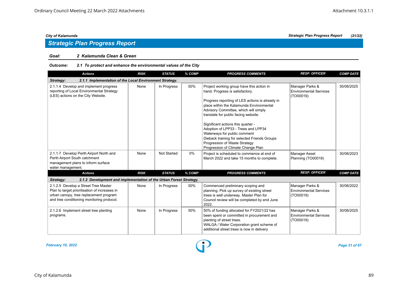#### *Goal: 2 Kalamunda Clean & Green*

#### *Outcome: 2.1 To protect and enhance the environmental values of the City*

| <b>Actions</b>                                                                                                                                                                | <b>RISK</b> | <b>STATUS</b>      | % COMP | <b>PROGRESS COMMENTS</b>                                                                                                                                                                                                                                                                                                                                                                                                                                                                         | <b>RESP. OFFICER</b>                                          | <b>COMP DATE</b> |
|-------------------------------------------------------------------------------------------------------------------------------------------------------------------------------|-------------|--------------------|--------|--------------------------------------------------------------------------------------------------------------------------------------------------------------------------------------------------------------------------------------------------------------------------------------------------------------------------------------------------------------------------------------------------------------------------------------------------------------------------------------------------|---------------------------------------------------------------|------------------|
| 2.1.1 Implementation of the Local Environment Strategy.<br>Strategy:                                                                                                          |             |                    |        |                                                                                                                                                                                                                                                                                                                                                                                                                                                                                                  |                                                               |                  |
| 2.1.1.4 Develop and implement progress<br>reporting of Local Environmental Strategy<br>(LES) actions on the City Website.                                                     | None        | In Progress        | 50%    | Project working group have this action in<br>hand. Progress is satisfactory.<br>Progress reporting of LES actions is already in<br>place within the Kalamunda Environmental<br>Advisory Committee, which will simply<br>translate for public facing website.<br>Significant actions this quarter -<br>Adoption of LPP33 - Trees and LPP34<br>Waterways for public comment<br>Dieback training for selected Friends Groups<br>Progression of Waste Strategy<br>Progression of Climate Change Plan | Manager Parks &<br><b>Environmental Services</b><br>(TO00019) | 30/06/2025       |
| 2.1.1.7 Develop Perth Airport North and<br>Perth Airport South catchment<br>management plans to inform surface<br>water management.                                           | None        | <b>Not Started</b> | 0%     | Project is scheduled to commence at end of<br>March 2022 and take 15 months to complete.                                                                                                                                                                                                                                                                                                                                                                                                         | <b>Manager Asset</b><br>Planning (TO00018)                    | 30/06/2023       |
| <b>Actions</b>                                                                                                                                                                | <b>RISK</b> | <b>STATUS</b>      | % COMP | <b>PROGRESS COMMENTS</b>                                                                                                                                                                                                                                                                                                                                                                                                                                                                         | <b>RESP. OFFICER</b>                                          | <b>COMP DATE</b> |
| 2.1.2 Development and implementation of the Urban Forest Strategy.<br>Strategy:                                                                                               |             |                    |        |                                                                                                                                                                                                                                                                                                                                                                                                                                                                                                  |                                                               |                  |
| 2.1.2.5 Develop a Street Tree Master<br>Plan to target prioritisation of increases in<br>urban canopy, tree replacement program<br>and tree conditioning monitoring protocol. | None        | In Progress        | 50%    | Commenced preliminary scoping and<br>planning. Pick up survey of existing street<br>trees is well underway. Master Plan for<br>Council review will be completed by end June<br>2022.                                                                                                                                                                                                                                                                                                             | Manager Parks &<br><b>Environmental Services</b><br>(TO00019) | 30/06/2022       |
| 2.1.2.6 Implement street tree planting<br>programs.                                                                                                                           | None        | In Progress        | 50%    | 50% of funding allocated for FY2021/22 has<br>been spent or committed in procurement and<br>planting of street trees.<br>WALGA / Water Corporation grant scheme of<br>additional street trees is now in delivery                                                                                                                                                                                                                                                                                 | Manager Parks &<br><b>Environmental Services</b><br>(TO00019) | 30/06/2025       |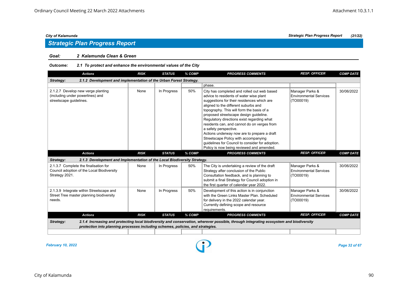#### *Goal: 2 Kalamunda Clean & Green*

#### *Outcome: 2.1 To protect and enhance the environmental values of the City*

| <b>Actions</b>                                                                                        | <b>RISK</b> | <b>STATUS</b> | % COMP | <b>PROGRESS COMMENTS</b>                                                                                                                                                                                                                                                                                                                                                                                                                                                                                                                                                          | <b>RESP. OFFICER</b>                                          | <b>COMP DATE</b> |
|-------------------------------------------------------------------------------------------------------|-------------|---------------|--------|-----------------------------------------------------------------------------------------------------------------------------------------------------------------------------------------------------------------------------------------------------------------------------------------------------------------------------------------------------------------------------------------------------------------------------------------------------------------------------------------------------------------------------------------------------------------------------------|---------------------------------------------------------------|------------------|
| 2.1.2 Development and implementation of the Urban Forest Strategy.<br>Strategy:                       |             |               |        |                                                                                                                                                                                                                                                                                                                                                                                                                                                                                                                                                                                   |                                                               |                  |
|                                                                                                       |             |               |        | phase.                                                                                                                                                                                                                                                                                                                                                                                                                                                                                                                                                                            |                                                               |                  |
| 2.1.2.7 Develop new verge planting<br>(including under powerlines) and<br>streetscape guidelines.     | None        | In Progress   | 50%    | City has completed and rolled out web based<br>advice to residents of water wise plant<br>suggestions for their residences which are<br>aligned to the different suburbs and<br>topography. This will form the basis of a<br>proposed streetscape design quideline.<br>Regulatory directions exist regarding what<br>residents can, and cannot do on verges from<br>a safety perspective.<br>Actions underway now are to prepare a draft<br>Streetscape Policy with accompanying<br>quidelines for Council to consider for adoption.<br>Policy is now being reviewed and amended. | Manager Parks &<br><b>Environmental Services</b><br>(TO00019) | 30/06/2022       |
| <b>Actions</b>                                                                                        | <b>RISK</b> | <b>STATUS</b> | % COMP | <b>PROGRESS COMMENTS</b>                                                                                                                                                                                                                                                                                                                                                                                                                                                                                                                                                          | <b>RESP. OFFICER</b>                                          | <b>COMP DATE</b> |
| 2.1.3 Development and Implementation of the Local Biodiversity Strategy.<br>Strategy:                 |             |               |        |                                                                                                                                                                                                                                                                                                                                                                                                                                                                                                                                                                                   |                                                               |                  |
| 2.1.3.7 Complete the finalisation for<br>Council adoption of the Local Biodiversity<br>Strategy 2021. | None        | In Progress   | 50%    | The City is undertaking a review of the draft<br>Strategy after conclusion of the Public<br>Consultation feedback, and is planning to<br>submit a final Strategy for Council adoption in<br>the first quarter of calendar year 2022.                                                                                                                                                                                                                                                                                                                                              | Manager Parks &<br><b>Environmental Services</b><br>(TO00019) | 30/06/2022       |
| 2.1.3.9 Integrate within Streetscape and<br>Street Tree master planning biodiversity<br>needs.        | None        | In Progress   | 50%    | Development of this action is in conjunction<br>with the Green Links Master Plan, Scheduled<br>for delivery in the 2022 calendar year.<br>Currently defining scope and resource<br>requirements.                                                                                                                                                                                                                                                                                                                                                                                  | Manager Parks &<br><b>Environmental Services</b><br>(TO00019) | 30/06/2022       |
| <b>Actions</b>                                                                                        | <b>RISK</b> | <b>STATUS</b> | % COMP | <b>PROGRESS COMMENTS</b>                                                                                                                                                                                                                                                                                                                                                                                                                                                                                                                                                          | <b>RESP. OFFICER</b>                                          | <b>COMP DATE</b> |
| Strategy:<br>protection into planning processes including schemes, policies, and strategies.          |             |               |        | 2.1.4 Increasing and protecting local biodiversity and conservation, wherever possible, through integrating ecosystem and biodiversity                                                                                                                                                                                                                                                                                                                                                                                                                                            |                                                               |                  |

*February 10, 2022 Page 32 of 67*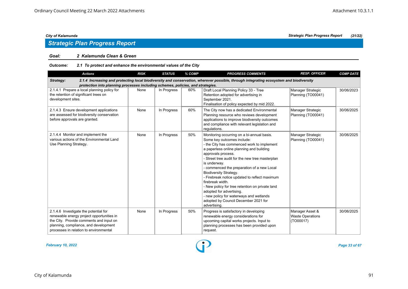## *Strategic Plan Progress Report*

#### *Goal: 2 Kalamunda Clean & Green*

#### *Outcome: 2.1 To protect and enhance the environmental values of the City*

| <b>Actions</b>                                                                                                                                                                                                   | <b>RISK</b> | <b>STATUS</b> | % COMP | <b>PROGRESS COMMENTS</b>                                                                                                                                                                                                                                                                                                                                                                                                                                                                                                                                                                          | <b>RESP. OFFICER</b>                                    | <b>COMP DATE</b> |
|------------------------------------------------------------------------------------------------------------------------------------------------------------------------------------------------------------------|-------------|---------------|--------|---------------------------------------------------------------------------------------------------------------------------------------------------------------------------------------------------------------------------------------------------------------------------------------------------------------------------------------------------------------------------------------------------------------------------------------------------------------------------------------------------------------------------------------------------------------------------------------------------|---------------------------------------------------------|------------------|
| Strategy:                                                                                                                                                                                                        |             |               |        | 2.1.4 Increasing and protecting local biodiversity and conservation, wherever possible, through integrating ecosystem and biodiversity                                                                                                                                                                                                                                                                                                                                                                                                                                                            |                                                         |                  |
| protection into planning processes including schemes, policies, and strategies.<br>2.1.4.1 Prepare a local planning policy for<br>the retention of significant trees on<br>development sites.                    | None        | In Progress   | 60%    | Draft Local Planning Policy 33 - Tree<br>Retention adopted for advertising in<br>September 2021.<br>Finalisation of policy expected by mid 2022.                                                                                                                                                                                                                                                                                                                                                                                                                                                  | Manager Strategic<br>Planning (TO00041)                 | 30/06/2023       |
| 2.1.4.3 Ensure development applications<br>are assessed for biodiversity conservation<br>before approvals are granted.                                                                                           | None        | In Progress   | 60%    | The City now has a dedicated Environmental<br>Planning resource who reviews development<br>applications to improve biodiversity outcomes<br>and compliance with relevant legislation and<br>regulations.                                                                                                                                                                                                                                                                                                                                                                                          | Manager Strategic<br>Planning (TO00041)                 | 30/06/2025       |
| 2.1.4.4 Monitor and implement the<br>various actions of the Environmental Land<br>Use Planning Strategy.                                                                                                         | None        | In Progress   | 50%    | Monitoring occurring on a bi-annual basis.<br>Some key outcomes include:<br>- the City has commenced work to implement<br>a paperless online planning and building<br>approvals process.<br>- Street tree audit for the new tree masterplan<br>is underway.<br>- commenced the preparation of a new Local<br><b>Biodiversity Strategy.</b><br>- Firebreak notice updated to reflect maximum<br>firebreak width.<br>- New policy for tree retention on private land<br>adopted for advertising.<br>- new policy for waterways and wetlands<br>adopted by Council December 2021 for<br>advertising. | Manager Strategic<br>Planning (TO00041)                 | 30/06/2025       |
| 2.1.4.6 Investigate the potential for<br>renewable energy project opportunities in<br>the City. Provide comments and input on<br>planning, compliance, and development<br>processes in relation to environmental | None        | In Progress   | 50%    | Progress is satisfactory in developing<br>renewable energy considerations for<br>upcoming capital works projects. Input to<br>planning processes has been provided upon<br>request.                                                                                                                                                                                                                                                                                                                                                                                                               | Manager Asset &<br><b>Waste Operations</b><br>(TO00017) | 30/06/2025       |

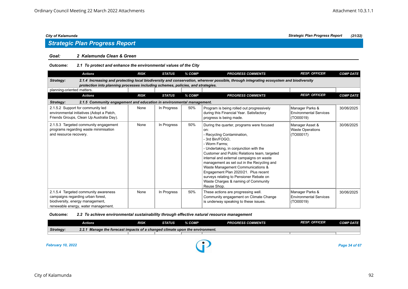#### *Goal: 2 Kalamunda Clean & Green*

| <b>Outcome:</b> | 2.1 To protect and enhance the environmental values of the City |
|-----------------|-----------------------------------------------------------------|
|-----------------|-----------------------------------------------------------------|

| <b>Actions</b>                                                                                                                                                                                                                         | <b>RISK</b> | <b>STATUS</b> | % COMP | <b>PROGRESS COMMENTS</b>                                                                                                                                                                                                                                                                                                                                                                                                                                                           | <b>RESP. OFFICER</b>                                          | <b>COMP DATE</b> |  |  |  |
|----------------------------------------------------------------------------------------------------------------------------------------------------------------------------------------------------------------------------------------|-------------|---------------|--------|------------------------------------------------------------------------------------------------------------------------------------------------------------------------------------------------------------------------------------------------------------------------------------------------------------------------------------------------------------------------------------------------------------------------------------------------------------------------------------|---------------------------------------------------------------|------------------|--|--|--|
| 2.1.4 Increasing and protecting local biodiversity and conservation, wherever possible, through integrating ecosystem and biodiversity<br>Strategy:<br>protection into planning processes including schemes, policies, and strategies. |             |               |        |                                                                                                                                                                                                                                                                                                                                                                                                                                                                                    |                                                               |                  |  |  |  |
| planning-oriented matters.                                                                                                                                                                                                             |             |               |        |                                                                                                                                                                                                                                                                                                                                                                                                                                                                                    |                                                               |                  |  |  |  |
| <b>Actions</b>                                                                                                                                                                                                                         | <b>RISK</b> | <b>STATUS</b> | % COMP | <b>PROGRESS COMMENTS</b>                                                                                                                                                                                                                                                                                                                                                                                                                                                           | <b>RESP. OFFICER</b>                                          | <b>COMP DATE</b> |  |  |  |
| 2.1.5 Community engagement and education in environmental management.<br>Strategy:                                                                                                                                                     |             |               |        |                                                                                                                                                                                                                                                                                                                                                                                                                                                                                    |                                                               |                  |  |  |  |
| 2.1.5.2 Support for community led<br>environmental initiatives (Adopt a Patch,<br>Friends Groups, Clean Up Australia Day).                                                                                                             | None        | In Progress   | 50%    | Program is being rolled out progressively<br>during this Financial Year. Satisfactory<br>progress is being made.                                                                                                                                                                                                                                                                                                                                                                   | Manager Parks &<br><b>Environmental Services</b><br>(TO00019) | 30/06/2025       |  |  |  |
| 2.1.5.3 Targeted community engagement<br>programs regarding waste minimisation<br>and resource recovery.                                                                                                                               | None        | In Progress   | 50%    | During the quarter, programs were focused<br>on:<br>Recycling Contamination,<br>- 3rd Bin/FOGO.<br>- Worm Farms:<br>- Undertaking, in conjunction with the<br>Customer and Public Relations team, targeted<br>internal and external campaigns on waste<br>management as set out in the Recycling and<br>Waste Management Communications &<br>Engagement Plan 2020/21. Plus recent<br>surveys relating to Pensioner Rebate on<br>Waste Charges & naming of Community<br>Reuse Shop. | Manager Asset &<br><b>Waste Operations</b><br>(TO00017)       | 30/06/2025       |  |  |  |
| 2.1.5.4 Targeted community awareness<br>campaigns regarding urban forest,<br>biodiversity, energy management,<br>renewable energy, water management.                                                                                   | None        | In Progress   | 50%    | These actions are progressing well.<br>Community engagement on Climate Change<br>is underway speaking to these issues.                                                                                                                                                                                                                                                                                                                                                             | Manager Parks &<br>Environmental Services<br>(TO00019)        | 30/06/2025       |  |  |  |

### *Outcome: 2.2 To achieve environmental sustainability through effective natural resource management*

|                          | Actions                                                                      | <b>RISK</b> | <b>STATUS</b> | % COMP | <b>PROGRESS COMMENTS</b> | <b>RESP. OFFICER</b> | <b>COMP DATE</b> |
|--------------------------|------------------------------------------------------------------------------|-------------|---------------|--------|--------------------------|----------------------|------------------|
| Strategy:                | 2.2.1 Manage the forecast impacts of a changed climate upon the environment. |             |               |        |                          |                      |                  |
|                          |                                                                              |             |               |        |                          |                      |                  |
|                          |                                                                              |             |               |        |                          |                      |                  |
| <b>February 10, 2022</b> |                                                                              |             |               |        |                          |                      | Page 34 of 67    |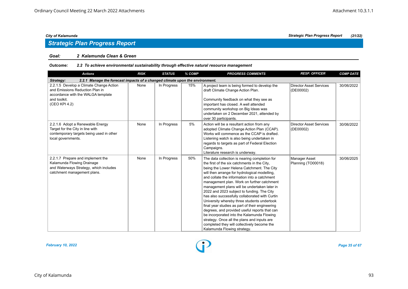## *Strategic Plan Progress Report*

#### *Goal: 2 Kalamunda Clean & Green*

#### *Outcome: 2.2 To achieve environmental sustainability through effective natural resource management*

| <b>Actions</b>                                                                                                                                    | <b>RISK</b> | <b>STATUS</b> | % COMP | <b>PROGRESS COMMENTS</b>                                                                                                                                                                                                                                                                                                                                                                                                                                                                                                                                                                                                                                                                                                                                                 | <b>RESP. OFFICER</b>                        | <b>COMP DATE</b> |  |  |  |  |
|---------------------------------------------------------------------------------------------------------------------------------------------------|-------------|---------------|--------|--------------------------------------------------------------------------------------------------------------------------------------------------------------------------------------------------------------------------------------------------------------------------------------------------------------------------------------------------------------------------------------------------------------------------------------------------------------------------------------------------------------------------------------------------------------------------------------------------------------------------------------------------------------------------------------------------------------------------------------------------------------------------|---------------------------------------------|------------------|--|--|--|--|
| 2.2.1 Manage the forecast impacts of a changed climate upon the environment.<br>Strategy:                                                         |             |               |        |                                                                                                                                                                                                                                                                                                                                                                                                                                                                                                                                                                                                                                                                                                                                                                          |                                             |                  |  |  |  |  |
| 2.2.1.5 Develop a Climate Change Action<br>and Emissions Reduction Plan in<br>accordance with the WALGA template<br>and toolkit.<br>(CEO KPI 4.2) | None        | In Progress   | 15%    | A project team is being formed to develop the<br>draft Climate Change Action Plan.<br>Community feedback on what they see as<br>important has closed. A well attended<br>community workshop on Big Ideas was<br>undertaken on 2 December 2021, attended by<br>over 30 participants.                                                                                                                                                                                                                                                                                                                                                                                                                                                                                      | Director Asset Services<br>(DE00002)        | 30/06/2022       |  |  |  |  |
| 2.2.1.6 Adopt a Renewable Energy<br>Target for the City in line with<br>contemporary targets being used in other<br>local governments.            | None        | In Progress   | 5%     | Action will be a resultant action from any<br>adopted Climate Change Action Plan (CCAP).<br>Works will commence as the CCAP is drafted.<br>Listening watch is also being undertaken in<br>regards to targets as part of Federal Election<br>Campaigns.<br>Literature research is underway.                                                                                                                                                                                                                                                                                                                                                                                                                                                                               | <b>Director Asset Services</b><br>(DE00002) | 30/06/2022       |  |  |  |  |
| 2.2.1.7 Prepare and implement the<br>Kalamunda Flowing Drainage<br>and Waterways Strategy, which includes<br>catchment management plans.          | None        | In Progress   | 50%    | The data collection is nearing completion for<br>the first of the six catchments in the City,<br>being the Lower Helena Catchment. The City<br>will then arrange for hydrological modelling.<br>and collate the information into a catchment<br>management plan. Work on further catchment<br>management plans will be undertaken later in<br>2022 and 2023 subject to funding. The City<br>has also successfully collaborated with Curtin<br>University whereby three students undertook<br>final year studies as part of their engineering<br>degrees, and provided useful reports that can<br>be incorporated into the Kalamunda Flowing<br>strategy. Once all the plans and inputs are<br>completed they will collectively become the<br>Kalamunda Flowing strategy. | Manager Asset<br>Planning (TO00018)         | 30/06/2025       |  |  |  |  |

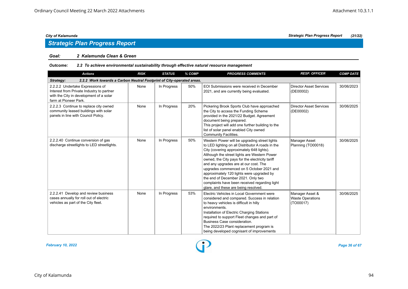#### *Goal: 2 Kalamunda Clean & Green*

#### *Outcome: 2.2 To achieve environmental sustainability through effective natural resource management*

| <b>Actions</b>                                                                                                                                    | <b>RISK</b> | <b>STATUS</b> | % COMP | <b>PROGRESS COMMENTS</b>                                                                                                                                                                                                                                                                                                                                                                                                                                                                                            | <b>RESP. OFFICER</b>                                    | <b>COMP DATE</b> |  |  |  |  |
|---------------------------------------------------------------------------------------------------------------------------------------------------|-------------|---------------|--------|---------------------------------------------------------------------------------------------------------------------------------------------------------------------------------------------------------------------------------------------------------------------------------------------------------------------------------------------------------------------------------------------------------------------------------------------------------------------------------------------------------------------|---------------------------------------------------------|------------------|--|--|--|--|
| 2.2.2 Work towards a Carbon Neutral Footprint of City-operated areas.<br>Strategy:                                                                |             |               |        |                                                                                                                                                                                                                                                                                                                                                                                                                                                                                                                     |                                                         |                  |  |  |  |  |
| 2.2.2.2 Undertake Expressions of<br>Interest from Private Industry to partner<br>with the City in development of a solar<br>farm at Pioneer Park. | None        | In Progress   | 50%    | EOI Submissions were received in December<br>2021, and are currently being evaluated.                                                                                                                                                                                                                                                                                                                                                                                                                               | <b>Director Asset Services</b><br>(DE00002)             | 30/06/2023       |  |  |  |  |
| 2.2.2.3 Continue to replace city owned<br>community leased buildings with solar<br>panels in line with Council Policy.                            | None        | In Progress   | 20%    | Pickering Brook Sports Club have approached<br>the City to access the Funding Scheme<br>provided in the 2021/22 Budget. Agreement<br>document being prepared.<br>This project will add one further building to the<br>list of solar panel enabled City owned<br><b>Community Facilities.</b>                                                                                                                                                                                                                        | <b>Director Asset Services</b><br>(DE00002)             | 30/06/2025       |  |  |  |  |
| 2.2.2.40 Continue conversion of gas<br>discharge streetlights to LED streetlights.                                                                | None        | In Progress   | 50%    | Western Power will be upgrading street lights<br>to LED lighting on all Distributor A roads in the<br>City (covering approximately 648 lights).<br>Although the street lights are Western Power<br>owned, the City pays for the electricity tariff<br>and any upgrades are at our cost. The<br>upgrades commenced on 5 October 2021 and<br>approximately 120 lights were upgraded by<br>the end of December 2021. Only two<br>complaints have been received regarding light<br>glare, and these are being resolved. | Manager Asset<br>Planning (TO00018)                     | 30/06/2025       |  |  |  |  |
| 2.2.2.41 Develop and review business<br>cases annually for roll out of electric<br>vehicles as part of the City fleet.                            | None        | In Progress   | 53%    | Electric Vehicles in Local Government were<br>considered and compared. Success in relation<br>to heavy vehicles is difficult in hilly<br>environments.<br>Installation of Electric Charging Stations<br>required to support Fleet changes and part of<br>Business Case consideration.<br>The 2022/23 Plant replacement program is<br>being developed cognisant of improvements                                                                                                                                      | Manager Asset &<br><b>Waste Operations</b><br>(TO00017) | 30/06/2025       |  |  |  |  |

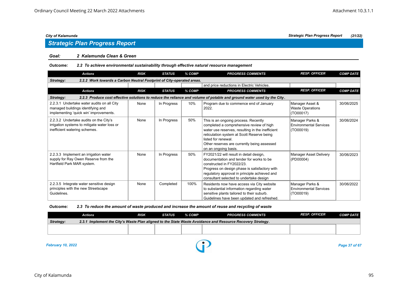## *Strategic Plan Progress Report*

#### *Goal: 2 Kalamunda Clean & Green*

### *Outcome: 2.2 To achieve environmental sustainability through effective natural resource management*

| <b>Actions</b>                                                                                                            | <b>RISK</b> | <b>STATUS</b> | % COMP | <b>PROGRESS COMMENTS</b>                                                                                                                                                                                                                                                         | <b>RESP. OFFICER</b>                                          | <b>COMP DATE</b> |  |  |  |  |
|---------------------------------------------------------------------------------------------------------------------------|-------------|---------------|--------|----------------------------------------------------------------------------------------------------------------------------------------------------------------------------------------------------------------------------------------------------------------------------------|---------------------------------------------------------------|------------------|--|--|--|--|
| 2.2.2 Work towards a Carbon Neutral Footprint of City-operated areas.<br>Strategy:                                        |             |               |        |                                                                                                                                                                                                                                                                                  |                                                               |                  |  |  |  |  |
|                                                                                                                           |             |               |        | and price reductions in Electric Vehicles.                                                                                                                                                                                                                                       |                                                               |                  |  |  |  |  |
| <b>Actions</b>                                                                                                            | <b>RISK</b> | <b>STATUS</b> | % COMP | <b>PROGRESS COMMENTS</b>                                                                                                                                                                                                                                                         | <b>RESP. OFFICER</b>                                          | <b>COMP DATE</b> |  |  |  |  |
| Strategy:                                                                                                                 |             |               |        | 2.2.3 Produce cost effective solutions to reduce the reliance and volume of potable and ground water used by the City.                                                                                                                                                           |                                                               |                  |  |  |  |  |
| 2.2.3.1 Undertake water audits on all City<br>managed buildings identifying and<br>implementing 'quick win' improvements. | None        | In Progress   | 10%    | Program due to commence end of January<br>2022.                                                                                                                                                                                                                                  | Manager Asset &<br><b>Waste Operations</b><br>(TO00017)       | 30/06/2025       |  |  |  |  |
| 2.2.3.2 Undertake audits on the City's<br>irrigation systems to mitigate water loss or<br>inefficient watering schemes.   | None        | In Progress   | 50%    | This is an ongoing process. Recently<br>completed a comprehensive review of high<br>water use reserves, resulting in the inefficient<br>reticulation system at Scott Reserve being<br>listed for renewal.<br>Other reserves are currently being assessed<br>on an ongoing basis. | Manager Parks &<br><b>Environmental Services</b><br>(TO00019) | 30/06/2024       |  |  |  |  |
| 2.2.3.3 Implement an irrigation water<br>supply for Ray Owen Reserve from the<br>Hartfield Park MAR system.               | None        | In Progress   | 50%    | FY2021/22 will result in detail design,<br>documentation and tender for works to be<br>constructed in FY2022/23.<br>Progress on design phase is satisfactory with<br>regulatory approval in principle achieved and<br>consultant selected to undertake design                    | Manager Asset Delivery<br>(PD00004)                           | 30/06/2023       |  |  |  |  |
| 2.2.3.5 Integrate water sensitive design<br>principles with the new Streetscape<br>Guidelines.                            | None        | Completed     | 100%   | Residents now have access via City website<br>to substantial information regarding water<br>sensitive plants tailored to their suburb.<br>Guidelines have been updated and refreshed.                                                                                            | Manager Parks &<br><b>Environmental Services</b><br>(TO00019) | 30/06/2022       |  |  |  |  |

#### *Outcome: 2.3 To reduce the amount of waste produced and increase the amount of reuse and recycling of waste*

|           | Actions                                                                                                    | RISK | STATUS | % COMP | <b>PROGRESS COMMENTS</b> | <b>RESP. OFFICER</b> | <b>COMP DATE</b> |  |  |  |
|-----------|------------------------------------------------------------------------------------------------------------|------|--------|--------|--------------------------|----------------------|------------------|--|--|--|
| Strategy: | 2.3.1 Implement the City's Waste Plan aligned to the State Waste Avoidance and Resource Recovery Strategy. |      |        |        |                          |                      |                  |  |  |  |
|           |                                                                                                            |      |        |        |                          |                      |                  |  |  |  |
|           |                                                                                                            |      |        |        |                          |                      |                  |  |  |  |

*February 10, 2022 Page 37 of 67*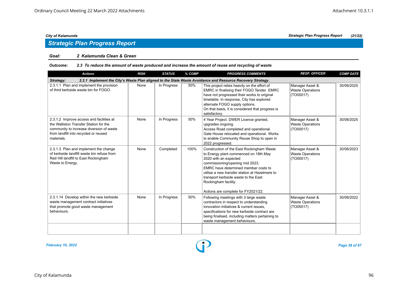## *Strategic Plan Progress Report*

#### *Goal: 2 Kalamunda Clean & Green*

#### *Outcome: 2.3 To reduce the amount of waste produced and increase the amount of reuse and recycling of waste*

| <b>Actions</b>                                                                                                                                                                        | <b>RISK</b> | <b>STATUS</b> | % COMP | <b>PROGRESS COMMENTS</b>                                                                                                                                                                                                                                                                                                                        | <b>RESP. OFFICER</b>                                    | <b>COMP DATE</b> |  |  |  |  |
|---------------------------------------------------------------------------------------------------------------------------------------------------------------------------------------|-------------|---------------|--------|-------------------------------------------------------------------------------------------------------------------------------------------------------------------------------------------------------------------------------------------------------------------------------------------------------------------------------------------------|---------------------------------------------------------|------------------|--|--|--|--|
| 2.3.1 Implement the City's Waste Plan aligned to the State Waste Avoidance and Resource Recovery Strategy.<br>Strategy:                                                               |             |               |        |                                                                                                                                                                                                                                                                                                                                                 |                                                         |                  |  |  |  |  |
| 2.3.1.1 Plan and implement the provision<br>of third kerbside waste bin for FOGO.                                                                                                     | None        | In Progress   | 50%    | This project relies heavily on the effort of<br>EMRC in finalising their FOGO Tender. EMRC<br>have not progressed their works to original<br>timetable. In response, City has explored<br>alternate FOGO supply options.<br>On that basis, it is considered that progress is<br>satisfactory.                                                   | Manager Asset &<br><b>Waste Operations</b><br>(TO00017) | 30/06/2025       |  |  |  |  |
| 2.3.1.2 Improve access and facilities at<br>the Walliston Transfer Station for the<br>community to increase diversion of waste<br>from landfill into recycled or reused<br>materials. | None        | In Progress   | 50%    | 4 Year Project. DWER Licence granted,<br>upgrades ongoing.<br>Access Road completed and operational.<br>Gate House relocated and operational. Works<br>to enable Community Reuse Shop to open in<br>2022 progressed.                                                                                                                            | Manager Asset &<br><b>Waste Operations</b><br>(TO00017) | 30/06/2025       |  |  |  |  |
| 2.3.1.3 Plan and implement the change<br>of kerbside landfill waste bin refuse from<br>Red Hill landfill to East Rockingham<br>Waste to Energy.                                       | None        | Completed     | 100%   | Construction of the East Rockingham Waste<br>to Energy plant commenced on 18th May<br>2020 with an expected<br>commissioning/opening mid 2023.<br>EMRC have determined member costs to<br>utilise a new transfer station at Hazelmere to<br>transport kerbside waste to the East<br>Rockingham facility.<br>Actions are complete for FY2021/22. | Manager Asset &<br><b>Waste Operations</b><br>(TO00017) | 30/06/2023       |  |  |  |  |
| 2.3.1.14 Develop within the new kerbside<br>waste management contract initiatives<br>that promote good waste management<br>behaviours.                                                | None        | In Progress   | 50%    | Following meetings with 3 large waste<br>contractors in respect to understanding<br>innovation initiatives & current issues,<br>specifications for new kerbside contract are<br>being finalised, including matters pertaining to<br>waste management behaviours.                                                                                | Manager Asset &<br><b>Waste Operations</b><br>(TO00017) | 30/06/2022       |  |  |  |  |
|                                                                                                                                                                                       |             |               |        |                                                                                                                                                                                                                                                                                                                                                 |                                                         |                  |  |  |  |  |

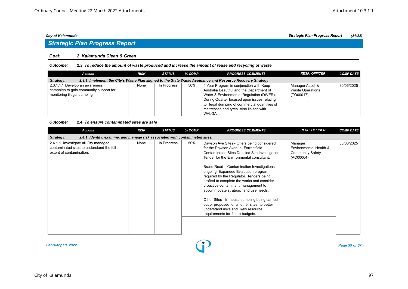## *Strategic Plan Progress Report*

#### *Goal: 2 Kalamunda Clean & Green*

#### *Outcome: 2.3 To reduce the amount of waste produced and increase the amount of reuse and recycling of waste*

| <b>Actions</b>                                                                                                          | <b>RISK</b> | STATUS      | % COMP | <b>PROGRESS COMMENTS</b>                       | <b>RESP. OFFICER</b> | <b>COMP DATE</b> |  |  |  |  |
|-------------------------------------------------------------------------------------------------------------------------|-------------|-------------|--------|------------------------------------------------|----------------------|------------------|--|--|--|--|
| 2.3.1 Implement the City's Waste Plan aligned to the State Waste Avoidance and Resource Recovery Strategy.<br>Strategy: |             |             |        |                                                |                      |                  |  |  |  |  |
| 2.3.1.17 Develop an awareness                                                                                           | None        | In Progress | 50%    | 4 Year Program in conjunction with Keep        | Manager Asset &      | 30/06/2025       |  |  |  |  |
| campaign to gain community support for                                                                                  |             |             |        | Australia Beautiful and the Department of      | Waste Operations     |                  |  |  |  |  |
| monitoring illegal dumping.                                                                                             |             |             |        | Water & Environmental Regulation (DWER).       | $\vert$ (TO00017)    |                  |  |  |  |  |
|                                                                                                                         |             |             |        | During Quarter focused upon issues relating    |                      |                  |  |  |  |  |
|                                                                                                                         |             |             |        | to illegal dumping of commercial quantities of |                      |                  |  |  |  |  |
|                                                                                                                         |             |             |        | mattresses and tyres. Also liaison with        |                      |                  |  |  |  |  |
|                                                                                                                         |             |             |        | WALGA.                                         |                      |                  |  |  |  |  |

#### *Outcome: 2.4 To ensure contaminated sites are safe*

| <b>Actions</b>                                                                                                | <b>RISK</b> | <b>STATUS</b> | % COMP | <b>PROGRESS COMMENTS</b>                                                                                                                                                                                                                                                                                                                                                                                                                                                                                                                                                                                                      | <b>RESP. OFFICER</b>                                               | <b>COMP DATE</b> |  |  |  |  |
|---------------------------------------------------------------------------------------------------------------|-------------|---------------|--------|-------------------------------------------------------------------------------------------------------------------------------------------------------------------------------------------------------------------------------------------------------------------------------------------------------------------------------------------------------------------------------------------------------------------------------------------------------------------------------------------------------------------------------------------------------------------------------------------------------------------------------|--------------------------------------------------------------------|------------------|--|--|--|--|
| 2.4.1 Identify, examine, and manage risk associated with contaminated sites.<br>Strategy:                     |             |               |        |                                                                                                                                                                                                                                                                                                                                                                                                                                                                                                                                                                                                                               |                                                                    |                  |  |  |  |  |
| 2.4.1.1 Investigate all City managed<br>contaminated sites to understand the full<br>extent of contamination. | None        | In Progress   | 50%    | Dawson Ave Sites - Offers being considered<br>for the Dawson Avenue, Forrestfield<br>Contaminated Sites Detailed Site Investigation<br>Tender for the Environmental consultant.<br>Brand Road - Contamination Investigations<br>ongoing. Expanded Evaluation program<br>required by the Regulator. Tenders being<br>drafted to complete the works and consider<br>proactive contaminant management to<br>accommodate strategic land use needs.<br>Other Sites - In-house sampling being carried<br>out or proposed for all other sites, to better<br>understand risks and likely resource<br>requirements for future budgets. | Manager<br>Environmental Health &<br>Community Safety<br>(AC00064) | 30/06/2025       |  |  |  |  |
|                                                                                                               |             |               |        |                                                                                                                                                                                                                                                                                                                                                                                                                                                                                                                                                                                                                               |                                                                    |                  |  |  |  |  |
|                                                                                                               |             |               |        |                                                                                                                                                                                                                                                                                                                                                                                                                                                                                                                                                                                                                               |                                                                    |                  |  |  |  |  |

*February 10, 2022 Page 39 of 67*

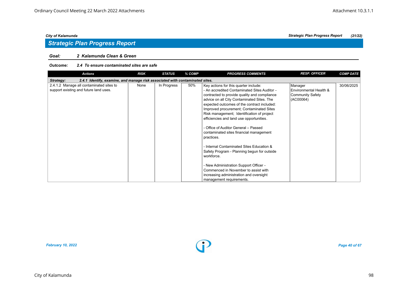### *Goal: 2 Kalamunda Clean & Green*

#### *Outcome: 2.4 To ensure contaminated sites are safe*

| <b>Actions</b>                                                                            | <b>RISK</b> | <b>STATUS</b> | % COMP | <b>PROGRESS COMMENTS</b>                     | <b>RESP. OFFICER</b>    | <b>COMP DATE</b> |  |  |  |  |
|-------------------------------------------------------------------------------------------|-------------|---------------|--------|----------------------------------------------|-------------------------|------------------|--|--|--|--|
| 2.4.1 Identify, examine, and manage risk associated with contaminated sites.<br>Strategy: |             |               |        |                                              |                         |                  |  |  |  |  |
| 2.4.1.2 Manage all contaminated sites to                                                  | None        | In Progress   | 50%    | Key actions for this quarter include:        | Manager                 | 30/06/2025       |  |  |  |  |
| support existing and future land uses.                                                    |             |               |        | - An accredited Contaminated Sites Auditor - | Environmental Health &  |                  |  |  |  |  |
|                                                                                           |             |               |        | contracted to provide quality and compliance | <b>Community Safety</b> |                  |  |  |  |  |
|                                                                                           |             |               |        | advice on all City Contaminated Sites. The   | (AC00064)               |                  |  |  |  |  |
|                                                                                           |             |               |        | expected outcomes of the contract included:  |                         |                  |  |  |  |  |
|                                                                                           |             |               |        | Improved procurement; Contaminated Sites     |                         |                  |  |  |  |  |
|                                                                                           |             |               |        | Risk management; Identification of project   |                         |                  |  |  |  |  |
|                                                                                           |             |               |        | efficiencies and land use opportunities.     |                         |                  |  |  |  |  |
|                                                                                           |             |               |        |                                              |                         |                  |  |  |  |  |
|                                                                                           |             |               |        | - Office of Auditor General – Passed         |                         |                  |  |  |  |  |
|                                                                                           |             |               |        | contaminated sites financial management      |                         |                  |  |  |  |  |
|                                                                                           |             |               |        | practices.                                   |                         |                  |  |  |  |  |
|                                                                                           |             |               |        |                                              |                         |                  |  |  |  |  |
|                                                                                           |             |               |        | - Internal Contaminated Sites Education &    |                         |                  |  |  |  |  |
|                                                                                           |             |               |        | Safety Program - Planning begun for outside  |                         |                  |  |  |  |  |
|                                                                                           |             |               |        | workforce.                                   |                         |                  |  |  |  |  |
|                                                                                           |             |               |        |                                              |                         |                  |  |  |  |  |
|                                                                                           |             |               |        | - New Administration Support Officer -       |                         |                  |  |  |  |  |
|                                                                                           |             |               |        | Commenced in November to assist with         |                         |                  |  |  |  |  |
|                                                                                           |             |               |        | increasing administration and oversight      |                         |                  |  |  |  |  |
|                                                                                           |             |               |        | management requirements.                     |                         |                  |  |  |  |  |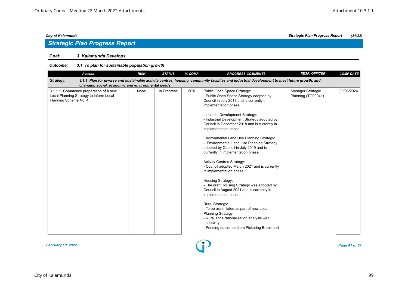## *Strategic Plan Progress Report*

### *Goal: 3 Kalamunda Develops*

| <b>Actions</b>                                                                                                                                                                                                  | <b>RISK</b> | <b>STATUS</b> | % COMP | <b>PROGRESS COMMENTS</b>                                                                                                                                                                                                                                                                                                                                                                                                                                                                                                                                                                                                                                                                                                                                                                                                                                                                                                                               | <b>RESP. OFFICER</b>                    | <b>COMP DATE</b> |  |  |  |  |
|-----------------------------------------------------------------------------------------------------------------------------------------------------------------------------------------------------------------|-------------|---------------|--------|--------------------------------------------------------------------------------------------------------------------------------------------------------------------------------------------------------------------------------------------------------------------------------------------------------------------------------------------------------------------------------------------------------------------------------------------------------------------------------------------------------------------------------------------------------------------------------------------------------------------------------------------------------------------------------------------------------------------------------------------------------------------------------------------------------------------------------------------------------------------------------------------------------------------------------------------------------|-----------------------------------------|------------------|--|--|--|--|
| 3.1.1 Plan for diverse and sustainable activity centres, housing, community facilities and industrial development to meet future growth, and<br>Strategy:<br>changing social, economic and environmental needs. |             |               |        |                                                                                                                                                                                                                                                                                                                                                                                                                                                                                                                                                                                                                                                                                                                                                                                                                                                                                                                                                        |                                         |                  |  |  |  |  |
| 3.1.1.1 Commence preparation of a new<br>Local Planning Strategy to inform Local<br>Planning Scheme No. 4.                                                                                                      | None        | In Progress   | 50%    | Public Open Space Strategy:<br>- Public Open Space Strategy adopted by<br>Council in July 2018 and is currently in<br>implementation phase.<br>Industrial Development Strategy:<br>- Industrial Development Strategy adopted by<br>Council in December 2018 and is currently in<br>implementation phase.<br>Environmental Land Use Planning Strategy:<br>- Environmental Land Use Planning Strategy<br>adopted by Council in July 2019 and is<br>currently in implementation phase.<br><b>Activity Centres Strategy:</b><br>- Council adopted March 2021 and is currently<br>in implementation phase.<br>Housing Strategy:<br>- The draft Housing Strategy was adopted by<br>Council in August 2021 and is currently in<br>implementation phase.<br><b>Rural Strategy:</b><br>- To be assimilated as part of new Local<br>Planning Strategy.<br>- Rural zone rationalisation analysis well<br>underway.<br>- Pending outcomes from Pickering Brook and | Manager Strategic<br>Planning (TO00041) | 30/06/2024       |  |  |  |  |

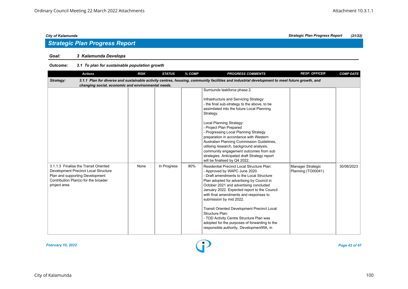### *Goal: 3 Kalamunda Develops*

| <b>Actions</b>                                                                                                                                                            | <b>RISK</b> | <b>STATUS</b> | % COMP | <b>PROGRESS COMMENTS</b>                                                                                                                                                                                                                                                                                                                                                                                                                                                                                                                                | <b>RESP. OFFICER</b>                    | <b>COMP DATE</b> |
|---------------------------------------------------------------------------------------------------------------------------------------------------------------------------|-------------|---------------|--------|---------------------------------------------------------------------------------------------------------------------------------------------------------------------------------------------------------------------------------------------------------------------------------------------------------------------------------------------------------------------------------------------------------------------------------------------------------------------------------------------------------------------------------------------------------|-----------------------------------------|------------------|
| Strategy:<br>changing social, economic and environmental needs.                                                                                                           |             |               |        | 3.1.1 Plan for diverse and sustainable activity centres, housing, community facilities and industrial development to meet future growth, and                                                                                                                                                                                                                                                                                                                                                                                                            |                                         |                  |
|                                                                                                                                                                           |             |               |        | Surrounds taskforce phase 2.<br>Infrastructure and Servicing Strategy:<br>- the final sub-strategy to the above, to be<br>assimilated into the future Local Planning<br>Strategy.<br>Local Planning Strategy:<br>- Project Plan Prepared<br>- Progressing Local Planning Strategy<br>preparation in accordance with Western<br>Australian Planning Commission Guidelines,<br>utilising research, background analysis,<br>community engagement outcomes from sub<br>strategies. Anticipated draft Strategy report<br>will be finalised by Q4 2022.       |                                         |                  |
| 3.1.1.3 Finalise the Transit Oriented<br>Development Precinct Local Structure<br>Plan and supporting Development<br>Contribution Plan(s) for the broader<br>project area. | None        | In Progress   | 80%    | Residential Precinct Local Structure Plan:<br>- Approved by WAPC June 2020.<br>- Draft amendments to the Local Structure<br>Plan adopted for advertising by Council in<br>October 2021 and advertising concluded<br>January 2022. Expected report to the Council<br>with final amendments and responses to<br>submission by mid 2022.<br><b>Transit Oriented Development Precinct Local</b><br>Structure Plan:<br>- TOD Activity Centre Structure Plan was<br>adopted for the purposes of forwarding to the<br>responsible authority, DevelopmentWA, in | Manager Strategic<br>Planning (TO00041) | 30/06/2023       |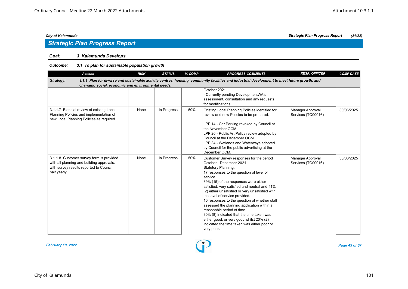### *Goal: 3 Kalamunda Develops*

### *Outcome: 3.1 To plan for sustainable population growth*

| <b>Actions</b>                                                                                                                                   | <b>RISK</b> | <b>STATUS</b> | % COMP | <b>PROGRESS COMMENTS</b>                                                                                                                                                                                                                                                                                                                                                                                                                                                                                                                                                                                                     | <b>RESP. OFFICER</b>                   | <b>COMP DATE</b> |
|--------------------------------------------------------------------------------------------------------------------------------------------------|-------------|---------------|--------|------------------------------------------------------------------------------------------------------------------------------------------------------------------------------------------------------------------------------------------------------------------------------------------------------------------------------------------------------------------------------------------------------------------------------------------------------------------------------------------------------------------------------------------------------------------------------------------------------------------------------|----------------------------------------|------------------|
| Strategy:<br>changing social, economic and environmental needs.                                                                                  |             |               |        | 3.1.1 Plan for diverse and sustainable activity centres, housing, community facilities and industrial development to meet future growth, and                                                                                                                                                                                                                                                                                                                                                                                                                                                                                 |                                        |                  |
|                                                                                                                                                  |             |               |        | October 2021.<br>- Currently pending DevelopmentWA's<br>assessment, consultation and any requests<br>for modifications.                                                                                                                                                                                                                                                                                                                                                                                                                                                                                                      |                                        |                  |
| 3.1.1.7 Biennial review of existing Local<br>Planning Policies and implementation of<br>new Local Planning Policies as required.                 | None        | In Progress   | 50%    | Existing Local Planning Policies identified for<br>review and new Policies to be prepared.<br>LPP 14 - Car Parking revoked by Council at<br>the November OCM.<br>LPP 26 - Public Art Policy review adopted by<br>Council at the December OCM.<br>LPP 34 - Wetlands and Waterways adopted<br>by Council for the public advertising at the<br>December OCM.                                                                                                                                                                                                                                                                    | Manager Approval<br>Services (TO00016) | 30/06/2025       |
| 3.1.1.8 Customer survey form is provided<br>with all planning and building approvals,<br>with survey results reported to Council<br>half yearly. | None        | In Progress   | 50%    | Customer Survey responses for the period<br>October - December 2021 -<br><b>Statutory Planning:</b><br>17 responses to the question of level of<br>service<br>89% (15) of the responses were either<br>satisfied, very satisfied and neutral and 11%<br>(2) either unsatisfied or very unsatisfied with<br>the level of service provided.<br>10 responses to the question of whether staff<br>assessed the planning application within a<br>reasonable period of time.<br>80% (8) indicated that the time taken was<br>either good, or very good whilst 20% (2)<br>indicated the time taken was either poor or<br>very poor. | Manager Approval<br>Services (TO00016) | 30/06/2025       |



*City of Kalamunda Strategic Plan Progress Report (21/22)*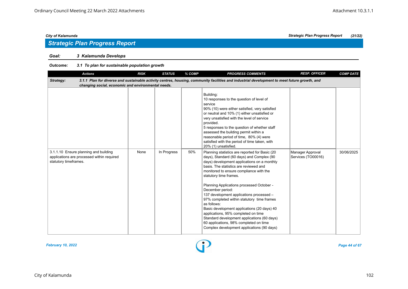### *Goal: 3 Kalamunda Develops*

| <b>Actions</b>                                                                                                                                                                                                  | <b>RISK</b> | <b>STATUS</b> | % COMP | <b>PROGRESS COMMENTS</b>                                                                                                                                                                                                                                                                                                                                                                                                                                                                                                                                                                                                                                         | <b>RESP. OFFICER</b>                   | <b>COMP DATE</b> |  |  |  |  |  |
|-----------------------------------------------------------------------------------------------------------------------------------------------------------------------------------------------------------------|-------------|---------------|--------|------------------------------------------------------------------------------------------------------------------------------------------------------------------------------------------------------------------------------------------------------------------------------------------------------------------------------------------------------------------------------------------------------------------------------------------------------------------------------------------------------------------------------------------------------------------------------------------------------------------------------------------------------------------|----------------------------------------|------------------|--|--|--|--|--|
| 3.1.1 Plan for diverse and sustainable activity centres, housing, community facilities and industrial development to meet future growth, and<br>Strategy:<br>changing social, economic and environmental needs. |             |               |        |                                                                                                                                                                                                                                                                                                                                                                                                                                                                                                                                                                                                                                                                  |                                        |                  |  |  |  |  |  |
|                                                                                                                                                                                                                 |             |               |        | Building:<br>10 responses to the question of level of<br>service<br>90% (10) were either satisfied, very satisfied<br>or neutral and 10% (1) either unsatisfied or<br>very unsatisfied with the level of service<br>provided.<br>5 responses to the question of whether staff<br>assessed the building permit within a<br>reasonable period of time, 80% (4) were<br>satisfied with the period of time taken, with<br>20% (1) unsatisfied.                                                                                                                                                                                                                       |                                        |                  |  |  |  |  |  |
| 3.1.1.10 Ensure planning and building<br>applications are processed within required<br>statutory timeframes.                                                                                                    | None        | In Progress   | 50%    | Planning statistics are reported for Basic (20<br>days), Standard (60 days) and Complex (90<br>days) development applications on a monthly<br>basis. The statistics are reviewed and<br>monitored to ensure compliance with the<br>statutory time frames.<br>Planning Applications processed October -<br>December period:<br>137 development applications processed -<br>97% completed within statutory time frames<br>as follows:<br>Basic development applications (20 days) 40<br>applications, 95% completed on time<br>Standard development applications (60 days)<br>60 applications, 98% completed on time<br>Complex development applications (90 days) | Manager Approval<br>Services (TO00016) | 30/06/2025       |  |  |  |  |  |

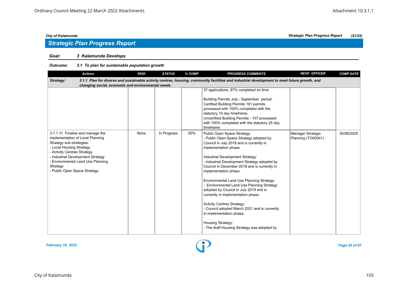## *Strategic Plan Progress Report*

### *Goal: 3 Kalamunda Develops*

| <b>Actions</b>                                                                                                                                                                                                                                                                    | <b>RISK</b> | <b>STATUS</b> | % COMP | <b>PROGRESS COMMENTS</b>                                                                                                                                                                                                                                                                                                                                                                                                                                                                                                                                                                                                                                                  | <b>RESP. OFFICER</b>                    | <b>COMP DATE</b> |  |  |  |  |
|-----------------------------------------------------------------------------------------------------------------------------------------------------------------------------------------------------------------------------------------------------------------------------------|-------------|---------------|--------|---------------------------------------------------------------------------------------------------------------------------------------------------------------------------------------------------------------------------------------------------------------------------------------------------------------------------------------------------------------------------------------------------------------------------------------------------------------------------------------------------------------------------------------------------------------------------------------------------------------------------------------------------------------------------|-----------------------------------------|------------------|--|--|--|--|
| 3.1.1 Plan for diverse and sustainable activity centres, housing, community facilities and industrial development to meet future growth, and<br>Strategy:<br>changing social, economic and environmental needs.                                                                   |             |               |        |                                                                                                                                                                                                                                                                                                                                                                                                                                                                                                                                                                                                                                                                           |                                         |                  |  |  |  |  |
|                                                                                                                                                                                                                                                                                   |             |               |        |                                                                                                                                                                                                                                                                                                                                                                                                                                                                                                                                                                                                                                                                           |                                         |                  |  |  |  |  |
|                                                                                                                                                                                                                                                                                   |             |               |        | 37 applications, 97% completed on time<br>Building Permits July - September period:<br>Certified Building Permits 191 permits<br>processed with 100% completed with the<br>statutory 10 day timeframe.<br>Uncertified Building Permits - 107 processed<br>with 100% completed with the statutory 25 day<br>timeframe.                                                                                                                                                                                                                                                                                                                                                     |                                         |                  |  |  |  |  |
| 3.1.1.11 Finalise and manage the<br>implementation of Local Planning<br>Strategy sub-strategies:<br>- Local Housing Strategy<br>- Activity Centres Strategy<br>- Industrial Development Strategy<br>- Environmental Land Use Planning<br>Strategy<br>- Public Open Space Strategy | None        | In Progress   | 50%    | Public Open Space Strategy:<br>- Public Open Space Strategy adopted by<br>Council in July 2018 and is currently in<br>implementation phase.<br>Industrial Development Strategy:<br>- Industrial Development Strategy adopted by<br>Council in December 2018 and is currently in<br>implementation phase.<br>Environmental Land Use Planning Strategy:<br>- Environmental Land Use Planning Strategy<br>adopted by Council in July 2019 and is<br>currently in implementation phase.<br><b>Activity Centres Strategy:</b><br>- Council adopted March 2021 and is currently<br>in implementation phase.<br>Housing Strategy:<br>- The draft Housing Strategy was adopted by | Manager Strategic<br>Planning (TO00041) | 30/06/2025       |  |  |  |  |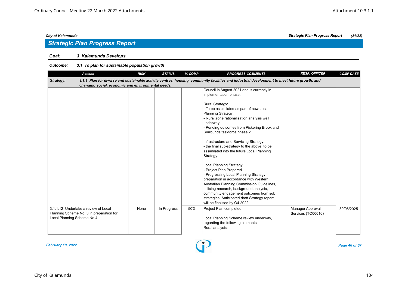## *Strategic Plan Progress Report*

### *Goal: 3 Kalamunda Develops*

| <b>Actions</b>                                     | <b>RISK</b> | <b>STATUS</b> | % COMP | <b>PROGRESS COMMENTS</b>                                                                                                                     | <b>RESP. OFFICER</b> | <b>COMP DATE</b> |
|----------------------------------------------------|-------------|---------------|--------|----------------------------------------------------------------------------------------------------------------------------------------------|----------------------|------------------|
| Strategy:                                          |             |               |        | 3.1.1 Plan for diverse and sustainable activity centres, housing, community facilities and industrial development to meet future growth, and |                      |                  |
| changing social, economic and environmental needs. |             |               |        |                                                                                                                                              |                      |                  |
|                                                    |             |               |        | Council in August 2021 and is currently in                                                                                                   |                      |                  |
|                                                    |             |               |        | implementation phase.                                                                                                                        |                      |                  |
|                                                    |             |               |        |                                                                                                                                              |                      |                  |
|                                                    |             |               |        | <b>Rural Strategy:</b>                                                                                                                       |                      |                  |
|                                                    |             |               |        | - To be assimilated as part of new Local                                                                                                     |                      |                  |
|                                                    |             |               |        | Planning Strategy.                                                                                                                           |                      |                  |
|                                                    |             |               |        | - Rural zone rationalisation analysis well                                                                                                   |                      |                  |
|                                                    |             |               |        | underway.<br>- Pending outcomes from Pickering Brook and                                                                                     |                      |                  |
|                                                    |             |               |        | Surrounds taskforce phase 2.                                                                                                                 |                      |                  |
|                                                    |             |               |        |                                                                                                                                              |                      |                  |
|                                                    |             |               |        | Infrastructure and Servicing Strategy:                                                                                                       |                      |                  |
|                                                    |             |               |        | - the final sub-strategy to the above, to be                                                                                                 |                      |                  |
|                                                    |             |               |        | assimilated into the future Local Planning                                                                                                   |                      |                  |
|                                                    |             |               |        | Strategy.                                                                                                                                    |                      |                  |
|                                                    |             |               |        |                                                                                                                                              |                      |                  |
|                                                    |             |               |        | Local Planning Strategy:                                                                                                                     |                      |                  |
|                                                    |             |               |        | - Project Plan Prepared                                                                                                                      |                      |                  |
|                                                    |             |               |        | - Progressing Local Planning Strategy                                                                                                        |                      |                  |
|                                                    |             |               |        | preparation in accordance with Western                                                                                                       |                      |                  |
|                                                    |             |               |        | Australian Planning Commission Guidelines,                                                                                                   |                      |                  |
|                                                    |             |               |        | utilising research, background analysis,                                                                                                     |                      |                  |
|                                                    |             |               |        | community engagement outcomes from sub                                                                                                       |                      |                  |
|                                                    |             |               |        | strategies. Anticipated draft Strategy report                                                                                                |                      |                  |
|                                                    |             |               |        | will be finalised by Q4 2022.                                                                                                                |                      |                  |
| 3.1.1.12 Undertake a review of Local               | None        | In Progress   | 50%    | Project Plan completed.                                                                                                                      | Manager Approval     | 30/06/2025       |
| Planning Scheme No. 3 in preparation for           |             |               |        |                                                                                                                                              | Services (TO00016)   |                  |
| Local Planning Scheme No.4.                        |             |               |        | Local Planning Scheme review underway,                                                                                                       |                      |                  |
|                                                    |             |               |        | regarding the following elements:                                                                                                            |                      |                  |
|                                                    |             |               |        | Rural analysis;                                                                                                                              |                      |                  |
|                                                    |             |               |        |                                                                                                                                              |                      |                  |

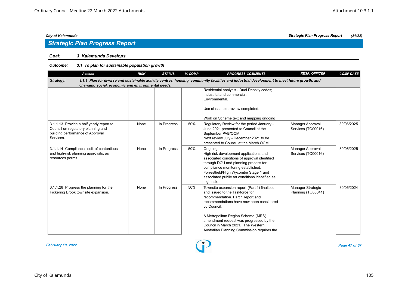### *Goal: 3 Kalamunda Develops*

| <b>Actions</b>                                                                                                                  | <b>RISK</b> | <b>STATUS</b> | % COMP | <b>PROGRESS COMMENTS</b>                                                                                                                                                                                                                                                                                                                              | <b>RESP. OFFICER</b>                    | <b>COMP DATE</b> |
|---------------------------------------------------------------------------------------------------------------------------------|-------------|---------------|--------|-------------------------------------------------------------------------------------------------------------------------------------------------------------------------------------------------------------------------------------------------------------------------------------------------------------------------------------------------------|-----------------------------------------|------------------|
| Strategy:<br>changing social, economic and environmental needs.                                                                 |             |               |        | 3.1.1 Plan for diverse and sustainable activity centres, housing, community facilities and industrial development to meet future growth, and                                                                                                                                                                                                          |                                         |                  |
|                                                                                                                                 |             |               |        | Residential analysis - Dual Density codes;<br>Industrial and commercial:<br>Environmental.<br>Use class table review completed.<br>Work on Scheme text and mapping ongoing.                                                                                                                                                                           |                                         |                  |
| 3.1.1.13 Provide a half yearly report to<br>Council on regulatory planning and<br>building performance of Approval<br>Services. | None        | In Progress   | 50%    | Regulatory Review for the period January -<br>June 2021 presented to Council at the<br>September PAB/OCM.<br>Next review July - December 2021 to be<br>presented to Council at the March OCM.                                                                                                                                                         | Manager Approval<br>Services (TO00016)  | 30/06/2025       |
| 3.1.1.14 Compliance audit of contentious<br>and high-risk planning approvals, as<br>resources permit.                           | None        | In Progress   | 50%    | Ongoing.<br>High risk development applications and<br>associated conditions of approval identified<br>through DCU and planning process for<br>compliance monitoring established.<br>Forrestfield/High Wycombe Stage 1 and<br>associated public art conditions identified as<br>high risk.                                                             | Manager Approval<br>Services (TO00016)  | 30/06/2025       |
| 3.1.1.28 Progress the planning for the<br>Pickering Brook townsite expansion.                                                   | None        | In Progress   | 50%    | Townsite expansion report (Part 1) finalised<br>and issued to the Taskforce for<br>recommendation. Part 1 report and<br>recommendations have now been considered<br>by Council.<br>A Metropolitan Region Scheme (MRS)<br>amendment request was progressed by the<br>Council in March 2021. The Western<br>Australian Planning Commission requires the | Manager Strategic<br>Planning (TO00041) | 30/06/2024       |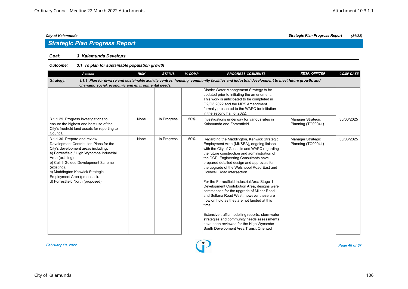## *Strategic Plan Progress Report*

### *Goal: 3 Kalamunda Develops*

| <b>Actions</b>                                                                                                                                                                                                                                                                                                                             | <b>RISK</b> | <b>STATUS</b> | % COMP | <b>PROGRESS COMMENTS</b>                                                                                                                                                                                                                                                                                                                                                                                                                                                                                                                                                                                                                                                                                                                                                                          | <b>RESP. OFFICER</b>                    | <b>COMP DATE</b> |  |  |  |  |  |
|--------------------------------------------------------------------------------------------------------------------------------------------------------------------------------------------------------------------------------------------------------------------------------------------------------------------------------------------|-------------|---------------|--------|---------------------------------------------------------------------------------------------------------------------------------------------------------------------------------------------------------------------------------------------------------------------------------------------------------------------------------------------------------------------------------------------------------------------------------------------------------------------------------------------------------------------------------------------------------------------------------------------------------------------------------------------------------------------------------------------------------------------------------------------------------------------------------------------------|-----------------------------------------|------------------|--|--|--|--|--|
| Strategy:<br>3.1.1 Plan for diverse and sustainable activity centres, housing, community facilities and industrial development to meet future growth, and<br>changing social, economic and environmental needs.                                                                                                                            |             |               |        |                                                                                                                                                                                                                                                                                                                                                                                                                                                                                                                                                                                                                                                                                                                                                                                                   |                                         |                  |  |  |  |  |  |
|                                                                                                                                                                                                                                                                                                                                            |             |               |        | District Water Management Strategy to be<br>updated prior to initiating the amendment.<br>This work is anticipated to be completed in<br>Q2/Q3 2022 and the MRS Amendment<br>formally presented to the WAPC for initiation<br>in the second half of 2022.                                                                                                                                                                                                                                                                                                                                                                                                                                                                                                                                         |                                         |                  |  |  |  |  |  |
| 3.1.1.29 Progress investigations to<br>ensure the highest and best use of the<br>City's freehold land assets for reporting to<br>Council.                                                                                                                                                                                                  | None        | In Progress   | 50%    | Investigations underway for various sites in<br>Kalamunda and Forrestfield.                                                                                                                                                                                                                                                                                                                                                                                                                                                                                                                                                                                                                                                                                                                       | Manager Strategic<br>Planning (TO00041) | 30/06/2025       |  |  |  |  |  |
| 3.1.1.30 Prepare and review<br>Development Contribution Plans for the<br>City's development areas including:<br>a) Forrestfield / High Wycombe Industrial<br>Area (existing).<br>b) Cell 9 Guided Development Scheme<br>(existing).<br>c) Maddington Kenwick Strategic<br>Employment Area (proposed).<br>d) Forrestfield North (proposed). | None        | In Progress   | 50%    | Regarding the Maddington, Kenwick Strategic<br>Employment Area (MKSEA), ongoing liaison<br>with the City of Gosnells and WAPC regarding<br>the future construction and administration of<br>the DCP. Engineering Consultants have<br>prepared detailed design and approvals for<br>the upgrade of the Welshpool Road East and<br>Coldwell Road intersection.<br>For the Forrestfield Industrial Area Stage 1<br>Development Contribution Area, designs were<br>commenced for the upgrade of Milner Road<br>and Sultana Road West, however these are<br>now on hold as they are not funded at this<br>time.<br>Extensive traffic modelling reports, stormwater<br>strategies and community needs assessments<br>have been reviewed for the High Wycombe<br>South Development Area Transit Oriented | Manager Strategic<br>Planning (TO00041) | 30/06/2025       |  |  |  |  |  |

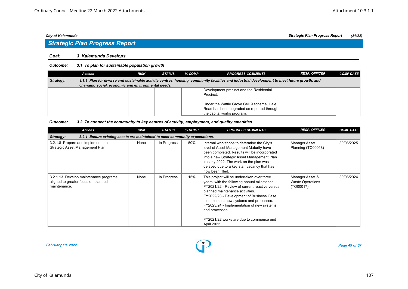## *Strategic Plan Progress Report*

#### *Goal: 3 Kalamunda Develops*

#### *Outcome: 3.1 To plan for sustainable population growth*

|                                                                                                                                                           | Actions                                            | <b>RISK</b> | <b>STATUS</b> | % COMP | <b>PROGRESS COMMENTS</b>                   | <b>RESP. OFFICER</b> | <b>COMP DATE</b> |  |  |  |  |
|-----------------------------------------------------------------------------------------------------------------------------------------------------------|----------------------------------------------------|-------------|---------------|--------|--------------------------------------------|----------------------|------------------|--|--|--|--|
| 3.1.1 Plan for diverse and sustainable activity centres, housing, community facilities and industrial development to meet future growth, and<br>Strategy: |                                                    |             |               |        |                                            |                      |                  |  |  |  |  |
|                                                                                                                                                           | changing social, economic and environmental needs. |             |               |        |                                            |                      |                  |  |  |  |  |
|                                                                                                                                                           |                                                    |             |               |        | Development precinct and the Residential   |                      |                  |  |  |  |  |
|                                                                                                                                                           |                                                    |             |               |        | Precinct.                                  |                      |                  |  |  |  |  |
|                                                                                                                                                           |                                                    |             |               |        |                                            |                      |                  |  |  |  |  |
|                                                                                                                                                           |                                                    |             |               |        | Under the Wattle Grove Cell 9 scheme, Hale |                      |                  |  |  |  |  |
|                                                                                                                                                           |                                                    |             |               |        | Road has been upgraded as reported through |                      |                  |  |  |  |  |
|                                                                                                                                                           |                                                    |             |               |        | the capital works program.                 |                      |                  |  |  |  |  |

#### *Outcome: 3.2 To connect the community to key centres of activity, employment, and quality amenities*

| <b>Actions</b>                                                                               | <b>RISK</b> | <b>STATUS</b> | % COMP | <b>PROGRESS COMMENTS</b>                                                                                                                                                                                                                                                                                                                                                                        | <b>RESP. OFFICER</b>                                    | <b>COMP DATE</b> |  |  |  |  |  |
|----------------------------------------------------------------------------------------------|-------------|---------------|--------|-------------------------------------------------------------------------------------------------------------------------------------------------------------------------------------------------------------------------------------------------------------------------------------------------------------------------------------------------------------------------------------------------|---------------------------------------------------------|------------------|--|--|--|--|--|
| 3.2.1 Ensure existing assets are maintained to meet community expectations.<br>Strategy:     |             |               |        |                                                                                                                                                                                                                                                                                                                                                                                                 |                                                         |                  |  |  |  |  |  |
| 3.2.1.8 Prepare and implement the<br>Strategic Asset Management Plan.                        | None        | In Progress   | 50%    | Internal workshops to determine the City's<br>level of Asset Management Maturity have<br>been completed. Results will be incorporated<br>into a new Strategic Asset Management Plan<br>in early 2022. The work on the plan was<br>delayed due to a key staff vacancy that has<br>now been filled.                                                                                               | Manager Asset<br>Planning (TO00018)                     | 30/06/2025       |  |  |  |  |  |
| 3.2.1.13 Develop maintenance programs<br>aligned to greater focus on planned<br>maintenance. | None        | In Progress   | 15%    | This project will be undertaken over three<br>years, with the following annual milestones -<br>FY2021/22 - Review of current reactive versus<br>planned maintenance activities.<br>FY2022/23 - Development of Business Case<br>to implement new systems and processes.<br>FY2023/24 - Implementation of new systems<br>and processes.<br>FY2021/22 works are due to commence end<br>April 2022. | Manager Asset &<br><b>Waste Operations</b><br>(TO00017) | 30/06/2024       |  |  |  |  |  |

*February 10, 2022 Page 49 of 67*

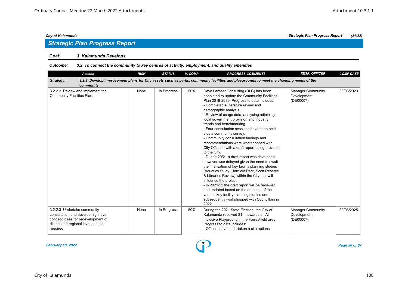## *Strategic Plan Progress Report*

#### *Goal: 3 Kalamunda Develops*

#### *Outcome: 3.2 To connect the community to key centres of activity, employment, and quality amenities*

| <b>Actions</b>                                                                                                                                                | <b>RISK</b> | <b>STATUS</b> | % COMP | <b>PROGRESS COMMENTS</b>                                                                                                                                                                                                                                                                                                                                                                                                                                                                                                                                                                                                                                                                                                                                                                                                                                                                                                                                                                                                                          | <b>RESP. OFFICER</b>                                 | <b>COMP DATE</b> |
|---------------------------------------------------------------------------------------------------------------------------------------------------------------|-------------|---------------|--------|---------------------------------------------------------------------------------------------------------------------------------------------------------------------------------------------------------------------------------------------------------------------------------------------------------------------------------------------------------------------------------------------------------------------------------------------------------------------------------------------------------------------------------------------------------------------------------------------------------------------------------------------------------------------------------------------------------------------------------------------------------------------------------------------------------------------------------------------------------------------------------------------------------------------------------------------------------------------------------------------------------------------------------------------------|------------------------------------------------------|------------------|
| Strategy:<br>community.                                                                                                                                       |             |               |        | 3.2.2 Develop improvement plans for City assets such as parks, community facilities and playgrounds to meet the changing needs of the                                                                                                                                                                                                                                                                                                                                                                                                                                                                                                                                                                                                                                                                                                                                                                                                                                                                                                             |                                                      |                  |
| 3.2.2.2 Review and implement the<br>Community Facilities Plan.                                                                                                | None        | In Progress   | 50%    | Dave Lanfear Consulting (DLC) has been<br>appointed to update the Community Facilities<br>Plan 2019-2039. Progress to date includes:<br>- Completed a literature review and<br>demographic analysis.<br>- Review of usage data, analysing adjoining<br>local government provision and industry<br>trends and benchmarking.<br>- Four consultation sessions have been held,<br>plus a community survey.<br>- Community consultation findings and<br>recommendations were workshopped with<br>City Officers, with a draft report being provided<br>to the City.<br>- During 20/21 a draft report was developed,<br>however was delayed given the need to await<br>the finalisation of key facility planning studies<br>(Aquatics Study, Hartfield Park, Scott Reserve<br>& Libraries Review) within the City that will<br>influence the project.<br>- In 2021/22 the draft report will be reviewed<br>and updated based on the outcome of the<br>various key facility planning studies and<br>subsequently workshopped with Councillors in<br>2022. | Manager Community<br>Development<br>(DE00007)        | 30/06/2023       |
| 3.2.2.3 Undertake community<br>consultation and develop high level<br>concept ideas for redevelopment of<br>district and regional level parks as<br>required. | None        | In Progress   | 50%    | During the 2021 State Election, the City of<br>Kalamunda received \$1m towards an All<br>Inclusive Playground in the Forrestfield area.<br>Progress to date includes:<br>- Officers have undertaken a site options                                                                                                                                                                                                                                                                                                                                                                                                                                                                                                                                                                                                                                                                                                                                                                                                                                | <b>Manager Community</b><br>Development<br>(DE00007) | 30/06/2025       |

*February 10, 2022 Page 50 of 67*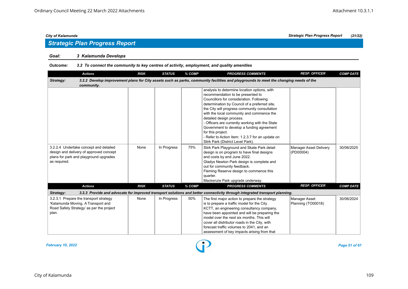## *Strategic Plan Progress Report*

#### *Goal: 3 Kalamunda Develops*

#### *Outcome: 3.2 To connect the community to key centres of activity, employment, and quality amenities*

| <b>Actions</b>                           | <b>RISK</b> | <b>STATUS</b> | % COMP | <b>PROGRESS COMMENTS</b>                                                                                                              | <b>RESP. OFFICER</b>          | <b>COMP DATE</b> |
|------------------------------------------|-------------|---------------|--------|---------------------------------------------------------------------------------------------------------------------------------------|-------------------------------|------------------|
| Strategy:                                |             |               |        | 3.2.2 Develop improvement plans for City assets such as parks, community facilities and playgrounds to meet the changing needs of the |                               |                  |
| community.                               |             |               |        |                                                                                                                                       |                               |                  |
|                                          |             |               |        | analysis to determine location options, with                                                                                          |                               |                  |
|                                          |             |               |        | recommendation to be presented to                                                                                                     |                               |                  |
|                                          |             |               |        | Councillors for consideration. Following                                                                                              |                               |                  |
|                                          |             |               |        | determination by Council of a preferred site,                                                                                         |                               |                  |
|                                          |             |               |        | the City will progress community consultation                                                                                         |                               |                  |
|                                          |             |               |        | with the local community and commence the                                                                                             |                               |                  |
|                                          |             |               |        | detailed design process.                                                                                                              |                               |                  |
|                                          |             |               |        | - Officers are currently working with the State                                                                                       |                               |                  |
|                                          |             |               |        | Government to develop a funding agreement                                                                                             |                               |                  |
|                                          |             |               |        | for this project.                                                                                                                     |                               |                  |
|                                          |             |               |        | - Refer to Action Item: 1.2.3.7 for an update on                                                                                      |                               |                  |
|                                          |             |               |        | Stirk Park (District Level Park).                                                                                                     |                               |                  |
| 3.2.2.4 Undertake concept and detailed   | None        | In Progress   | 75%    | Stirk Park Playground and Skate Park detail                                                                                           | <b>Manager Asset Delivery</b> | 30/06/2025       |
| design and delivery of approved concept  |             |               |        | design is on program to have final designs                                                                                            | (PD00004)                     |                  |
| plans for park and playground upgrades   |             |               |        | and costs by end June 2022.                                                                                                           |                               |                  |
| as required.                             |             |               |        | Gladys Newton Park design is complete and                                                                                             |                               |                  |
|                                          |             |               |        | out for community feedback.                                                                                                           |                               |                  |
|                                          |             |               |        | Fleming Reserve design to commence this                                                                                               |                               |                  |
|                                          |             |               |        | quarter.                                                                                                                              |                               |                  |
|                                          |             |               |        | Mackenzie Park upgrade underway.                                                                                                      |                               |                  |
| <b>Actions</b>                           | <b>RISK</b> | <b>STATUS</b> | % COMP | <b>PROGRESS COMMENTS</b>                                                                                                              | <b>RESP. OFFICER</b>          | <b>COMP DATE</b> |
| Strategy:                                |             |               |        | 3.2.3 Provide and advocate for improved transport solutions and better connectivity through integrated transport planning.            |                               |                  |
| 3.2.3.1 Prepare the transport strategy   | None        | In Progress   | 50%    | The first major action to prepare the strategy                                                                                        | Manager Asset                 | 30/06/2024       |
| 'Kalamunda Moving, A Transport and       |             |               |        | is to prepare a traffic model for the City.                                                                                           | Planning (TO00018)            |                  |
| Road Safety Strategy' as per the project |             |               |        | KCTT, an engineering consultancy company,                                                                                             |                               |                  |
| plan.                                    |             |               |        | have been appointed and will be preparing the                                                                                         |                               |                  |
|                                          |             |               |        | model over the next six months. This will                                                                                             |                               |                  |
|                                          |             |               |        | cover all distributor roads in the City, with                                                                                         |                               |                  |
|                                          |             |               |        | forecast traffic volumes to 2041, and an                                                                                              |                               |                  |
|                                          |             |               |        | assessment of key impacts arising from that                                                                                           |                               |                  |

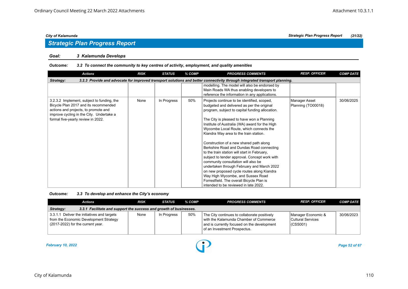#### *Goal: 3 Kalamunda Develops*

#### *Outcome: 3.2 To connect the community to key centres of activity, employment, and quality amenities*

| <b>Actions</b>                                                                                                                                                                                                | <b>RISK</b> | <b>STATUS</b> | % COMP | <b>PROGRESS COMMENTS</b>                                                                                                                                                                                                                                                                                                                                                                                                                                                                                                                                                                                                                                                                                                                                                                 | <b>RESP. OFFICER</b>                | <b>COMP DATE</b> |  |  |  |  |
|---------------------------------------------------------------------------------------------------------------------------------------------------------------------------------------------------------------|-------------|---------------|--------|------------------------------------------------------------------------------------------------------------------------------------------------------------------------------------------------------------------------------------------------------------------------------------------------------------------------------------------------------------------------------------------------------------------------------------------------------------------------------------------------------------------------------------------------------------------------------------------------------------------------------------------------------------------------------------------------------------------------------------------------------------------------------------------|-------------------------------------|------------------|--|--|--|--|
| 3.2.3 Provide and advocate for improved transport solutions and better connectivity through integrated transport planning.<br>Strategy:                                                                       |             |               |        |                                                                                                                                                                                                                                                                                                                                                                                                                                                                                                                                                                                                                                                                                                                                                                                          |                                     |                  |  |  |  |  |
|                                                                                                                                                                                                               |             |               |        | modelling. The model will also be endorsed by<br>Main Roads WA thus enabling developers to<br>reference the information in any applications.                                                                                                                                                                                                                                                                                                                                                                                                                                                                                                                                                                                                                                             |                                     |                  |  |  |  |  |
| 3.2.3.2 Implement, subject to funding, the<br>Bicycle Plan 2017 and its recommended<br>actions and projects, to promote and<br>improve cycling in the City. Undertake a<br>formal five-yearly review in 2022. | None        | In Progress   | 50%    | Projects continue to be identified, scoped,<br>budgeted and delivered as per the original<br>program, subject to capital funding allocation.<br>The City is pleased to have won a Planning<br>Institute of Australia (WA) award for the High<br>Wycombe Local Route, which connects the<br>Kiandra Way area to the train station.<br>Construction of a new shared path along<br>Berkshire Road and Dundas Road connecting<br>to the train station will start in February,<br>subject to tender approval. Concept work with<br>community consultation will also be<br>undertaken through February and March 2022<br>on new proposed cycle routes along Kiandra<br>Way High Wycombe, and Sussex Road<br>Forrestfield. The overall Bicycle Plan is<br>intended to be reviewed in late 2022. | Manager Asset<br>Planning (TO00018) | 30/06/2025       |  |  |  |  |

#### *Outcome: 3.3 To develop and enhance the City's economy*

|                                                                                 | Actions                                                                                                                    | <b>RISK</b> | <b>STATUS</b> | % COMP | <b>PROGRESS COMMENTS</b>                                                                                                                                              | <b>RESP. OFFICER</b>                                | <b>COMP DATE</b> |  |  |  |
|---------------------------------------------------------------------------------|----------------------------------------------------------------------------------------------------------------------------|-------------|---------------|--------|-----------------------------------------------------------------------------------------------------------------------------------------------------------------------|-----------------------------------------------------|------------------|--|--|--|
| 3.3.1 Facilitate and support the success and growth of businesses.<br>Strategy: |                                                                                                                            |             |               |        |                                                                                                                                                                       |                                                     |                  |  |  |  |
|                                                                                 | 3.3.1.1 Deliver the initiatives and targets<br>from the Economic Development Strategy<br>(2017-2022) for the current year. | None        | In Progress   | 50%    | The City continues to collaborate positively<br>with the Kalamunda Chamber of Commerce<br>and is currently focused on the development<br>of an Investment Prospectus. | Manager Economic &<br>Cultural Services<br>(CSS001) | 30/06/2023       |  |  |  |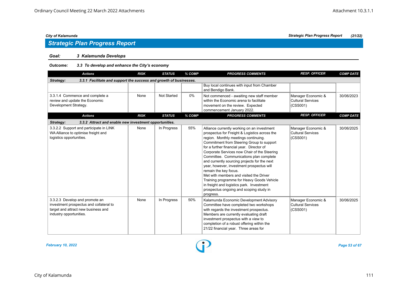#### *Goal: 3 Kalamunda Develops*

#### *Outcome: 3.3 To develop and enhance the City's economy*

| <b>Actions</b>                                                                                                                              | <b>RISK</b> | <b>STATUS</b> | % COMP | <b>PROGRESS COMMENTS</b>                                                                                                                                                                                                                                                                                                                                                                                                                                                                                                                                                                                                                      | <b>RESP. OFFICER</b>                                       | <b>COMP DATE</b> |
|---------------------------------------------------------------------------------------------------------------------------------------------|-------------|---------------|--------|-----------------------------------------------------------------------------------------------------------------------------------------------------------------------------------------------------------------------------------------------------------------------------------------------------------------------------------------------------------------------------------------------------------------------------------------------------------------------------------------------------------------------------------------------------------------------------------------------------------------------------------------------|------------------------------------------------------------|------------------|
| 3.3.1 Facilitate and support the success and growth of businesses.<br>Strategy:                                                             |             |               |        |                                                                                                                                                                                                                                                                                                                                                                                                                                                                                                                                                                                                                                               |                                                            |                  |
|                                                                                                                                             |             |               |        | Buy local continues with input from Chamber<br>and Bendigo Bank.                                                                                                                                                                                                                                                                                                                                                                                                                                                                                                                                                                              |                                                            |                  |
| 3.3.1.4 Commence and complete a<br>review and update the Economic<br>Development Strategy.                                                  | None        | Not Started   | $0\%$  | Not commenced - awaiting new staff member<br>within the Economic arena to facilitate<br>movement on the review. Expected<br>commencement January 2022.                                                                                                                                                                                                                                                                                                                                                                                                                                                                                        | Manager Economic &<br><b>Cultural Services</b><br>(CSS001) | 30/06/2023       |
| <b>Actions</b>                                                                                                                              | <b>RISK</b> | <b>STATUS</b> | % COMP | <b>PROGRESS COMMENTS</b>                                                                                                                                                                                                                                                                                                                                                                                                                                                                                                                                                                                                                      | <b>RESP. OFFICER</b>                                       | <b>COMP DATE</b> |
| 3.3.2 Attract and enable new investment opportunities.<br>Strategy:                                                                         |             |               |        |                                                                                                                                                                                                                                                                                                                                                                                                                                                                                                                                                                                                                                               |                                                            |                  |
| 3.3.2.2 Support and participate in LINK<br>WA Alliance to optimise freight and<br>logistics opportunities.                                  | None        | In Progress   | 55%    | Alliance currently working on an investment<br>prospectus for Freight & Logistics across the<br>region. Monthly meetings continuing.<br>Commitment from Steering Group to support<br>for a further financial year. Director of<br>Corporate Services now Chair of the Steering<br>Committee. Communications plan complete<br>and currently sourcing projects for the next<br>year, however, investment prospectus will<br>remain the key focus.<br>Met with members and visited the Driver<br>Training programme for Heavy Goods Vehicle<br>in freight and logistics park. Investment<br>prospectus ongoing and scoping study in<br>progress. | Manager Economic &<br>Cultural Services<br>(CSS001)        | 30/06/2025       |
| 3.3.2.3 Develop and promote an<br>investment prospectus and collateral to<br>target and attract new business and<br>industry opportunities. | None        | In Progress   | 50%    | Kalamunda Economic Development Advisory<br>Committee have completed two workshops<br>with regards the investment prospectus.<br>Members are currently evaluating draft<br>investment prospectus with a view to<br>completion of a robust offering within the<br>21/22 financial year. Three areas for                                                                                                                                                                                                                                                                                                                                         | Manager Economic &<br><b>Cultural Services</b><br>(CSS001) | 30/06/2025       |

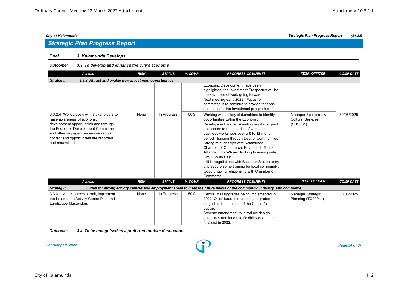### *Goal: 3 Kalamunda Develops*

#### *Outcome: 3.3 To develop and enhance the City's economy*

| <b>Actions</b>                                                                                                                                                                                                                                               | <b>RISK</b> | <b>STATUS</b> | % COMP | <b>PROGRESS COMMENTS</b>                                                                                                                                                                                                                                                                                                                                                                                                                                                                                                                                                                         | <b>RESP. OFFICER</b>                                       | <b>COMP DATE</b> |  |  |  |
|--------------------------------------------------------------------------------------------------------------------------------------------------------------------------------------------------------------------------------------------------------------|-------------|---------------|--------|--------------------------------------------------------------------------------------------------------------------------------------------------------------------------------------------------------------------------------------------------------------------------------------------------------------------------------------------------------------------------------------------------------------------------------------------------------------------------------------------------------------------------------------------------------------------------------------------------|------------------------------------------------------------|------------------|--|--|--|
| 3.3.2 Attract and enable new investment opportunities.<br>Strategy:                                                                                                                                                                                          |             |               |        |                                                                                                                                                                                                                                                                                                                                                                                                                                                                                                                                                                                                  |                                                            |                  |  |  |  |
|                                                                                                                                                                                                                                                              |             |               |        | Economic Development have been<br>highlighted, the Investment Prospectus will be<br>the key piece of work going forwards.<br>Next meeting early 2022. Focus for<br>committee is to continue to provide feedback<br>and ideas for the Investment prospectus.                                                                                                                                                                                                                                                                                                                                      |                                                            |                  |  |  |  |
| 3.3.2.4 Work closely with stakeholders to<br>raise awareness of economic<br>development opportunities and through<br>the Economic Development Committee<br>and other key agencies ensure regular<br>contact and opportunities are recorded<br>and maximised. | None        | In Progress   | 50%    | Working with all key stakeholders to identify<br>opportunities within the Economic<br>Development arena. Awaiting results of grant<br>application to run a series of women in<br>business workshops over a 6 to 12 month<br>period - funding through Dept of Communities.<br>Strong relationships with Kalamunda<br>Chamber of Commerce, Kalamunda Tourism<br>Alliance, Link WA and looking to reinvigorate<br>Grow South East.<br>still in negotiations with Business Station to try<br>and secure some training for local community.<br>Good ongoing relationship with Chamber of<br>Commerce. | Manager Economic &<br><b>Cultural Services</b><br>(CSS001) | 30/06/2025       |  |  |  |
| <b>Actions</b>                                                                                                                                                                                                                                               | <b>RISK</b> | <b>STATUS</b> | % COMP | <b>PROGRESS COMMENTS</b>                                                                                                                                                                                                                                                                                                                                                                                                                                                                                                                                                                         | <b>RESP. OFFICER</b>                                       | <b>COMP DATE</b> |  |  |  |
| Strategy:                                                                                                                                                                                                                                                    |             |               |        | 3.3.3 Plan for strong activity centres and employment areas to meet the future needs of the community, industry, and commerce.                                                                                                                                                                                                                                                                                                                                                                                                                                                                   |                                                            |                  |  |  |  |
| 3.3.3.1 As resources permit, implement<br>the Kalamunda Activity Centre Plan and<br>Landscape Masterplan.                                                                                                                                                    | None        | In Progress   | 50%    | Central Mall upgrades being implemented in<br>2022. Other future streetscape upgrades<br>subject to the adoption of the Council's<br>budget.<br>Scheme amendment to introduce design<br>quidelines and land use flexibility due to be<br>finalised in 2022.                                                                                                                                                                                                                                                                                                                                      | Manager Strategic<br>Planning (TO00041)                    | 30/06/2025       |  |  |  |

*Outcome: 3.4 To be recognised as a preferred tourism destination*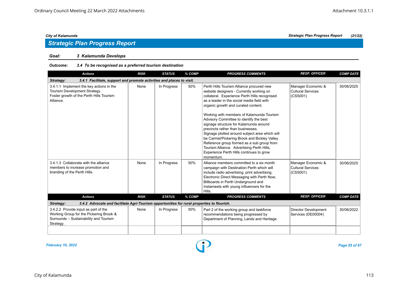#### *Goal: 3 Kalamunda Develops*

#### *Outcome: 3.4 To be recognised as a preferred tourism destination*

| <b>Actions</b>                                                                                                                         | <b>RISK</b> | <b>STATUS</b> | % COMP | <b>PROGRESS COMMENTS</b>                                                                                                                                                                                                                                                                                                                                                                                                                                                                                                                                                                                                                                   | <b>RESP. OFFICER</b>                                       | <b>COMP DATE</b> |  |  |  |  |
|----------------------------------------------------------------------------------------------------------------------------------------|-------------|---------------|--------|------------------------------------------------------------------------------------------------------------------------------------------------------------------------------------------------------------------------------------------------------------------------------------------------------------------------------------------------------------------------------------------------------------------------------------------------------------------------------------------------------------------------------------------------------------------------------------------------------------------------------------------------------------|------------------------------------------------------------|------------------|--|--|--|--|
| Strategy:<br>3.4.1 Facilitate, support and promote activities and places to visit.                                                     |             |               |        |                                                                                                                                                                                                                                                                                                                                                                                                                                                                                                                                                                                                                                                            |                                                            |                  |  |  |  |  |
| 3.4.1.1 Implement the key actions in the<br>Tourism Development Strategy.<br>Foster growth of the Perth Hills Tourism<br>Alliance.     | None        | In Progress   | 50%    | Perth Hills Tourism Alliance procured new<br>website designers - Currently working on<br>collateral. Experience Perth Hills recognised<br>as a leader in the social media field with<br>organic growth and curated content.<br>Working with members of Kalamunda Tourism<br>Advisory Committee to identify the best<br>signage structure for Kalamunda around<br>precincts rather than businesses.<br>Signage plotted around subject area which will<br>be Carmel/Pickering Brook and Bickley Valley.<br>Reference group formed as a sub group from<br>Tourism Alliance. Advertising Perth Hills,<br>Experience Perth Hills continues to grow<br>momentum. | Manager Economic &<br><b>Cultural Services</b><br>(CSS001) | 30/06/2025       |  |  |  |  |
| 3.4.1.3 Collaborate with the alliance<br>members to increase promotion and<br>branding of the Perth Hills.                             | None        | In Progress   | 50%    | Alliance members committed to a six month<br>campaign with Destination Perth which will<br>include radio advertising, print advertising,<br>Electronic Direct Messaging with Perth Now,<br>Billboards in Perth Underground and<br>Instameets with young influencers for the<br>Hills.                                                                                                                                                                                                                                                                                                                                                                      | Manager Economic &<br>Cultural Services<br>(CSS001)        | 30/06/2025       |  |  |  |  |
| <b>Actions</b>                                                                                                                         | <b>RISK</b> | <b>STATUS</b> | % COMP | <b>PROGRESS COMMENTS</b>                                                                                                                                                                                                                                                                                                                                                                                                                                                                                                                                                                                                                                   | <b>RESP. OFFICER</b>                                       | <b>COMP DATE</b> |  |  |  |  |
| 3.4.2 Advocate and facilitate Agri-Tourism opportunities for rural properties to flourish.<br>Strategy:                                |             |               |        |                                                                                                                                                                                                                                                                                                                                                                                                                                                                                                                                                                                                                                                            |                                                            |                  |  |  |  |  |
| 3.4.2.2 Provide input as part of the<br>Working Group for the Pickering Brook &<br>Surrounds - Sustainability and Tourism<br>Strategy. | None        | In Progress   | 50%    | Part 2 of the working group and taskforce<br>recommendations being progressed by<br>Department of Planning, Lands and Heritage.                                                                                                                                                                                                                                                                                                                                                                                                                                                                                                                            | <b>Director Development</b><br>Services (DE00004)          | 30/06/2022       |  |  |  |  |
|                                                                                                                                        |             |               |        |                                                                                                                                                                                                                                                                                                                                                                                                                                                                                                                                                                                                                                                            |                                                            |                  |  |  |  |  |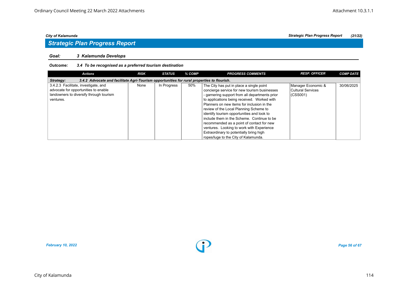## *Strategic Plan Progress Report*

#### *Goal: 3 Kalamunda Develops*

#### *Outcome: 3.4 To be recognised as a preferred tourism destination*

| <b>Actions</b>                                                                                                                       | <b>RISK</b> | <b>STATUS</b> | % COMP | <b>PROGRESS COMMENTS</b>                                                                                                                                                                                                                                                          | <b>RESP. OFFICER</b>                                 | <b>COMP DATE</b> |  |  |  |
|--------------------------------------------------------------------------------------------------------------------------------------|-------------|---------------|--------|-----------------------------------------------------------------------------------------------------------------------------------------------------------------------------------------------------------------------------------------------------------------------------------|------------------------------------------------------|------------------|--|--|--|
| 3.4.2 Advocate and facilitate Agri-Tourism opportunities for rural properties to flourish.<br>Strategy:                              |             |               |        |                                                                                                                                                                                                                                                                                   |                                                      |                  |  |  |  |
| 3.4.2.3 Facilitate, investigate, and<br>advocate for opportunities to enable<br>landowners to diversify through tourism<br>ventures. | None        | In Progress   | 50%    | The City has put in place a single point<br>concierge service for new tourism businesses<br>- garnering support from all departments prior<br>to applications being received. Worked with<br>Planners on new items for inclusion in the<br>review of the Local Planning Scheme to | Manager Economic &<br>Cultural Services<br> (CSS001) | 30/06/2025       |  |  |  |
|                                                                                                                                      |             |               |        | identify tourism opportunities and look to<br>include them in the Scheme. Continue to be<br>recommended as a point of contact for new<br>ventures. Looking to work with Experience<br>Extraordinary to potentially bring high<br>ropes/luge to the City of Kalamunda.             |                                                      |                  |  |  |  |

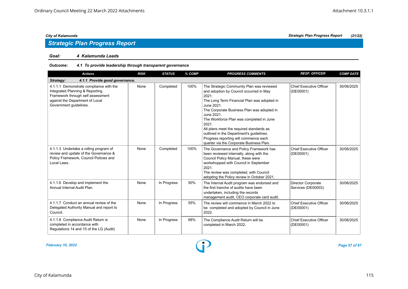#### *Goal: 4 Kalamunda Leads*

#### *Outcome: 4.1 To provide leadership through transparent governance*

| <b>Actions</b>                                                                                                                                                               | <b>RISK</b> | <b>STATUS</b> | % COMP | <b>PROGRESS COMMENTS</b>                                                                                                                                                                                                                                                                                                                                                                                                                                 | <b>RESP. OFFICER</b>                            | <b>COMP DATE</b> |  |  |  |
|------------------------------------------------------------------------------------------------------------------------------------------------------------------------------|-------------|---------------|--------|----------------------------------------------------------------------------------------------------------------------------------------------------------------------------------------------------------------------------------------------------------------------------------------------------------------------------------------------------------------------------------------------------------------------------------------------------------|-------------------------------------------------|------------------|--|--|--|
| 4.1.1 Provide good governance.<br>Strategy:                                                                                                                                  |             |               |        |                                                                                                                                                                                                                                                                                                                                                                                                                                                          |                                                 |                  |  |  |  |
| 4.1.1.1 Demonstrate compliance with the<br>Integrated Planning & Reporting<br>Framework through self assessment<br>against the Department of Local<br>Government guidelines. | None        | Completed     | 100%   | The Strategic Community Plan was reviewed<br>and adoption by Council occurred in May<br>2021.<br>The Long Term Financial Plan was adopted in<br>June 2021.<br>The Corporate Business Plan was adopted in<br>June 2021.<br>The Workforce Plan was completed in June<br>2021.<br>All plans meet the required standards as<br>outlined in the Department's guidelines.<br>Progress reporting will commence each<br>quarter via the Corporate Business Plan. | <b>Chief Executive Officer</b><br>(DE00001)     | 30/06/2025       |  |  |  |
| 4.1.1.3 Undertake a rolling program of<br>review and update of the Governance &<br>Policy Framework, Council Policies and<br>Local Laws.                                     | None        | Completed     | 100%   | The Governance and Policy Framework has<br>been reviewed internally, along with the<br>Council Policy Manual, these were<br>workshopped with Council in September<br>2021.<br>The review was completed, with Council<br>adopting the Policy review in October 2021.                                                                                                                                                                                      | <b>Chief Executive Officer</b><br>(DE00001)     | 30/06/2025       |  |  |  |
| 4.1.1.6 Develop and implement the<br>Annual Internal Audit Plan.                                                                                                             | None        | In Progress   | 50%    | The Internal Audit program was endorsed and<br>the first tranche of audits have been<br>undertaken, including the records<br>management audit, CEO corporate card audit.                                                                                                                                                                                                                                                                                 | <b>Director Corporate</b><br>Services (DE00003) | 30/06/2025       |  |  |  |
| 4.1.1.7 Conduct an annual review of the<br>Delegated Authority Manual and report to<br>Council.                                                                              | None        | In Progress   | 55%    | The review will commence in March 2022 to<br>be completed and adopted by Council in June<br>2022.                                                                                                                                                                                                                                                                                                                                                        | Chief Executive Officer<br>(DE00001)            | 30/06/2025       |  |  |  |
| 4.1.1.8 Compliance Audit Return is<br>completed in accordance with<br>Regulations 14 and 15 of the LG (Audit)                                                                | None        | In Progress   | 68%    | The Compliance Audit Return will be<br>completed in March 2022.                                                                                                                                                                                                                                                                                                                                                                                          | Chief Executive Officer<br>(DE00001)            | 30/06/2025       |  |  |  |

*February 10, 2022 Page 57 of 67*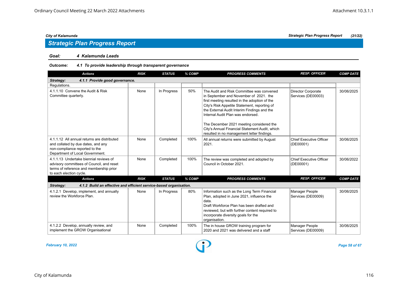#### *Goal: 4 Kalamunda Leads*

| <b>Actions</b>                                                                                                                                            | <b>RISK</b> | <b>STATUS</b> | % COMP | <b>PROGRESS COMMENTS</b>                                                                                                                                                                                                                                                                                                                                                                                             | <b>RESP. OFFICER</b>                        | <b>COMP DATE</b> |  |  |
|-----------------------------------------------------------------------------------------------------------------------------------------------------------|-------------|---------------|--------|----------------------------------------------------------------------------------------------------------------------------------------------------------------------------------------------------------------------------------------------------------------------------------------------------------------------------------------------------------------------------------------------------------------------|---------------------------------------------|------------------|--|--|
| 4.1.1 Provide good governance.<br>Strategy:                                                                                                               |             |               |        |                                                                                                                                                                                                                                                                                                                                                                                                                      |                                             |                  |  |  |
| Regulations.                                                                                                                                              |             |               |        |                                                                                                                                                                                                                                                                                                                                                                                                                      |                                             |                  |  |  |
| 4.1.1.10 Convene the Audit & Risk<br>Committee quarterly.                                                                                                 | None        | In Progress   | 50%    | The Audit and Risk Committee was convened<br>in September and November of 2021. the<br>first meeting resulted in the adoption of the<br>City's Risk Appetite Statement, reporting of<br>the External Audit Interim Findings and the<br>Internal Audit Plan was endorsed.<br>The December 2021 meeting considered the<br>City's Annual Financial Statement Audit, which<br>resulted in no management letter findings. | Director Corporate<br>Services (DE00003)    | 30/06/2025       |  |  |
| 4.1.1.12 All annual returns are distributed<br>and collated by due dates, and any<br>non-compliance reported to the<br>Department of Local Government.    | None        | Completed     | 100%   | All annual returns were submitted by August<br>2021.                                                                                                                                                                                                                                                                                                                                                                 | <b>Chief Executive Officer</b><br>(DE00001) | 30/06/2025       |  |  |
| 4.1.1.13 Undertake biennial reviews of<br>advisory committees of Council, and reset<br>terms of reference and membership prior<br>to each election cycle. | None        | Completed     | 100%   | The review was completed and adopted by<br>Council in October 2021.                                                                                                                                                                                                                                                                                                                                                  | <b>Chief Executive Officer</b><br>(DE00001) | 30/06/2022       |  |  |
| <b>Actions</b>                                                                                                                                            | <b>RISK</b> | <b>STATUS</b> | % COMP | <b>PROGRESS COMMENTS</b>                                                                                                                                                                                                                                                                                                                                                                                             | <b>RESP. OFFICER</b>                        | <b>COMP DATE</b> |  |  |
| 4.1.2 Build an effective and efficient service-based organisation.<br>Strategy:                                                                           |             |               |        |                                                                                                                                                                                                                                                                                                                                                                                                                      |                                             |                  |  |  |
| 4.1.2.1 Develop, implement, and annually<br>review the Workforce Plan.                                                                                    | None        | In Progress   | 80%    | Information such as the Long Term Financial<br>Plan, adopted in June 2021, influence the<br>data.<br>Draft Workforce Plan has been drafted and<br>reviewed, but with further content required to<br>incorporate diversity goals for the<br>organisation.                                                                                                                                                             | Manager People<br>Services (DE00009)        | 30/06/2025       |  |  |
| 4.1.2.2 Develop, annually review, and<br>implement the GROW Organisational                                                                                | None        | Completed     | 100%   | The in house GROW training program for<br>2020 and 2021 was delivered and a staff                                                                                                                                                                                                                                                                                                                                    | Manager People<br>Services (DE00009)        | 30/06/2025       |  |  |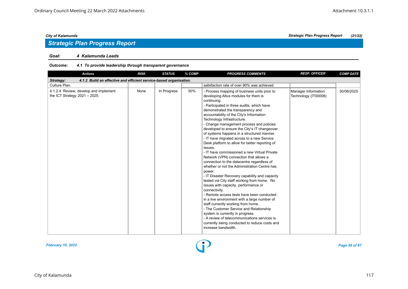#### *Goal: 4 Kalamunda Leads*

| <b>Actions</b>                                                                  | <b>RISK</b> | <b>STATUS</b> | % COMP | <b>PROGRESS COMMENTS</b>                                                                                                                                                                                                                                                                                                                                                                                                                                                                                                                                                                                                                                                                                                                                                                                                                                                                                                                                                                                                                                                                                                                                                                                                    | <b>RESP. OFFICER</b>                        | <b>COMP DATE</b> |  |  |  |
|---------------------------------------------------------------------------------|-------------|---------------|--------|-----------------------------------------------------------------------------------------------------------------------------------------------------------------------------------------------------------------------------------------------------------------------------------------------------------------------------------------------------------------------------------------------------------------------------------------------------------------------------------------------------------------------------------------------------------------------------------------------------------------------------------------------------------------------------------------------------------------------------------------------------------------------------------------------------------------------------------------------------------------------------------------------------------------------------------------------------------------------------------------------------------------------------------------------------------------------------------------------------------------------------------------------------------------------------------------------------------------------------|---------------------------------------------|------------------|--|--|--|
| 4.1.2 Build an effective and efficient service-based organisation.<br>Strategy: |             |               |        |                                                                                                                                                                                                                                                                                                                                                                                                                                                                                                                                                                                                                                                                                                                                                                                                                                                                                                                                                                                                                                                                                                                                                                                                                             |                                             |                  |  |  |  |
| Culture Plan.                                                                   |             |               |        | satisfaction rate of over 90% was achieved.                                                                                                                                                                                                                                                                                                                                                                                                                                                                                                                                                                                                                                                                                                                                                                                                                                                                                                                                                                                                                                                                                                                                                                                 |                                             |                  |  |  |  |
| 4.1.2.4 Review, develop and implement<br>the ICT Strategy $2021 - 2025$ .       | None        | In Progress   | 50%    | - Process mapping of business units prior to<br>developing Altus modules for them is<br>continuing.<br>- Participated in three audits, which have<br>demonstrated the transparency and<br>accountability of the City's Information<br>Technology Infrastructure.<br>- Change management process and policies<br>developed to ensure the City's IT changeover<br>of systems happens in a structured manner.<br>- IT have migrated across to a new Service<br>Desk platform to allow for better reporting of<br>issues.<br>- IT have commissioned a new Virtual Private<br>Network (VPN) connection that allows a<br>connection to the datacentre regardless of<br>whether or not the Administration Centre has<br>power.<br>- IT Disaster Recovery capability and capacity<br>tested via City staff working from home. No<br>issues with capacity, performance or<br>connectivity.<br>- Remote access tests have been conducted<br>in a live environment with a large number of<br>staff currently working from home.<br>- The Customer Service and Relationship<br>system is currently in progress.<br>- A review of telecommunications services is<br>currently being conducted to reduce costs and<br>increase bandwidth. | Manager Information<br>Technology (IT00008) | 30/06/2025       |  |  |  |

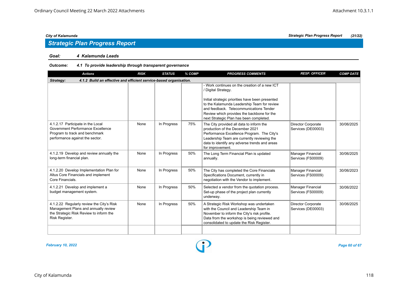#### *Goal: 4 Kalamunda Leads*

| <b>Actions</b>                                                                                                                                 | <b>RISK</b> | <b>STATUS</b> | % COMP | <b>PROGRESS COMMENTS</b>                                                                                                                                                                                                                                                                                    | <b>RESP. OFFICER</b>                            | <b>COMP DATE</b> |  |  |  |  |
|------------------------------------------------------------------------------------------------------------------------------------------------|-------------|---------------|--------|-------------------------------------------------------------------------------------------------------------------------------------------------------------------------------------------------------------------------------------------------------------------------------------------------------------|-------------------------------------------------|------------------|--|--|--|--|
| 4.1.2 Build an effective and efficient service-based organisation.<br>Strategy:                                                                |             |               |        |                                                                                                                                                                                                                                                                                                             |                                                 |                  |  |  |  |  |
|                                                                                                                                                |             |               |        | - Work continues on the creation of a new ICT<br>/ Digital Strategy.<br>Initial strategic priorities have been presented<br>to the Kalamunda Leadership Team for review<br>and feedback. Telecommunications Tender<br>Review which provides the backbone for the<br>next Strategic Plan has been completed. |                                                 |                  |  |  |  |  |
| 4.1.2.17 Participate in the Local<br>Government Performance Excellence<br>Program to track and benchmark<br>performance against the sector.    | None        | In Progress   | 75%    | The City provided all data to inform the<br>production of the December 2021<br>Performance Excellence Program. The City's<br>Leadership Team are currently reviewing the<br>data to identify any adverse trends and areas<br>for improvement.                                                               | <b>Director Corporate</b><br>Services (DE00003) | 30/06/2025       |  |  |  |  |
| 4.1.2.19 Develop and review annually the<br>long-term financial plan.                                                                          | None        | In Progress   | 50%    | The Long Term Financial Plan is updated<br>annually.                                                                                                                                                                                                                                                        | Manager Financial<br>Services (FS00009)         | 30/06/2025       |  |  |  |  |
| 4.1.2.20 Develop Implementation Plan for<br>Altus Core Financials and implement<br>Core Financials.                                            | None        | In Progress   | 50%    | The City has completed the Core Financials<br>Specifications Document, currently in<br>negotiation with the Vendor to implement.                                                                                                                                                                            | <b>Manager Financial</b><br>Services (FS00009)  | 30/06/2023       |  |  |  |  |
| 4.1.2.21 Develop and implement a<br>budget management system.                                                                                  | None        | In Progress   | 50%    | Selected a vendor from the quotation process.<br>Set-up phase of the project plan currently<br>underway.                                                                                                                                                                                                    | Manager Financial<br>Services (FS00009)         | 30/06/2022       |  |  |  |  |
| 4.1.2.22 Regularly review the City's Risk<br>Management Plans and annually review<br>the Strategic Risk Review to inform the<br>Risk Register. | None        | In Progress   | 50%    | A Strategic Risk Workshop was undertaken<br>with the Council and Leadership Team in<br>November to inform the City's risk profile.<br>Data from the workshop is being reviewed and<br>consolidated to update the Risk Register.                                                                             | <b>Director Corporate</b><br>Services (DE00003) | 30/06/2025       |  |  |  |  |
|                                                                                                                                                |             |               |        |                                                                                                                                                                                                                                                                                                             |                                                 |                  |  |  |  |  |

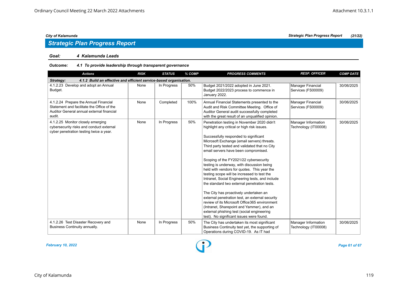#### *Goal: 4 Kalamunda Leads*

| <b>Actions</b>                                                                                                                             | <b>RISK</b> | <b>STATUS</b> | % COMP | <b>PROGRESS COMMENTS</b>                                                                                                                                                                                                                                                                                                                                                                                                                                                                                                                                                                                                                                                                                                                                                                                                                                   | <b>RESP. OFFICER</b>                           | <b>COMP DATE</b> |  |  |  |
|--------------------------------------------------------------------------------------------------------------------------------------------|-------------|---------------|--------|------------------------------------------------------------------------------------------------------------------------------------------------------------------------------------------------------------------------------------------------------------------------------------------------------------------------------------------------------------------------------------------------------------------------------------------------------------------------------------------------------------------------------------------------------------------------------------------------------------------------------------------------------------------------------------------------------------------------------------------------------------------------------------------------------------------------------------------------------------|------------------------------------------------|------------------|--|--|--|
| 4.1.2 Build an effective and efficient service-based organisation.<br>Strategy:                                                            |             |               |        |                                                                                                                                                                                                                                                                                                                                                                                                                                                                                                                                                                                                                                                                                                                                                                                                                                                            |                                                |                  |  |  |  |
| 4.1.2.23 Develop and adopt an Annual<br>Budget.                                                                                            | None        | In Progress   | 50%    | Budget 2021/2022 adopted in June 2021.<br>Budget 2022/2023 process to commence in<br>January 2022.                                                                                                                                                                                                                                                                                                                                                                                                                                                                                                                                                                                                                                                                                                                                                         | Manager Financial<br>Services (FS00009)        | 30/06/2025       |  |  |  |
| 4.1.2.24 Prepare the Annual Financial<br>Statement and facilitate the Office of the<br>Auditor General annual external financial<br>audit. | None        | Completed     | 100%   | Annual Financial Statements presented to the<br>Audit and Risk Committee Meeting. Office of<br>Auditor General audit successfully completed<br>with the great result of an unqualified opinion.                                                                                                                                                                                                                                                                                                                                                                                                                                                                                                                                                                                                                                                            | <b>Manager Financial</b><br>Services (FS00009) | 30/06/2025       |  |  |  |
| 4.1.2.25 Monitor closely emerging<br>cybersecurity risks and conduct external<br>cyber penetration testing twice a year.                   | None        | In Progress   | 50%    | Penetration testing in November 2020 didn't<br>highlight any critical or high risk issues.<br>Successfully responded to significant<br>Microsoft Exchange (email servers) threats.<br>Third party tested and validated that no City<br>email servers have been compromised.<br>Scoping of the FY2021/22 cybersecurity<br>testing is underway, with discussion being<br>held with vendors for quotes. This year the<br>testing scope will be increased to test the<br>Intranet, Social Engineering tests, and include<br>the standard two external penetration tests.<br>The City has proactively undertaken an<br>external penetration test, an external security<br>review of its Microsoft Office 365 environment<br>(Intranet, Sharepoint and Yammer), and an<br>external phishing test (social engineering<br>test). No significant issues were found. | Manager Information<br>Technology (IT00008)    | 30/06/2025       |  |  |  |
| 4.1.2.26 Test Disaster Recovery and<br>Business Continuity annually.                                                                       | None        | In Progress   | 50%    | The City has undertaken its most significant<br>Business Continuity test yet, the supporting of<br>Operations during COVID-19. As IT had                                                                                                                                                                                                                                                                                                                                                                                                                                                                                                                                                                                                                                                                                                                   | Manager Information<br>Technology (IT00008)    | 30/06/2025       |  |  |  |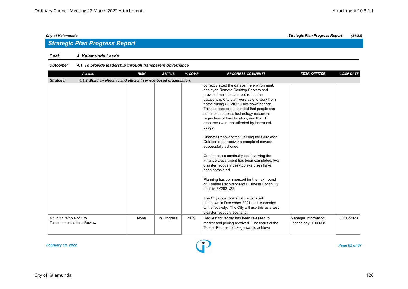#### *Goal: 4 Kalamunda Leads*

#### *Outcome: 4.1 To provide leadership through transparent governance*

| <b>Actions</b>                                                                  | <b>RISK</b> | <b>STATUS</b> | % COMP | <b>PROGRESS COMMENTS</b>                                                                                                                                                                                                                                                                                                                                                                                                                                                                                                                                                                                                                                                                                                                                                                                                                                                                                                                                                                              | <b>RESP. OFFICER</b>                        | <b>COMP DATE</b> |
|---------------------------------------------------------------------------------|-------------|---------------|--------|-------------------------------------------------------------------------------------------------------------------------------------------------------------------------------------------------------------------------------------------------------------------------------------------------------------------------------------------------------------------------------------------------------------------------------------------------------------------------------------------------------------------------------------------------------------------------------------------------------------------------------------------------------------------------------------------------------------------------------------------------------------------------------------------------------------------------------------------------------------------------------------------------------------------------------------------------------------------------------------------------------|---------------------------------------------|------------------|
| 4.1.2 Build an effective and efficient service-based organisation.<br>Strategy: |             |               |        |                                                                                                                                                                                                                                                                                                                                                                                                                                                                                                                                                                                                                                                                                                                                                                                                                                                                                                                                                                                                       |                                             |                  |
|                                                                                 |             |               |        | correctly sized the datacentre environment,<br>deployed Remote Desktop Servers and<br>provided multiple data paths into the<br>datacentre, City staff were able to work from<br>home during COVID-19 lockdown periods.<br>This exercise demonstrated that people can<br>continue to access technology resources<br>regardless of their location, and that IT<br>resources were not affected by increased<br>usage.<br>Disaster Recovery test utilising the Geraldton<br>Datacentre to recover a sample of servers<br>successfully actioned.<br>One business continuity test involving the<br>Finance Department has been completed, two<br>disaster recovery desktop exercises have<br>been completed.<br>Planning has commenced for the next round<br>of Disaster Recovery and Business Continuity<br>tests in FY2021/22.<br>The City undertook a full network link<br>shutdown in December 2021 and responded<br>to it effectively. The City will use this as a test<br>disaster recovery scenario. |                                             |                  |
| 4.1.2.27 Whole of City<br>Telecommunications Review.                            | None        | In Progress   | 50%    | Request for tender has been released to<br>market and pricing received. The focus of the<br>Tender Request package was to achieve                                                                                                                                                                                                                                                                                                                                                                                                                                                                                                                                                                                                                                                                                                                                                                                                                                                                     | Manager Information<br>Technology (IT00008) | 30/06/2023       |

*February 10, 2022 Page 62 of 67*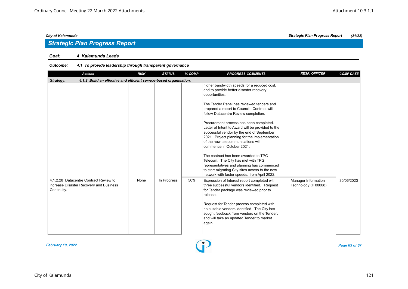## *Strategic Plan Progress Report*

#### *Goal: 4 Kalamunda Leads*

| <b>Actions</b>                                                                                   | <b>RISK</b> | <b>STATUS</b> | % COMP | <b>PROGRESS COMMENTS</b>                                                                                                                                                                                                                                                                                                                                                                                                                                                                                                                                                                                                                                                                                                                     | <b>RESP. OFFICER</b>                        | <b>COMP DATE</b> |  |  |  |
|--------------------------------------------------------------------------------------------------|-------------|---------------|--------|----------------------------------------------------------------------------------------------------------------------------------------------------------------------------------------------------------------------------------------------------------------------------------------------------------------------------------------------------------------------------------------------------------------------------------------------------------------------------------------------------------------------------------------------------------------------------------------------------------------------------------------------------------------------------------------------------------------------------------------------|---------------------------------------------|------------------|--|--|--|
| 4.1.2 Build an effective and efficient service-based organisation.<br>Strategy:                  |             |               |        |                                                                                                                                                                                                                                                                                                                                                                                                                                                                                                                                                                                                                                                                                                                                              |                                             |                  |  |  |  |
|                                                                                                  |             |               |        | higher bandwidth speeds for a reduced cost,<br>and to provide better disaster recovery<br>opportunities.<br>The Tender Panel has reviewed tenders and<br>prepared a report to Council. Contract will<br>follow Datacentre Review completion.<br>Procurement process has been completed.<br>Letter of Intent to Award will be provided to the<br>successful vendor by the end of September<br>2021. Project planning for the implementation<br>of the new telecommunications will<br>commence in October 2021.<br>The contract has been awarded to TPG<br>Telecom. The City has met with TPG<br>representatives and planning has commenced<br>to start migrating City sites across to the new<br>network with faster speeds, from April 2022. |                                             |                  |  |  |  |
| 4.1.2.28 Datacentre Contract Review to<br>increase Disaster Recovery and Business<br>Continuity. | None        | In Progress   | 50%    | Expression of Interest report completed with<br>three successful vendors identified. Request<br>for Tender package was reviewed prior to<br>release.<br>Request for Tender process completed with<br>no suitable vendors identified. The City has<br>sought feedback from vendors on the Tender,<br>and will take an updated Tender to market<br>again.                                                                                                                                                                                                                                                                                                                                                                                      | Manager Information<br>Technology (IT00008) | 30/06/2023       |  |  |  |

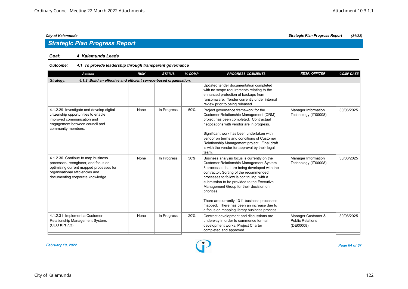#### *Goal: 4 Kalamunda Leads*

#### *Outcome: 4.1 To provide leadership through transparent governance*

| <b>Actions</b>                                                                                                                                                                             | <b>RISK</b> | <b>STATUS</b> | % COMP | <b>PROGRESS COMMENTS</b>                                                                                                                                                                                                                                                                                                                                                                                                                                                          | <b>RESP. OFFICER</b>                                       | <b>COMP DATE</b> |  |  |  |
|--------------------------------------------------------------------------------------------------------------------------------------------------------------------------------------------|-------------|---------------|--------|-----------------------------------------------------------------------------------------------------------------------------------------------------------------------------------------------------------------------------------------------------------------------------------------------------------------------------------------------------------------------------------------------------------------------------------------------------------------------------------|------------------------------------------------------------|------------------|--|--|--|
| 4.1.2 Build an effective and efficient service-based organisation.<br>Strategy:                                                                                                            |             |               |        |                                                                                                                                                                                                                                                                                                                                                                                                                                                                                   |                                                            |                  |  |  |  |
|                                                                                                                                                                                            |             |               |        | Updated tender documentation completed<br>with no scope requirements relating to the<br>enhanced protection of backups from<br>ransomware. Tender currently under internal<br>review prior to being released.                                                                                                                                                                                                                                                                     |                                                            |                  |  |  |  |
| 4.1.2.29 Investigate and develop digital<br>citizenship opportunities to enable<br>improved communication and<br>engagement between council and<br>community members.                      | None        | In Progress   | 50%    | Project governance framework for the<br>Customer Relationship Management (CRM)<br>project has been completed. Contractual<br>negotiations with vendor are in progress.<br>Significant work has been undertaken with<br>vendor on terms and conditions of Customer<br>Relationship Management project. Final draft<br>is with the vendor for approval by their legal<br>team.                                                                                                      | Manager Information<br>Technology (IT00008)                | 30/06/2025       |  |  |  |
| 4.1.2.30 Continue to map business<br>processes, reengineer, and focus on<br>optimising current mapped processes for<br>organisational efficiencies and<br>documenting corporate knowledge. | None        | In Progress   | 50%    | Business analysis focus is currently on the<br>Customer Relationship Management System<br>5 processes that are being developed with the<br>contractor. Sorting of the recommended<br>processes to follow is continuing, with a<br>submission to be provided to the Executive<br>Management Group for their decision on<br>priorities.<br>There are currently 1311 business processes<br>mapped. There has been an increase due to<br>a focus on mapping library business process. | Manager Information<br>Technology (IT00008)                | 30/06/2025       |  |  |  |
| 4.1.2.31 Implement a Customer<br>Relationship Management System.<br>(CEO KPI 7.3)                                                                                                          | None        | In Progress   | 20%    | Contract development and discussions are<br>underway in order to commence formal<br>development works. Project Charter<br>completed and approved.                                                                                                                                                                                                                                                                                                                                 | Manager Customer &<br><b>Public Relations</b><br>(DE00008) | 30/06/2025       |  |  |  |

*February 10, 2022 Page 64 of 67*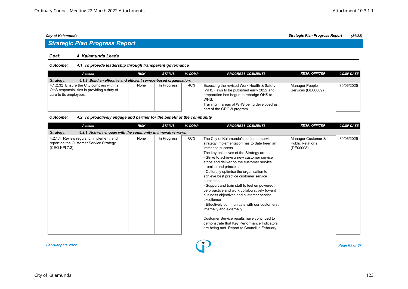#### *Goal: 4 Kalamunda Leads*

#### *Outcome: 4.1 To provide leadership through transparent governance*

| Actions                                                                                                             | <b>RISK</b> | STATUS      | % COMP | <b>PROGRESS COMMENTS</b>                                                                                                                                                                                               | <b>RESP. OFFICER</b>                 | <b>COMP DATE</b> |  |  |  |
|---------------------------------------------------------------------------------------------------------------------|-------------|-------------|--------|------------------------------------------------------------------------------------------------------------------------------------------------------------------------------------------------------------------------|--------------------------------------|------------------|--|--|--|
| 4.1.2 Build an effective and efficient service-based organisation.<br>Strategy:                                     |             |             |        |                                                                                                                                                                                                                        |                                      |                  |  |  |  |
| 4.1.2.32 Ensure the City complies with its<br>OHS responsibilities in providing a duty of<br>care to its employees. | None        | In Progress | 40%    | Expecting the revised Work Health & Safety<br>(WHS) laws to be published early 2022 and<br>preparation has begun to rebadge OHS to<br>WHS.<br>Training in areas of WHS being developed as<br>part of the GROW program. | Manager People<br>Services (DE00009) | 30/06/2025       |  |  |  |

#### *Outcome: 4.2 To proactively engage and partner for the benefit of the community*

| <b>Actions</b>                                                                                        | <b>RISK</b> | <b>STATUS</b> | % COMP | <b>PROGRESS COMMENTS</b>                                                                                                                                                                                                                                                                                                                                                                                                                                                                                                                                                                                                                                                                                                                                                | <b>RESP. OFFICER</b>                                | <b>COMP DATE</b> |  |  |  |
|-------------------------------------------------------------------------------------------------------|-------------|---------------|--------|-------------------------------------------------------------------------------------------------------------------------------------------------------------------------------------------------------------------------------------------------------------------------------------------------------------------------------------------------------------------------------------------------------------------------------------------------------------------------------------------------------------------------------------------------------------------------------------------------------------------------------------------------------------------------------------------------------------------------------------------------------------------------|-----------------------------------------------------|------------------|--|--|--|
| 4.2.1 Actively engage with the community in innovative ways.<br>Strategy:                             |             |               |        |                                                                                                                                                                                                                                                                                                                                                                                                                                                                                                                                                                                                                                                                                                                                                                         |                                                     |                  |  |  |  |
| 4.2.1.1 Review regularly, implement, and<br>report on the Customer Service Strategy.<br>(CEO KPI 7.2) | None        | In Progress   | 60%    | The City of Kalamunda's customer service<br>strategy implementation has to date been an<br>immense success.<br>The key objectives of the Strategy are to:<br>- Strive to achieve a new customer service<br>ethos and deliver on the customer service<br>promise and principles<br>- Culturally optimise the organisation to<br>achieve best practice customer service<br>outcomes<br>- Support and train staff to feel empowered,<br>be proactive and work collaboratively toward<br>business objectives and customer service<br>excellence<br>- Effectively communicate with our customers,<br>internally and externally.<br>Customer Service results have continued to<br>demonstrate that Key Performance Indicators<br>are being met. Report to Council in February | Manager Customer &<br>Public Relations<br>(DE00008) | 30/06/2025       |  |  |  |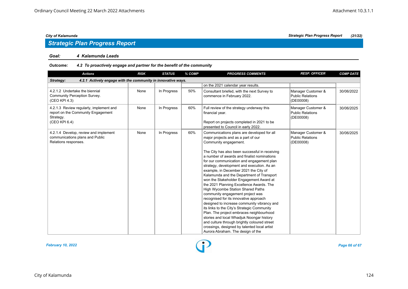## *Strategic Plan Progress Report*

#### *Goal: 4 Kalamunda Leads*

#### *Outcome: 4.2 To proactively engage and partner for the benefit of the community*

| <b>Actions</b>                                                                                              | <b>RISK</b> | <b>STATUS</b> | % COMP | <b>PROGRESS COMMENTS</b>                                                                                                                                                                                                                                                                                                                                                                                                                                                                                                                                                                                                                                                                                                                                                                                                                                                                                                           | <b>RESP. OFFICER</b>                                       | <b>COMP DATE</b> |  |  |
|-------------------------------------------------------------------------------------------------------------|-------------|---------------|--------|------------------------------------------------------------------------------------------------------------------------------------------------------------------------------------------------------------------------------------------------------------------------------------------------------------------------------------------------------------------------------------------------------------------------------------------------------------------------------------------------------------------------------------------------------------------------------------------------------------------------------------------------------------------------------------------------------------------------------------------------------------------------------------------------------------------------------------------------------------------------------------------------------------------------------------|------------------------------------------------------------|------------------|--|--|
| 4.2.1 Actively engage with the community in innovative ways.<br>Strategy:                                   |             |               |        |                                                                                                                                                                                                                                                                                                                                                                                                                                                                                                                                                                                                                                                                                                                                                                                                                                                                                                                                    |                                                            |                  |  |  |
|                                                                                                             |             |               |        | on the 2021 calendar year results.                                                                                                                                                                                                                                                                                                                                                                                                                                                                                                                                                                                                                                                                                                                                                                                                                                                                                                 |                                                            |                  |  |  |
| 4.2.1.2 Undertake the biennial<br>Community Perception Survey.<br>(CEO KPI 4.3)                             | None        | In Progress   | 50%    | Consultant briefed, with the next Survey to<br>commence in February 2022.                                                                                                                                                                                                                                                                                                                                                                                                                                                                                                                                                                                                                                                                                                                                                                                                                                                          | Manager Customer &<br><b>Public Relations</b><br>(DE00008) | 30/06/2022       |  |  |
| 4.2.1.3 Review regularly, implement and<br>report on the Community Engagement<br>Strategy.<br>(CEO KPI 6.4) | None        | In Progress   | 60%    | Full review of the strategy underway this<br>financial year.<br>Report on projects completed in 2021 to be<br>presented to Council in early 2022.                                                                                                                                                                                                                                                                                                                                                                                                                                                                                                                                                                                                                                                                                                                                                                                  | Manager Customer &<br>Public Relations<br>(DE00008)        | 30/06/2025       |  |  |
| 4.2.1.4 Develop, review and implement<br>communications plans and Public<br>Relations responses.            | None        | In Progress   | 60%    | Communications plans are developed for all<br>major projects and as a part of our<br>Community engagement.<br>The City has also been successful in receiving<br>a number of awards and finalist nominations<br>for our communication and engagement plan<br>strategy, development and execution. As an<br>example, in December 2021 the City of<br>Kalamunda and the Department of Transport<br>won the Stakeholder Engagement Award at<br>the 2021 Planning Excellence Awards. The<br>High Wycombe Station Shared Paths<br>community engagement project was<br>recognised for its innovative approach<br>designed to increase community vibrancy and<br>its links to the City's Strategic Community<br>Plan. The project embraces neighbourhood<br>stories and local Whadjuk Noongar history<br>and culture through brightly coloured street<br>crossings, designed by talented local artist<br>Aurora Abraham. The design of the | Manager Customer &<br><b>Public Relations</b><br>(DE00008) | 30/06/2025       |  |  |